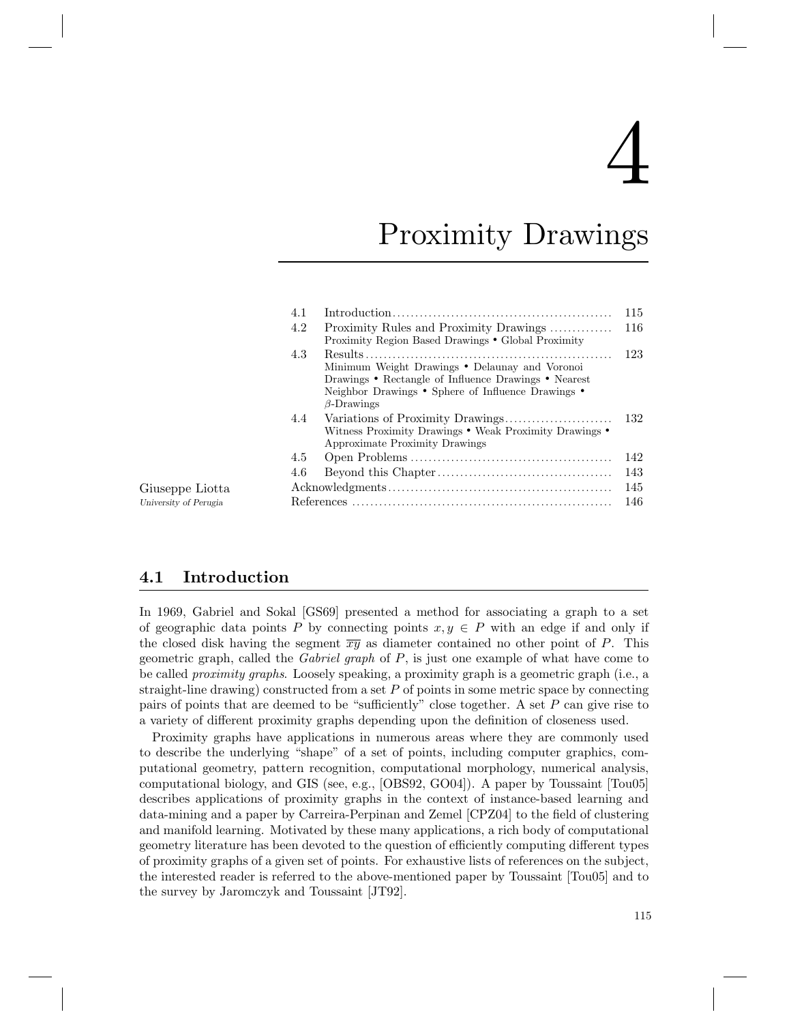# 4

## Proximity Drawings

| 4.1 |                                                                                                                                                                                   | 115 |
|-----|-----------------------------------------------------------------------------------------------------------------------------------------------------------------------------------|-----|
| 4.2 | Proximity Rules and Proximity Drawings<br>Proximity Region Based Drawings • Global Proximity                                                                                      | 116 |
| 4.3 | Minimum Weight Drawings • Delaunay and Voronoi<br>Drawings • Rectangle of Influence Drawings • Nearest<br>Neighbor Drawings • Sphere of Influence Drawings •<br>$\beta$ -Drawings | 123 |
| 4.4 | Witness Proximity Drawings • Weak Proximity Drawings •<br>Approximate Proximity Drawings                                                                                          | 132 |
| 4.5 |                                                                                                                                                                                   | 142 |
| 4.6 |                                                                                                                                                                                   | 143 |
|     |                                                                                                                                                                                   | 145 |
|     |                                                                                                                                                                                   | 146 |

Giuseppe Liotta University of Perugia

#### 4.1 Introduction

In 1969, Gabriel and Sokal [GS69] presented a method for associating a graph to a set of geographic data points P by connecting points  $x, y \in P$  with an edge if and only if the closed disk having the segment  $\overline{xy}$  as diameter contained no other point of P. This geometric graph, called the *Gabriel graph* of P, is just one example of what have come to be called *proximity graphs*. Loosely speaking, a proximity graph is a geometric graph (i.e., a straight-line drawing) constructed from a set  $P$  of points in some metric space by connecting pairs of points that are deemed to be "sufficiently" close together. A set P can give rise to a variety of different proximity graphs depending upon the definition of closeness used.

Proximity graphs have applications in numerous areas where they are commonly used to describe the underlying "shape" of a set of points, including computer graphics, computational geometry, pattern recognition, computational morphology, numerical analysis, computational biology, and GIS (see, e.g., [OBS92, GO04]). A paper by Toussaint [Tou05] describes applications of proximity graphs in the context of instance-based learning and data-mining and a paper by Carreira-Perpinan and Zemel [CPZ04] to the field of clustering and manifold learning. Motivated by these many applications, a rich body of computational geometry literature has been devoted to the question of efficiently computing different types of proximity graphs of a given set of points. For exhaustive lists of references on the subject, the interested reader is referred to the above-mentioned paper by Toussaint [Tou05] and to the survey by Jaromczyk and Toussaint [JT92].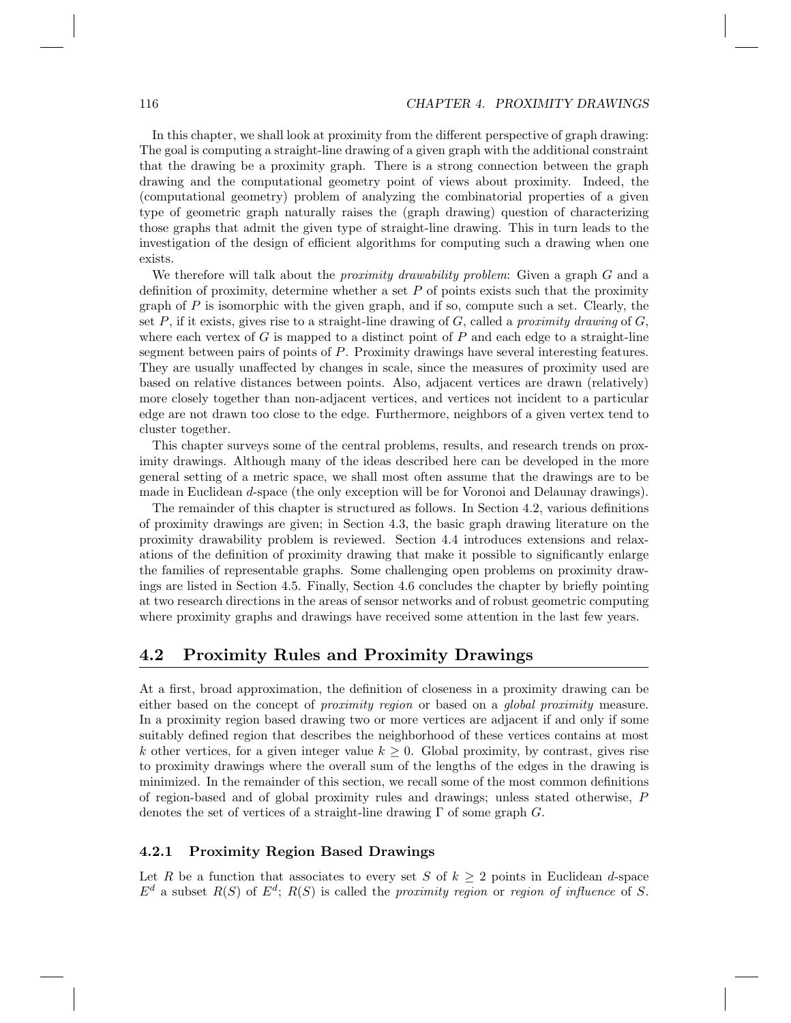In this chapter, we shall look at proximity from the different perspective of graph drawing: The goal is computing a straight-line drawing of a given graph with the additional constraint that the drawing be a proximity graph. There is a strong connection between the graph drawing and the computational geometry point of views about proximity. Indeed, the (computational geometry) problem of analyzing the combinatorial properties of a given type of geometric graph naturally raises the (graph drawing) question of characterizing those graphs that admit the given type of straight-line drawing. This in turn leads to the investigation of the design of efficient algorithms for computing such a drawing when one exists.

We therefore will talk about the *proximity drawability problem*: Given a graph G and a definition of proximity, determine whether a set  $P$  of points exists such that the proximity graph of  $P$  is isomorphic with the given graph, and if so, compute such a set. Clearly, the set P, if it exists, gives rise to a straight-line drawing of G, called a *proximity drawing* of G, where each vertex of G is mapped to a distinct point of P and each edge to a straight-line segment between pairs of points of P. Proximity drawings have several interesting features. They are usually unaffected by changes in scale, since the measures of proximity used are based on relative distances between points. Also, adjacent vertices are drawn (relatively) more closely together than non-adjacent vertices, and vertices not incident to a particular edge are not drawn too close to the edge. Furthermore, neighbors of a given vertex tend to cluster together.

This chapter surveys some of the central problems, results, and research trends on proximity drawings. Although many of the ideas described here can be developed in the more general setting of a metric space, we shall most often assume that the drawings are to be made in Euclidean d-space (the only exception will be for Voronoi and Delaunay drawings).

The remainder of this chapter is structured as follows. In Section 4.2, various definitions of proximity drawings are given; in Section 4.3, the basic graph drawing literature on the proximity drawability problem is reviewed. Section 4.4 introduces extensions and relaxations of the definition of proximity drawing that make it possible to significantly enlarge the families of representable graphs. Some challenging open problems on proximity drawings are listed in Section 4.5. Finally, Section 4.6 concludes the chapter by briefly pointing at two research directions in the areas of sensor networks and of robust geometric computing where proximity graphs and drawings have received some attention in the last few years.

#### 4.2 Proximity Rules and Proximity Drawings

At a first, broad approximation, the definition of closeness in a proximity drawing can be either based on the concept of *proximity region* or based on a *global proximity* measure. In a proximity region based drawing two or more vertices are adjacent if and only if some suitably defined region that describes the neighborhood of these vertices contains at most k other vertices, for a given integer value  $k \geq 0$ . Global proximity, by contrast, gives rise to proximity drawings where the overall sum of the lengths of the edges in the drawing is minimized. In the remainder of this section, we recall some of the most common definitions of region-based and of global proximity rules and drawings; unless stated otherwise, P denotes the set of vertices of a straight-line drawing  $\Gamma$  of some graph  $G$ .

#### 4.2.1 Proximity Region Based Drawings

Let R be a function that associates to every set S of  $k \geq 2$  points in Euclidean d-space  $E^d$  a subset  $R(S)$  of  $E^d$ ;  $R(S)$  is called the *proximity region* or *region* of *influence* of S.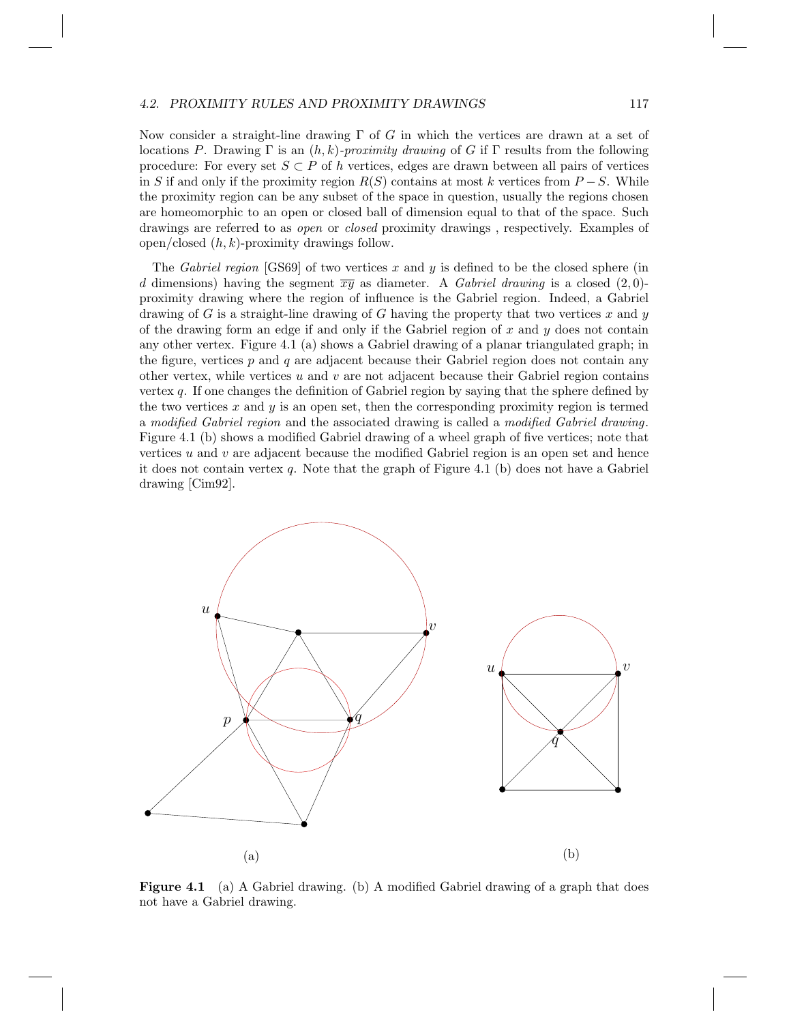#### 4.2. PROXIMITY RULES AND PROXIMITY DRAWINGS 117

Now consider a straight-line drawing  $\Gamma$  of G in which the vertices are drawn at a set of locations P. Drawing  $\Gamma$  is an  $(h, k)$ *-proximity drawing* of G if  $\Gamma$  results from the following procedure: For every set  $S \subset P$  of h vertices, edges are drawn between all pairs of vertices in S if and only if the proximity region  $R(S)$  contains at most k vertices from  $P-S$ . While the proximity region can be any subset of the space in question, usually the regions chosen are homeomorphic to an open or closed ball of dimension equal to that of the space. Such drawings are referred to as *open* or *closed* proximity drawings , respectively. Examples of open/closed  $(h, k)$ -proximity drawings follow.

The *Gabriel region* [GS69] of two vertices x and y is defined to be the closed sphere (in d dimensions) having the segment  $\overline{xy}$  as diameter. A *Gabriel drawing* is a closed  $(2, 0)$ proximity drawing where the region of influence is the Gabriel region. Indeed, a Gabriel drawing of G is a straight-line drawing of G having the property that two vertices  $x$  and  $y$ of the drawing form an edge if and only if the Gabriel region of  $x$  and  $y$  does not contain any other vertex. Figure 4.1 (a) shows a Gabriel drawing of a planar triangulated graph; in the figure, vertices  $p$  and  $q$  are adjacent because their Gabriel region does not contain any other vertex, while vertices  $u$  and  $v$  are not adjacent because their Gabriel region contains vertex q. If one changes the definition of Gabriel region by saying that the sphere defined by the two vertices  $x$  and  $y$  is an open set, then the corresponding proximity region is termed a *modified Gabriel region* and the associated drawing is called a *modified Gabriel drawing*. Figure 4.1 (b) shows a modified Gabriel drawing of a wheel graph of five vertices; note that vertices  $u$  and  $v$  are adjacent because the modified Gabriel region is an open set and hence it does not contain vertex  $q$ . Note that the graph of Figure 4.1 (b) does not have a Gabriel drawing [Cim92].



Figure 4.1 (a) A Gabriel drawing. (b) A modified Gabriel drawing of a graph that does not have a Gabriel drawing.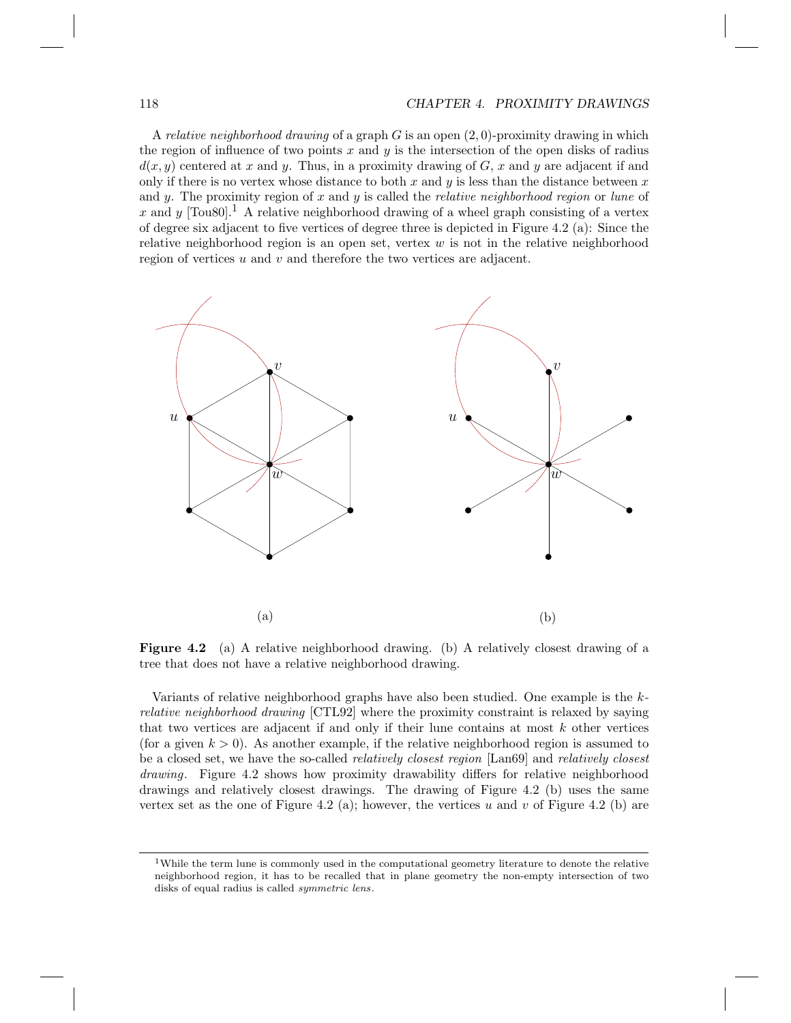A *relative neighborhood drawing* of a graph G is an open (2, 0)-proximity drawing in which the region of influence of two points  $x$  and  $y$  is the intersection of the open disks of radius  $d(x, y)$  centered at x and y. Thus, in a proximity drawing of G, x and y are adjacent if and only if there is no vertex whose distance to both  $x$  and  $y$  is less than the distance between  $x$ and y. The proximity region of x and y is called the *relative neighborhood region* or *lune* of x and y [Tou80].<sup>1</sup> A relative neighborhood drawing of a wheel graph consisting of a vertex of degree six adjacent to five vertices of degree three is depicted in Figure 4.2 (a): Since the relative neighborhood region is an open set, vertex  $w$  is not in the relative neighborhood region of vertices  $u$  and  $v$  and therefore the two vertices are adjacent.



Figure 4.2 (a) A relative neighborhood drawing. (b) A relatively closest drawing of a tree that does not have a relative neighborhood drawing.

Variants of relative neighborhood graphs have also been studied. One example is the k*relative neighborhood drawing* [CTL92] where the proximity constraint is relaxed by saying that two vertices are adjacent if and only if their lune contains at most  $k$  other vertices (for a given  $k > 0$ ). As another example, if the relative neighborhood region is assumed to be a closed set, we have the so-called *relatively closest region* [Lan69] and *relatively closest drawing*. Figure 4.2 shows how proximity drawability differs for relative neighborhood drawings and relatively closest drawings. The drawing of Figure 4.2 (b) uses the same vertex set as the one of Figure 4.2 (a); however, the vertices  $u$  and  $v$  of Figure 4.2 (b) are

<sup>&</sup>lt;sup>1</sup>While the term lune is commonly used in the computational geometry literature to denote the relative neighborhood region, it has to be recalled that in plane geometry the non-empty intersection of two disks of equal radius is called symmetric lens.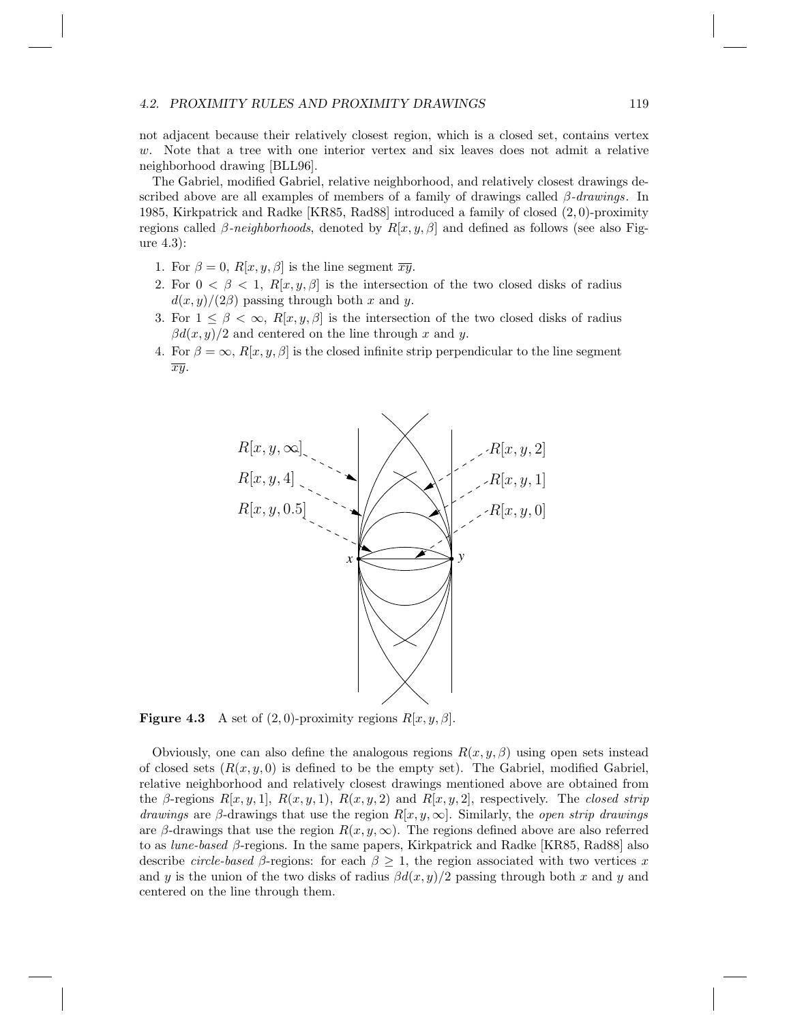#### 4.2. PROXIMITY RULES AND PROXIMITY DRAWINGS 119

not adjacent because their relatively closest region, which is a closed set, contains vertex w. Note that a tree with one interior vertex and six leaves does not admit a relative neighborhood drawing [BLL96].

The Gabriel, modified Gabriel, relative neighborhood, and relatively closest drawings described above are all examples of members of a family of drawings called β*-drawings*. In 1985, Kirkpatrick and Radke [KR85, Rad88] introduced a family of closed (2, 0)-proximity regions called  $\beta$ -*neighborhoods*, denoted by  $R[x, y, \beta]$  and defined as follows (see also Figure 4.3):

- 1. For  $\beta = 0$ ,  $R[x, y, \beta]$  is the line segment  $\overline{xy}$ .
- 2. For  $0 < \beta < 1$ ,  $R[x, y, \beta]$  is the intersection of the two closed disks of radius  $d(x, y)/(2\beta)$  passing through both x and y.
- 3. For  $1 \leq \beta < \infty$ ,  $R[x, y, \beta]$  is the intersection of the two closed disks of radius  $\beta d(x, y)/2$  and centered on the line through x and y.
- 4. For  $\beta = \infty$ ,  $R[x, y, \beta]$  is the closed infinite strip perpendicular to the line segment  $\overline{xy}$ .



**Figure 4.3** A set of  $(2, 0)$ -proximity regions  $R[x, y, \beta]$ .

Obviously, one can also define the analogous regions  $R(x, y, \beta)$  using open sets instead of closed sets  $(R(x, y, 0))$  is defined to be the empty set). The Gabriel, modified Gabriel, relative neighborhood and relatively closest drawings mentioned above are obtained from the β-regions  $R[x, y, 1], R(x, y, 1), R(x, y, 2)$  and  $R[x, y, 2]$ , respectively. The *closed strip drawings* are β-drawings that use the region  $R[x, y, \infty]$ . Similarly, the *open strip drawings* are β-drawings that use the region  $R(x, y, \infty)$ . The regions defined above are also referred to as *lune-based* β-regions. In the same papers, Kirkpatrick and Radke [KR85, Rad88] also describe *circle-based*  $\beta$ -regions: for each  $\beta > 1$ , the region associated with two vertices x and y is the union of the two disks of radius  $\beta d(x, y)/2$  passing through both x and y and centered on the line through them.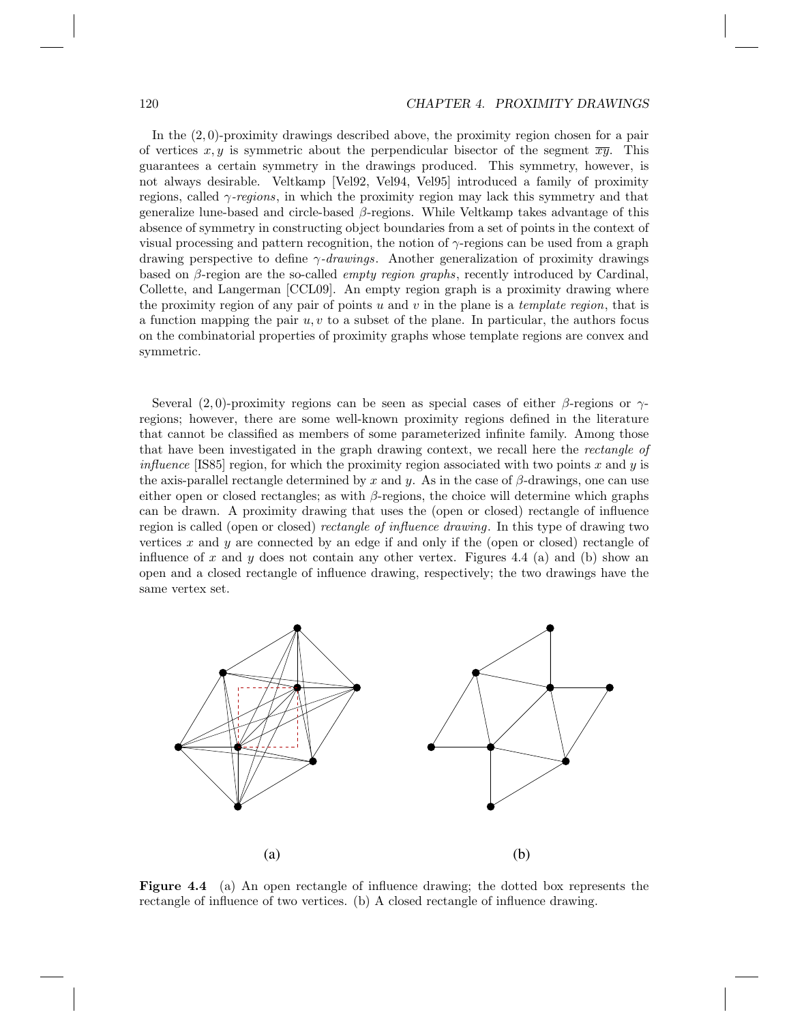In the (2, 0)-proximity drawings described above, the proximity region chosen for a pair of vertices x, y is symmetric about the perpendicular bisector of the segment  $\overline{xy}$ . This guarantees a certain symmetry in the drawings produced. This symmetry, however, is not always desirable. Veltkamp [Vel92, Vel94, Vel95] introduced a family of proximity regions, called γ*-regions*, in which the proximity region may lack this symmetry and that generalize lune-based and circle-based  $\beta$ -regions. While Veltkamp takes advantage of this absence of symmetry in constructing object boundaries from a set of points in the context of visual processing and pattern recognition, the notion of  $\gamma$ -regions can be used from a graph drawing perspective to define γ*-drawings*. Another generalization of proximity drawings based on β-region are the so-called *empty region graphs*, recently introduced by Cardinal, Collette, and Langerman [CCL09]. An empty region graph is a proximity drawing where the proximity region of any pair of points u and v in the plane is a *template region*, that is a function mapping the pair  $u, v$  to a subset of the plane. In particular, the authors focus on the combinatorial properties of proximity graphs whose template regions are convex and symmetric.

Several (2,0)-proximity regions can be seen as special cases of either  $\beta$ -regions or  $\gamma$ regions; however, there are some well-known proximity regions defined in the literature that cannot be classified as members of some parameterized infinite family. Among those that have been investigated in the graph drawing context, we recall here the *rectangle of influence* [IS85] region, for which the proximity region associated with two points x and y is the axis-parallel rectangle determined by x and y. As in the case of  $\beta$ -drawings, one can use either open or closed rectangles; as with  $\beta$ -regions, the choice will determine which graphs can be drawn. A proximity drawing that uses the (open or closed) rectangle of influence region is called (open or closed) *rectangle of influence drawing*. In this type of drawing two vertices x and y are connected by an edge if and only if the (open or closed) rectangle of influence of x and y does not contain any other vertex. Figures 4.4 (a) and (b) show an open and a closed rectangle of influence drawing, respectively; the two drawings have the same vertex set.



Figure 4.4 (a) An open rectangle of influence drawing; the dotted box represents the rectangle of influence of two vertices. (b) A closed rectangle of influence drawing.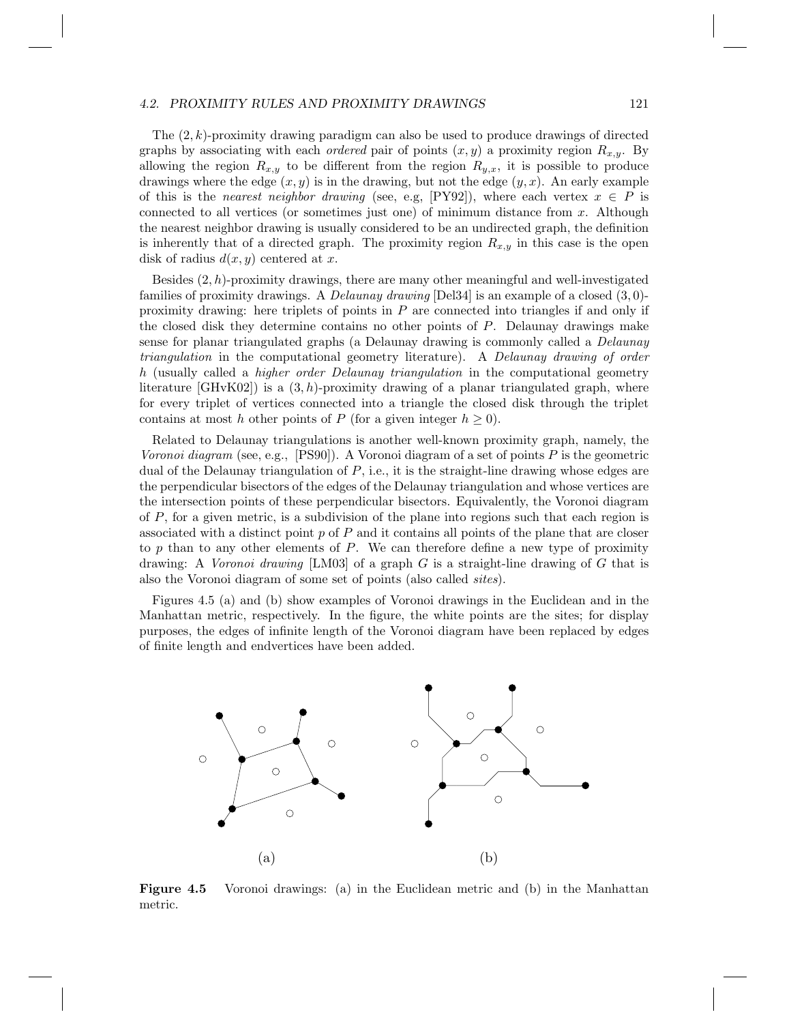#### 4.2. PROXIMITY RULES AND PROXIMITY DRAWINGS 121

The (2, k)-proximity drawing paradigm can also be used to produce drawings of directed graphs by associating with each *ordered* pair of points  $(x, y)$  a proximity region  $R_{x,y}$ . By allowing the region  $R_{x,y}$  to be different from the region  $R_{y,x}$ , it is possible to produce drawings where the edge  $(x, y)$  is in the drawing, but not the edge  $(y, x)$ . An early example of this is the *nearest neighbor drawing* (see, e.g, [PY92]), where each vertex  $x \in P$  is connected to all vertices (or sometimes just one) of minimum distance from x. Although the nearest neighbor drawing is usually considered to be an undirected graph, the definition is inherently that of a directed graph. The proximity region  $R_{x,y}$  in this case is the open disk of radius  $d(x, y)$  centered at x.

Besides  $(2, h)$ -proximity drawings, there are many other meaningful and well-investigated families of proximity drawings. A *Delaunay drawing* [Del34] is an example of a closed (3, 0) proximity drawing: here triplets of points in  $P$  are connected into triangles if and only if the closed disk they determine contains no other points of P. Delaunay drawings make sense for planar triangulated graphs (a Delaunay drawing is commonly called a *Delaunay triangulation* in the computational geometry literature). A *Delaunay drawing of order* h (usually called a *higher order Delaunay triangulation* in the computational geometry literature  $[\text{GHvK02}]$  is a  $(3, h)$ -proximity drawing of a planar triangulated graph, where for every triplet of vertices connected into a triangle the closed disk through the triplet contains at most h other points of P (for a given integer  $h \geq 0$ ).

Related to Delaunay triangulations is another well-known proximity graph, namely, the *Voronoi diagram* (see, e.g., [PS90]). A Voronoi diagram of a set of points P is the geometric dual of the Delaunay triangulation of  $P$ , i.e., it is the straight-line drawing whose edges are the perpendicular bisectors of the edges of the Delaunay triangulation and whose vertices are the intersection points of these perpendicular bisectors. Equivalently, the Voronoi diagram of  $P$ , for a given metric, is a subdivision of the plane into regions such that each region is associated with a distinct point  $p$  of  $P$  and it contains all points of the plane that are closer to  $p$  than to any other elements of  $P$ . We can therefore define a new type of proximity drawing: A *Voronoi drawing* [LM03] of a graph G is a straight-line drawing of G that is also the Voronoi diagram of some set of points (also called *sites*).

Figures 4.5 (a) and (b) show examples of Voronoi drawings in the Euclidean and in the Manhattan metric, respectively. In the figure, the white points are the sites; for display purposes, the edges of infinite length of the Voronoi diagram have been replaced by edges of finite length and endvertices have been added.



Figure 4.5 Voronoi drawings: (a) in the Euclidean metric and (b) in the Manhattan metric.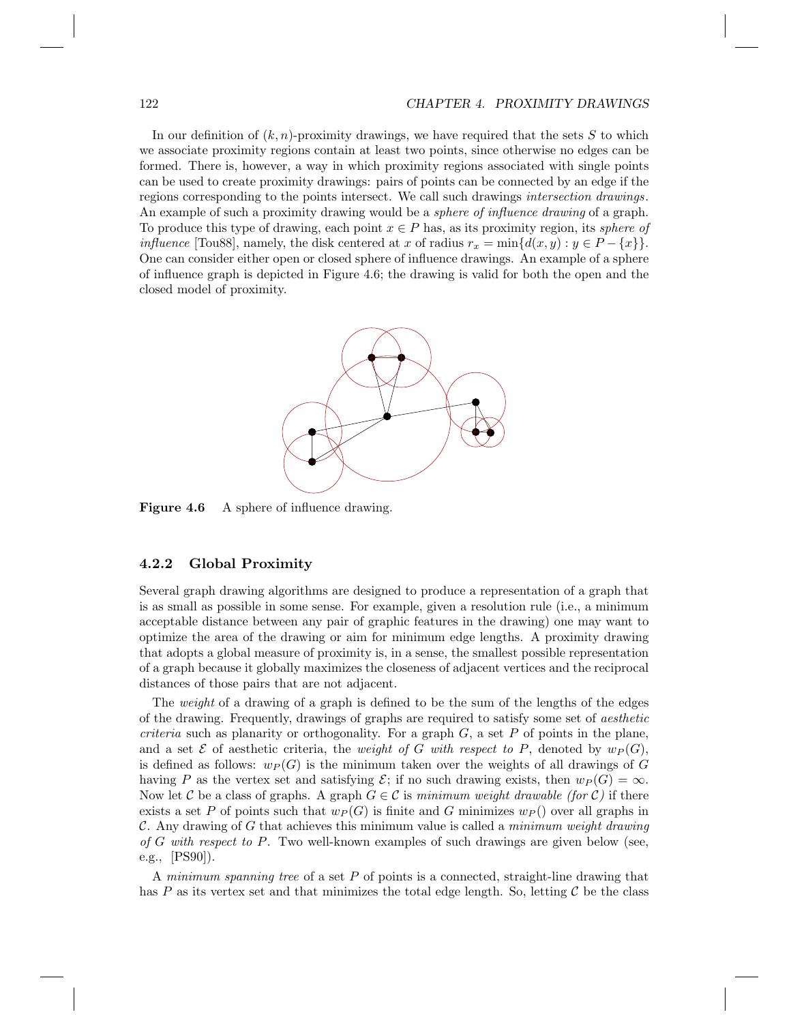In our definition of  $(k, n)$ -proximity drawings, we have required that the sets S to which we associate proximity regions contain at least two points, since otherwise no edges can be formed. There is, however, a way in which proximity regions associated with single points can be used to create proximity drawings: pairs of points can be connected by an edge if the regions corresponding to the points intersect. We call such drawings *intersection drawings*. An example of such a proximity drawing would be a *sphere of influence drawing* of a graph. To produce this type of drawing, each point x ∈ P has, as its proximity region, its *sphere of influence* [Tou88], namely, the disk centered at x of radius  $r_x = \min\{d(x, y) : y \in P - \{x\}\}.$ One can consider either open or closed sphere of influence drawings. An example of a sphere of influence graph is depicted in Figure 4.6; the drawing is valid for both the open and the closed model of proximity.



Figure 4.6 A sphere of influence drawing.

#### 4.2.2 Global Proximity

Several graph drawing algorithms are designed to produce a representation of a graph that is as small as possible in some sense. For example, given a resolution rule (i.e., a minimum acceptable distance between any pair of graphic features in the drawing) one may want to optimize the area of the drawing or aim for minimum edge lengths. A proximity drawing that adopts a global measure of proximity is, in a sense, the smallest possible representation of a graph because it globally maximizes the closeness of adjacent vertices and the reciprocal distances of those pairs that are not adjacent.

The *weight* of a drawing of a graph is defined to be the sum of the lengths of the edges of the drawing. Frequently, drawings of graphs are required to satisfy some set of *aesthetic criteria* such as planarity or orthogonality. For a graph  $G$ , a set  $P$  of points in the plane, and a set  $\mathcal E$  of aesthetic criteria, the *weight of* G *with respect to* P, denoted by  $w_P(G)$ , is defined as follows:  $w_P(G)$  is the minimum taken over the weights of all drawings of G having P as the vertex set and satisfying  $\mathcal{E}$ ; if no such drawing exists, then  $w_P(G) = \infty$ . Now let C be a class of graphs. A graph  $G \in \mathcal{C}$  is *minimum weight drawable (for* C) if there exists a set P of points such that  $w_P(G)$  is finite and G minimizes  $w_P()$  over all graphs in C. Any drawing of G that achieves this minimum value is called a *minimum weight drawing of* G *with respect to* P. Two well-known examples of such drawings are given below (see, e.g., [PS90]).

A *minimum spanning tree* of a set P of points is a connected, straight-line drawing that has P as its vertex set and that minimizes the total edge length. So, letting C be the class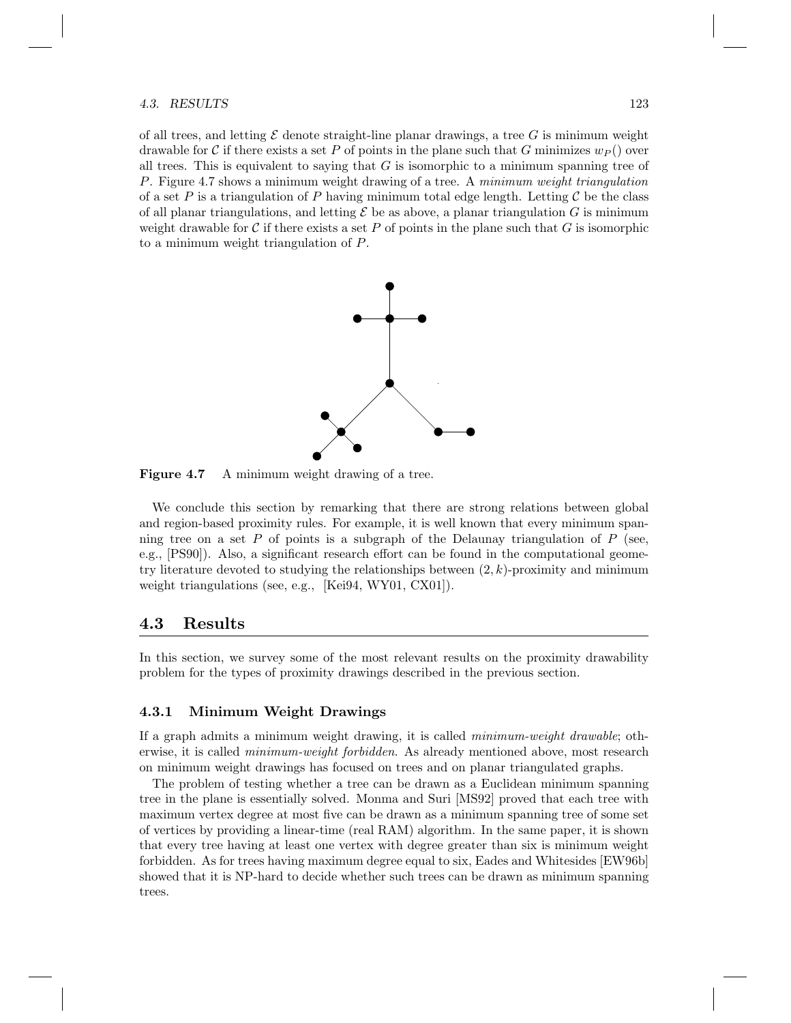#### 4.3. RESULTS 123

of all trees, and letting  $\mathcal E$  denote straight-line planar drawings, a tree G is minimum weight drawable for C if there exists a set P of points in the plane such that G minimizes  $w_P()$  over all trees. This is equivalent to saying that  $G$  is isomorphic to a minimum spanning tree of P. Figure 4.7 shows a minimum weight drawing of a tree. A *minimum weight triangulation* of a set P is a triangulation of P having minimum total edge length. Letting  $\mathcal C$  be the class of all planar triangulations, and letting  $\mathcal E$  be as above, a planar triangulation  $G$  is minimum weight drawable for C if there exists a set P of points in the plane such that G is isomorphic to a minimum weight triangulation of P.



Figure 4.7 A minimum weight drawing of a tree.

We conclude this section by remarking that there are strong relations between global and region-based proximity rules. For example, it is well known that every minimum spanning tree on a set  $P$  of points is a subgraph of the Delaunay triangulation of  $P$  (see, e.g., [PS90]). Also, a significant research effort can be found in the computational geometry literature devoted to studying the relationships between  $(2, k)$ -proximity and minimum weight triangulations (see, e.g., [Kei94, WY01, CX01]).

#### 4.3 Results

In this section, we survey some of the most relevant results on the proximity drawability problem for the types of proximity drawings described in the previous section.

#### 4.3.1 Minimum Weight Drawings

If a graph admits a minimum weight drawing, it is called *minimum-weight drawable*; otherwise, it is called *minimum-weight forbidden*. As already mentioned above, most research on minimum weight drawings has focused on trees and on planar triangulated graphs.

The problem of testing whether a tree can be drawn as a Euclidean minimum spanning tree in the plane is essentially solved. Monma and Suri [MS92] proved that each tree with maximum vertex degree at most five can be drawn as a minimum spanning tree of some set of vertices by providing a linear-time (real RAM) algorithm. In the same paper, it is shown that every tree having at least one vertex with degree greater than six is minimum weight forbidden. As for trees having maximum degree equal to six, Eades and Whitesides [EW96b] showed that it is NP-hard to decide whether such trees can be drawn as minimum spanning trees.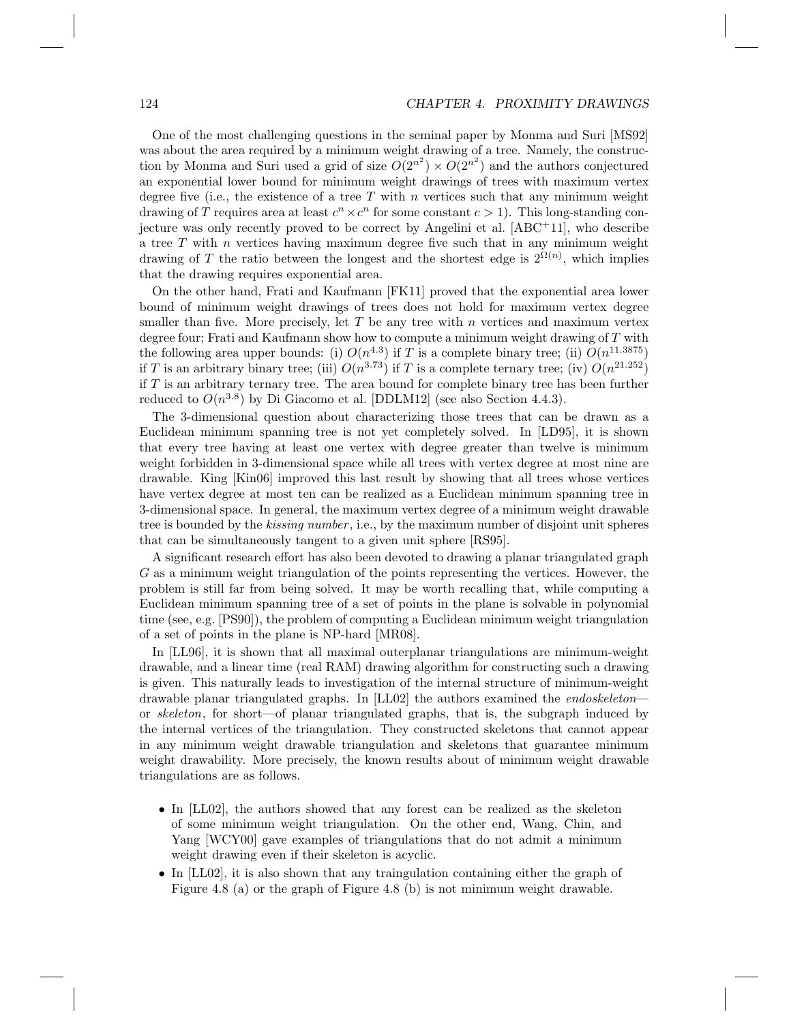One of the most challenging questions in the seminal paper by Monma and Suri [MS92] was about the area required by a minimum weight drawing of a tree. Namely, the construction by Monma and Suri used a grid of size  $O(2^{n^2}) \times O(2^{n^2})$  and the authors conjectured an exponential lower bound for minimum weight drawings of trees with maximum vertex degree five (i.e., the existence of a tree T with n vertices such that any minimum weight drawing of T requires area at least  $c^n \times c^n$  for some constant  $c > 1$ ). This long-standing conjecture was only recently proved to be correct by Angelini et al.  $[ABC^+11]$ , who describe a tree  $T$  with  $n$  vertices having maximum degree five such that in any minimum weight drawing of T the ratio between the longest and the shortest edge is  $2^{\Omega(n)}$ , which implies that the drawing requires exponential area.

On the other hand, Frati and Kaufmann [FK11] proved that the exponential area lower bound of minimum weight drawings of trees does not hold for maximum vertex degree smaller than five. More precisely, let  $T$  be any tree with  $n$  vertices and maximum vertex degree four; Frati and Kaufmann show how to compute a minimum weight drawing of  $T$  with the following area upper bounds: (i)  $O(n^{4.3})$  if T is a complete binary tree; (ii)  $O(n^{11.3875})$ if T is an arbitrary binary tree; (iii)  $O(n^{3.73})$  if T is a complete ternary tree; (iv)  $O(n^{21.252})$ if  $T$  is an arbitrary ternary tree. The area bound for complete binary tree has been further reduced to  $O(n^{3.8})$  by Di Giacomo et al. [DDLM12] (see also Section 4.4.3).

The 3-dimensional question about characterizing those trees that can be drawn as a Euclidean minimum spanning tree is not yet completely solved. In [LD95], it is shown that every tree having at least one vertex with degree greater than twelve is minimum weight forbidden in 3-dimensional space while all trees with vertex degree at most nine are drawable. King [Kin06] improved this last result by showing that all trees whose vertices have vertex degree at most ten can be realized as a Euclidean minimum spanning tree in 3-dimensional space. In general, the maximum vertex degree of a minimum weight drawable tree is bounded by the *kissing number* , i.e., by the maximum number of disjoint unit spheres that can be simultaneously tangent to a given unit sphere [RS95].

A significant research effort has also been devoted to drawing a planar triangulated graph G as a minimum weight triangulation of the points representing the vertices. However, the problem is still far from being solved. It may be worth recalling that, while computing a Euclidean minimum spanning tree of a set of points in the plane is solvable in polynomial time (see, e.g. [PS90]), the problem of computing a Euclidean minimum weight triangulation of a set of points in the plane is NP-hard [MR08].

In [LL96], it is shown that all maximal outerplanar triangulations are minimum-weight drawable, and a linear time (real RAM) drawing algorithm for constructing such a drawing is given. This naturally leads to investigation of the internal structure of minimum-weight drawable planar triangulated graphs. In [LL02] the authors examined the *endoskeleton* or *skeleton*, for short—of planar triangulated graphs, that is, the subgraph induced by the internal vertices of the triangulation. They constructed skeletons that cannot appear in any minimum weight drawable triangulation and skeletons that guarantee minimum weight drawability. More precisely, the known results about of minimum weight drawable triangulations are as follows.

- In [LL02], the authors showed that any forest can be realized as the skeleton of some minimum weight triangulation. On the other end, Wang, Chin, and Yang [WCY00] gave examples of triangulations that do not admit a minimum weight drawing even if their skeleton is acyclic.
- In [LL02], it is also shown that any traingulation containing either the graph of Figure 4.8 (a) or the graph of Figure 4.8 (b) is not minimum weight drawable.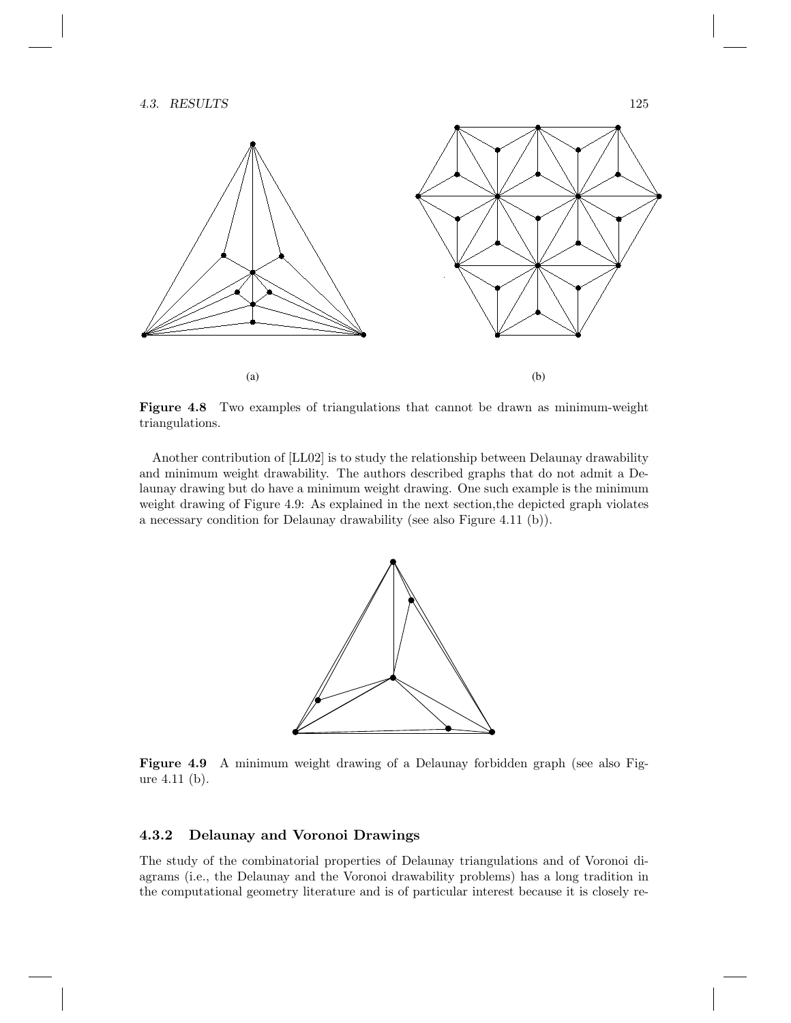4.3. RESULTS 125



Figure 4.8 Two examples of triangulations that cannot be drawn as minimum-weight triangulations.

Another contribution of [LL02] is to study the relationship between Delaunay drawability and minimum weight drawability. The authors described graphs that do not admit a Delaunay drawing but do have a minimum weight drawing. One such example is the minimum weight drawing of Figure 4.9: As explained in the next section,the depicted graph violates a necessary condition for Delaunay drawability (see also Figure 4.11 (b)).



Figure 4.9 A minimum weight drawing of a Delaunay forbidden graph (see also Figure 4.11 (b).

#### 4.3.2 Delaunay and Voronoi Drawings

The study of the combinatorial properties of Delaunay triangulations and of Voronoi diagrams (i.e., the Delaunay and the Voronoi drawability problems) has a long tradition in the computational geometry literature and is of particular interest because it is closely re-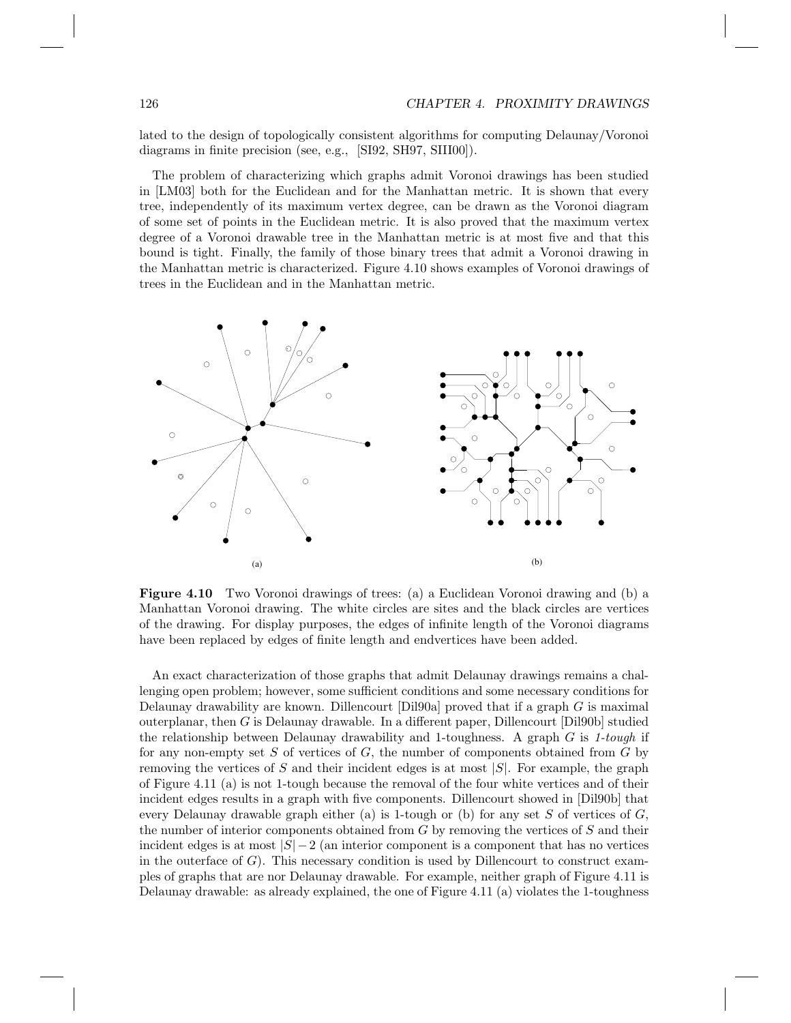lated to the design of topologically consistent algorithms for computing Delaunay/Voronoi diagrams in finite precision (see, e.g., [SI92, SH97, SIII00]).

The problem of characterizing which graphs admit Voronoi drawings has been studied in [LM03] both for the Euclidean and for the Manhattan metric. It is shown that every tree, independently of its maximum vertex degree, can be drawn as the Voronoi diagram of some set of points in the Euclidean metric. It is also proved that the maximum vertex degree of a Voronoi drawable tree in the Manhattan metric is at most five and that this bound is tight. Finally, the family of those binary trees that admit a Voronoi drawing in the Manhattan metric is characterized. Figure 4.10 shows examples of Voronoi drawings of trees in the Euclidean and in the Manhattan metric.



Figure 4.10 Two Voronoi drawings of trees: (a) a Euclidean Voronoi drawing and (b) a Manhattan Voronoi drawing. The white circles are sites and the black circles are vertices of the drawing. For display purposes, the edges of infinite length of the Voronoi diagrams have been replaced by edges of finite length and endvertices have been added.

An exact characterization of those graphs that admit Delaunay drawings remains a challenging open problem; however, some sufficient conditions and some necessary conditions for Delaunay drawability are known. Dillencourt [Dil90a] proved that if a graph G is maximal outerplanar, then G is Delaunay drawable. In a different paper, Dillencourt [Dil90b] studied the relationship between Delaunay drawability and 1-toughness. A graph G is *1-tough* if for any non-empty set S of vertices of  $G$ , the number of components obtained from  $G$  by removing the vertices of S and their incident edges is at most  $|S|$ . For example, the graph of Figure 4.11 (a) is not 1-tough because the removal of the four white vertices and of their incident edges results in a graph with five components. Dillencourt showed in [Dil90b] that every Delaunay drawable graph either (a) is 1-tough or (b) for any set S of vertices of  $G$ , the number of interior components obtained from  $G$  by removing the vertices of  $S$  and their incident edges is at most  $|S| - 2$  (an interior component is a component that has no vertices in the outerface of  $G$ ). This necessary condition is used by Dillencourt to construct examples of graphs that are nor Delaunay drawable. For example, neither graph of Figure 4.11 is Delaunay drawable: as already explained, the one of Figure 4.11 (a) violates the 1-toughness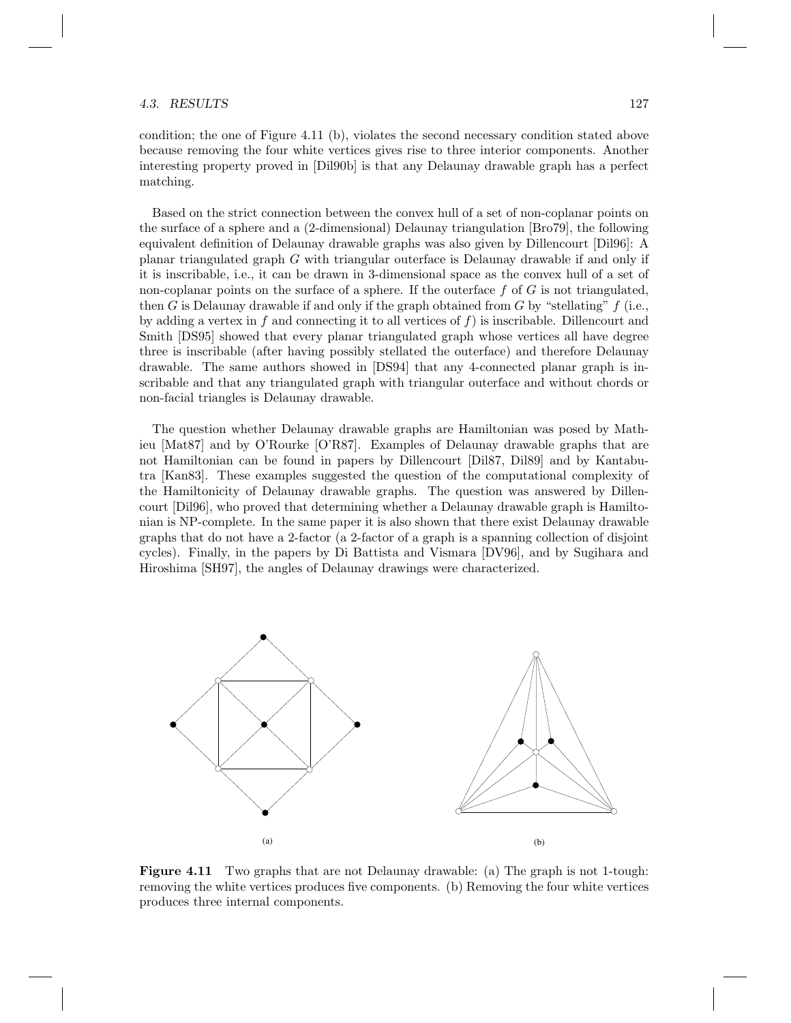#### 4.3. RESULTS 127

condition; the one of Figure 4.11 (b), violates the second necessary condition stated above because removing the four white vertices gives rise to three interior components. Another interesting property proved in [Dil90b] is that any Delaunay drawable graph has a perfect matching.

Based on the strict connection between the convex hull of a set of non-coplanar points on the surface of a sphere and a (2-dimensional) Delaunay triangulation [Bro79], the following equivalent definition of Delaunay drawable graphs was also given by Dillencourt [Dil96]: A planar triangulated graph  $G$  with triangular outerface is Delaunay drawable if and only if it is inscribable, i.e., it can be drawn in 3-dimensional space as the convex hull of a set of non-coplanar points on the surface of a sphere. If the outerface  $f$  of  $G$  is not triangulated, then G is Delaunay drawable if and only if the graph obtained from G by "stellating"  $f$  (i.e., by adding a vertex in  $f$  and connecting it to all vertices of  $f$ ) is inscribable. Dillencourt and Smith [DS95] showed that every planar triangulated graph whose vertices all have degree three is inscribable (after having possibly stellated the outerface) and therefore Delaunay drawable. The same authors showed in [DS94] that any 4-connected planar graph is inscribable and that any triangulated graph with triangular outerface and without chords or non-facial triangles is Delaunay drawable.

The question whether Delaunay drawable graphs are Hamiltonian was posed by Mathieu [Mat87] and by O'Rourke [O'R87]. Examples of Delaunay drawable graphs that are not Hamiltonian can be found in papers by Dillencourt [Dil87, Dil89] and by Kantabutra [Kan83]. These examples suggested the question of the computational complexity of the Hamiltonicity of Delaunay drawable graphs. The question was answered by Dillencourt [Dil96], who proved that determining whether a Delaunay drawable graph is Hamiltonian is NP-complete. In the same paper it is also shown that there exist Delaunay drawable graphs that do not have a 2-factor (a 2-factor of a graph is a spanning collection of disjoint cycles). Finally, in the papers by Di Battista and Vismara [DV96], and by Sugihara and Hiroshima [SH97], the angles of Delaunay drawings were characterized.



Figure 4.11 Two graphs that are not Delaunay drawable: (a) The graph is not 1-tough: removing the white vertices produces five components. (b) Removing the four white vertices produces three internal components.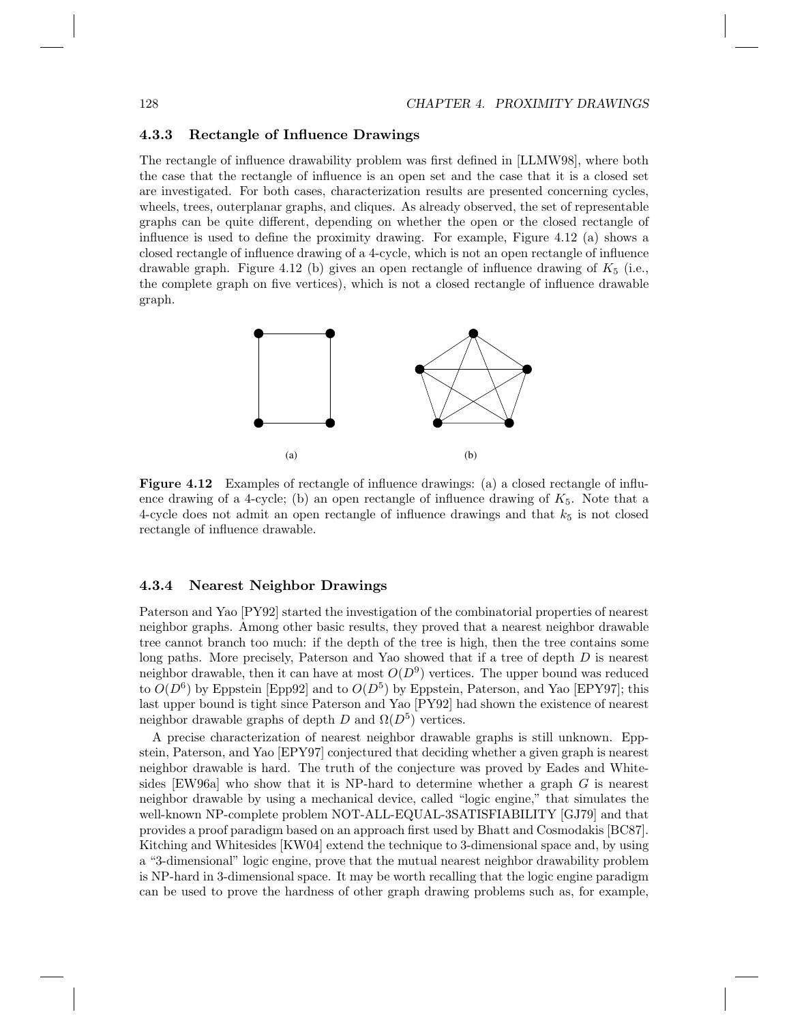#### 4.3.3 Rectangle of Influence Drawings

The rectangle of influence drawability problem was first defined in [LLMW98], where both the case that the rectangle of influence is an open set and the case that it is a closed set are investigated. For both cases, characterization results are presented concerning cycles, wheels, trees, outerplanar graphs, and cliques. As already observed, the set of representable graphs can be quite different, depending on whether the open or the closed rectangle of influence is used to define the proximity drawing. For example, Figure 4.12 (a) shows a closed rectangle of influence drawing of a 4-cycle, which is not an open rectangle of influence drawable graph. Figure 4.12 (b) gives an open rectangle of influence drawing of  $K_5$  (i.e., the complete graph on five vertices), which is not a closed rectangle of influence drawable graph.



Figure 4.12 Examples of rectangle of influence drawings: (a) a closed rectangle of influence drawing of a 4-cycle; (b) an open rectangle of influence drawing of  $K_5$ . Note that a 4-cycle does not admit an open rectangle of influence drawings and that  $k_5$  is not closed rectangle of influence drawable.

#### 4.3.4 Nearest Neighbor Drawings

Paterson and Yao [PY92] started the investigation of the combinatorial properties of nearest neighbor graphs. Among other basic results, they proved that a nearest neighbor drawable tree cannot branch too much: if the depth of the tree is high, then the tree contains some long paths. More precisely, Paterson and Yao showed that if a tree of depth  $D$  is nearest neighbor drawable, then it can have at most  $O(D^9)$  vertices. The upper bound was reduced to  $O(D^6)$  by Eppstein [Epp92] and to  $O(D^5)$  by Eppstein, Paterson, and Yao [EPY97]; this last upper bound is tight since Paterson and Yao [PY92] had shown the existence of nearest neighbor drawable graphs of depth D and  $\Omega(D^5)$  vertices.

A precise characterization of nearest neighbor drawable graphs is still unknown. Eppstein, Paterson, and Yao [EPY97] conjectured that deciding whether a given graph is nearest neighbor drawable is hard. The truth of the conjecture was proved by Eades and Whitesides [EW96a] who show that it is NP-hard to determine whether a graph  $G$  is nearest neighbor drawable by using a mechanical device, called "logic engine," that simulates the well-known NP-complete problem NOT-ALL-EQUAL-3SATISFIABILITY [GJ79] and that provides a proof paradigm based on an approach first used by Bhatt and Cosmodakis [BC87]. Kitching and Whitesides [KW04] extend the technique to 3-dimensional space and, by using a "3-dimensional" logic engine, prove that the mutual nearest neighbor drawability problem is NP-hard in 3-dimensional space. It may be worth recalling that the logic engine paradigm can be used to prove the hardness of other graph drawing problems such as, for example,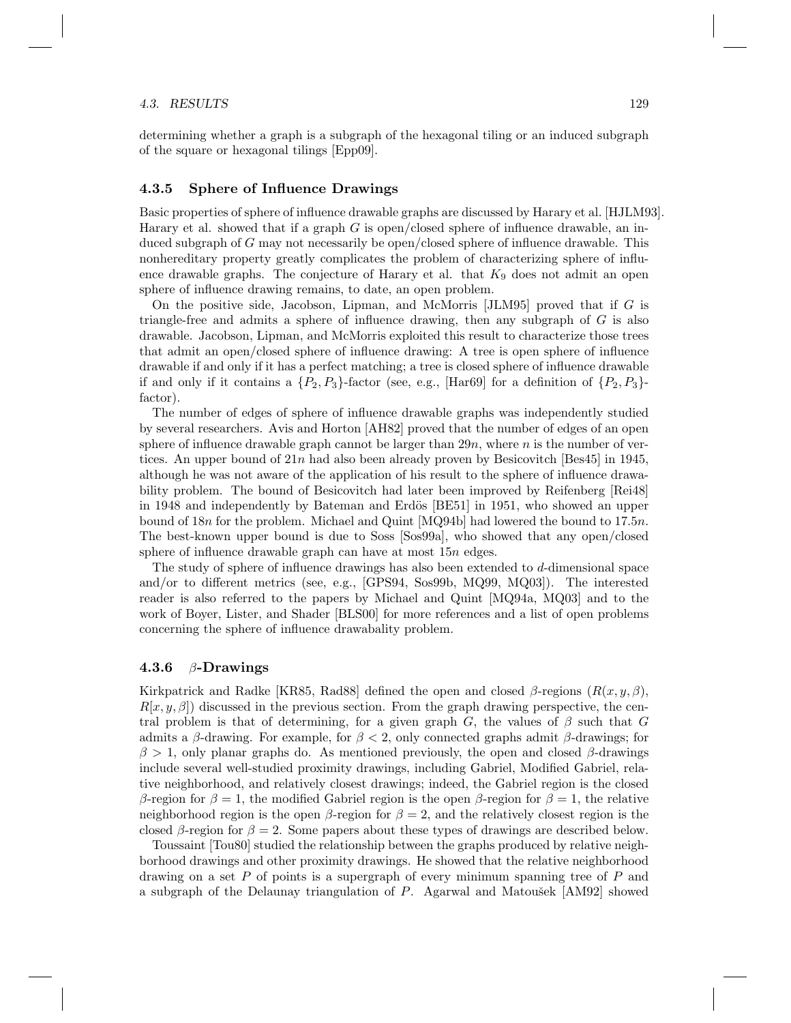#### 4.3. RESULTS 129

determining whether a graph is a subgraph of the hexagonal tiling or an induced subgraph of the square or hexagonal tilings [Epp09].

#### 4.3.5 Sphere of Influence Drawings

Basic properties of sphere of influence drawable graphs are discussed by Harary et al. [HJLM93]. Harary et al. showed that if a graph  $G$  is open/closed sphere of influence drawable, an induced subgraph of G may not necessarily be open/closed sphere of influence drawable. This nonhereditary property greatly complicates the problem of characterizing sphere of influence drawable graphs. The conjecture of Harary et al. that  $K_9$  does not admit an open sphere of influence drawing remains, to date, an open problem.

On the positive side, Jacobson, Lipman, and McMorris  $[JLM95]$  proved that if G is triangle-free and admits a sphere of influence drawing, then any subgraph of  $G$  is also drawable. Jacobson, Lipman, and McMorris exploited this result to characterize those trees that admit an open/closed sphere of influence drawing: A tree is open sphere of influence drawable if and only if it has a perfect matching; a tree is closed sphere of influence drawable if and only if it contains a  $\{P_2, P_3\}$ -factor (see, e.g., [Har69] for a definition of  $\{P_2, P_3\}$ factor).

The number of edges of sphere of influence drawable graphs was independently studied by several researchers. Avis and Horton [AH82] proved that the number of edges of an open sphere of influence drawable graph cannot be larger than  $29n$ , where n is the number of vertices. An upper bound of  $21n$  had also been already proven by Besicovitch [Bes45] in 1945, although he was not aware of the application of his result to the sphere of influence drawability problem. The bound of Besicovitch had later been improved by Reifenberg [Rei48] in 1948 and independently by Bateman and Erdös [BE51] in 1951, who showed an upper bound of 18n for the problem. Michael and Quint [MQ94b] had lowered the bound to 17.5n. The best-known upper bound is due to Soss [Sos99a], who showed that any open/closed sphere of influence drawable graph can have at most 15n edges.

The study of sphere of influence drawings has also been extended to d-dimensional space and/or to different metrics (see, e.g., [GPS94, Sos99b, MQ99, MQ03]). The interested reader is also referred to the papers by Michael and Quint [MQ94a, MQ03] and to the work of Boyer, Lister, and Shader [BLS00] for more references and a list of open problems concerning the sphere of influence drawabality problem.

#### 4.3.6  $\beta$ -Drawings

Kirkpatrick and Radke [KR85, Rad88] defined the open and closed  $\beta$ -regions  $(R(x, y, \beta),$  $R[x, y, \beta]$  discussed in the previous section. From the graph drawing perspective, the central problem is that of determining, for a given graph G, the values of  $\beta$  such that G admits a β-drawing. For example, for  $\beta < 2$ , only connected graphs admit  $\beta$ -drawings; for  $\beta > 1$ , only planar graphs do. As mentioned previously, the open and closed  $\beta$ -drawings include several well-studied proximity drawings, including Gabriel, Modified Gabriel, relative neighborhood, and relatively closest drawings; indeed, the Gabriel region is the closed β-region for  $β = 1$ , the modified Gabriel region is the open β-region for  $β = 1$ , the relative neighborhood region is the open  $\beta$ -region for  $\beta = 2$ , and the relatively closest region is the closed β-region for  $\beta = 2$ . Some papers about these types of drawings are described below.

Toussaint [Tou80] studied the relationship between the graphs produced by relative neighborhood drawings and other proximity drawings. He showed that the relative neighborhood drawing on a set  $P$  of points is a supergraph of every minimum spanning tree of  $P$  and a subgraph of the Delaunay triangulation of  $P$ . Agarwal and Matoušek [AM92] showed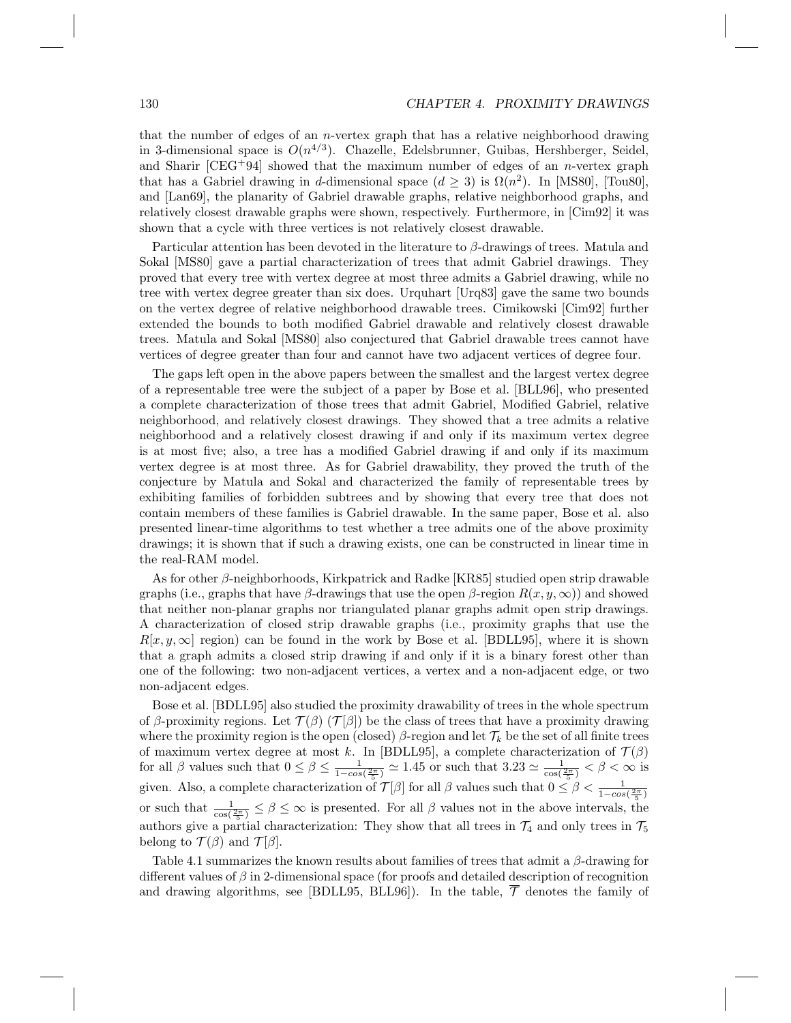that the number of edges of an  $n$ -vertex graph that has a relative neighborhood drawing in 3-dimensional space is  $O(n^{4/3})$ . Chazelle, Edelsbrunner, Guibas, Hershberger, Seidel, and Sharir  $[CEG+94]$  showed that the maximum number of edges of an *n*-vertex graph that has a Gabriel drawing in d-dimensional space  $(d \ge 3)$  is  $\Omega(n^2)$ . In [MS80], [Tou80], and [Lan69], the planarity of Gabriel drawable graphs, relative neighborhood graphs, and relatively closest drawable graphs were shown, respectively. Furthermore, in [Cim92] it was shown that a cycle with three vertices is not relatively closest drawable.

Particular attention has been devoted in the literature to  $\beta$ -drawings of trees. Matula and Sokal [MS80] gave a partial characterization of trees that admit Gabriel drawings. They proved that every tree with vertex degree at most three admits a Gabriel drawing, while no tree with vertex degree greater than six does. Urquhart [Urq83] gave the same two bounds on the vertex degree of relative neighborhood drawable trees. Cimikowski [Cim92] further extended the bounds to both modified Gabriel drawable and relatively closest drawable trees. Matula and Sokal [MS80] also conjectured that Gabriel drawable trees cannot have vertices of degree greater than four and cannot have two adjacent vertices of degree four.

The gaps left open in the above papers between the smallest and the largest vertex degree of a representable tree were the subject of a paper by Bose et al. [BLL96], who presented a complete characterization of those trees that admit Gabriel, Modified Gabriel, relative neighborhood, and relatively closest drawings. They showed that a tree admits a relative neighborhood and a relatively closest drawing if and only if its maximum vertex degree is at most five; also, a tree has a modified Gabriel drawing if and only if its maximum vertex degree is at most three. As for Gabriel drawability, they proved the truth of the conjecture by Matula and Sokal and characterized the family of representable trees by exhibiting families of forbidden subtrees and by showing that every tree that does not contain members of these families is Gabriel drawable. In the same paper, Bose et al. also presented linear-time algorithms to test whether a tree admits one of the above proximity drawings; it is shown that if such a drawing exists, one can be constructed in linear time in the real-RAM model.

As for other β-neighborhoods, Kirkpatrick and Radke [KR85] studied open strip drawable graphs (i.e., graphs that have  $\beta$ -drawings that use the open  $\beta$ -region  $R(x, y, \infty)$ ) and showed that neither non-planar graphs nor triangulated planar graphs admit open strip drawings. A characterization of closed strip drawable graphs (i.e., proximity graphs that use the  $R[x, y, \infty]$  region) can be found in the work by Bose et al. [BDLL95], where it is shown that a graph admits a closed strip drawing if and only if it is a binary forest other than one of the following: two non-adjacent vertices, a vertex and a non-adjacent edge, or two non-adjacent edges.

Bose et al. [BDLL95] also studied the proximity drawability of trees in the whole spectrum of β-proximity regions. Let  $\mathcal{T}(\beta)$  ( $\mathcal{T}[\beta]$ ) be the class of trees that have a proximity drawing where the proximity region is the open (closed)  $\beta$ -region and let  $\mathcal{T}_k$  be the set of all finite trees of maximum vertex degree at most k. In [BDLL95], a complete characterization of  $\mathcal{T}(\beta)$ for all  $\beta$  values such that  $0 \leq \beta \leq \frac{1}{1-\cos(\frac{2\pi}{5})} \approx 1.45$  or such that  $3.23 \simeq \frac{1}{\cos(\frac{2\pi}{5})} < \beta < \infty$  is given. Also, a complete characterization of  $\mathcal{T}[\beta]$  for all  $\beta$  values such that  $0 \leq \beta < \frac{1}{1-cos(\frac{2\pi}{5})}$ or such that  $\frac{1}{\cos(\frac{2\pi}{5})} \leq \beta \leq \infty$  is presented. For all  $\beta$  values not in the above intervals, the authors give a partial characterization: They show that all trees in  $\mathcal{T}_4$  and only trees in  $\mathcal{T}_5$ belong to  $\mathcal{T}(\beta)$  and  $\mathcal{T}[\beta]$ .

Table 4.1 summarizes the known results about families of trees that admit a  $\beta$ -drawing for different values of  $\beta$  in 2-dimensional space (for proofs and detailed description of recognition and drawing algorithms, see [BDLL95, BLL96]). In the table,  $\overline{\mathcal{T}}$  denotes the family of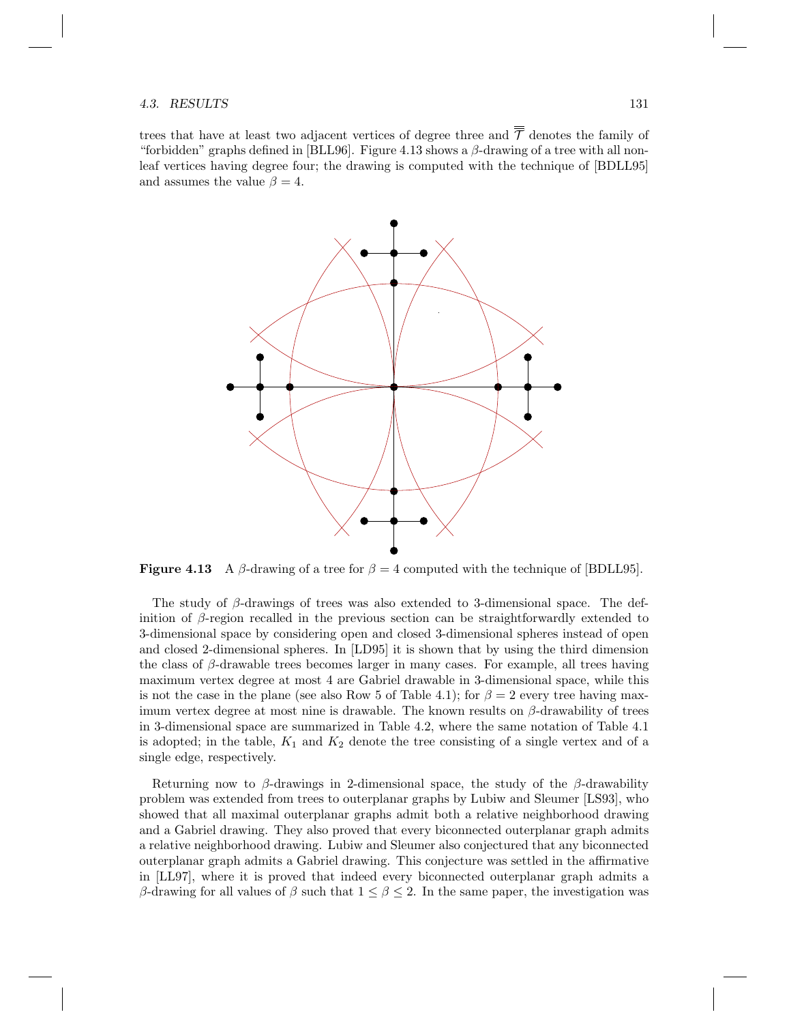#### 4.3. RESULTS 131

trees that have at least two adjacent vertices of degree three and  $\overline{\overline{\mathcal{T}}}$  denotes the family of "forbidden" graphs defined in [BLL96]. Figure 4.13 shows a  $\beta$ -drawing of a tree with all nonleaf vertices having degree four; the drawing is computed with the technique of [BDLL95] and assumes the value  $\beta = 4$ .



**Figure 4.13** A β-drawing of a tree for  $\beta = 4$  computed with the technique of [BDLL95].

The study of  $\beta$ -drawings of trees was also extended to 3-dimensional space. The definition of  $\beta$ -region recalled in the previous section can be straightforwardly extended to 3-dimensional space by considering open and closed 3-dimensional spheres instead of open and closed 2-dimensional spheres. In [LD95] it is shown that by using the third dimension the class of  $\beta$ -drawable trees becomes larger in many cases. For example, all trees having maximum vertex degree at most 4 are Gabriel drawable in 3-dimensional space, while this is not the case in the plane (see also Row 5 of Table 4.1); for  $\beta = 2$  every tree having maximum vertex degree at most nine is drawable. The known results on  $\beta$ -drawability of trees in 3-dimensional space are summarized in Table 4.2, where the same notation of Table 4.1 is adopted; in the table,  $K_1$  and  $K_2$  denote the tree consisting of a single vertex and of a single edge, respectively.

Returning now to β-drawings in 2-dimensional space, the study of the β-drawability problem was extended from trees to outerplanar graphs by Lubiw and Sleumer [LS93], who showed that all maximal outerplanar graphs admit both a relative neighborhood drawing and a Gabriel drawing. They also proved that every biconnected outerplanar graph admits a relative neighborhood drawing. Lubiw and Sleumer also conjectured that any biconnected outerplanar graph admits a Gabriel drawing. This conjecture was settled in the affirmative in [LL97], where it is proved that indeed every biconnected outerplanar graph admits a β-drawing for all values of β such that  $1 \le \beta \le 2$ . In the same paper, the investigation was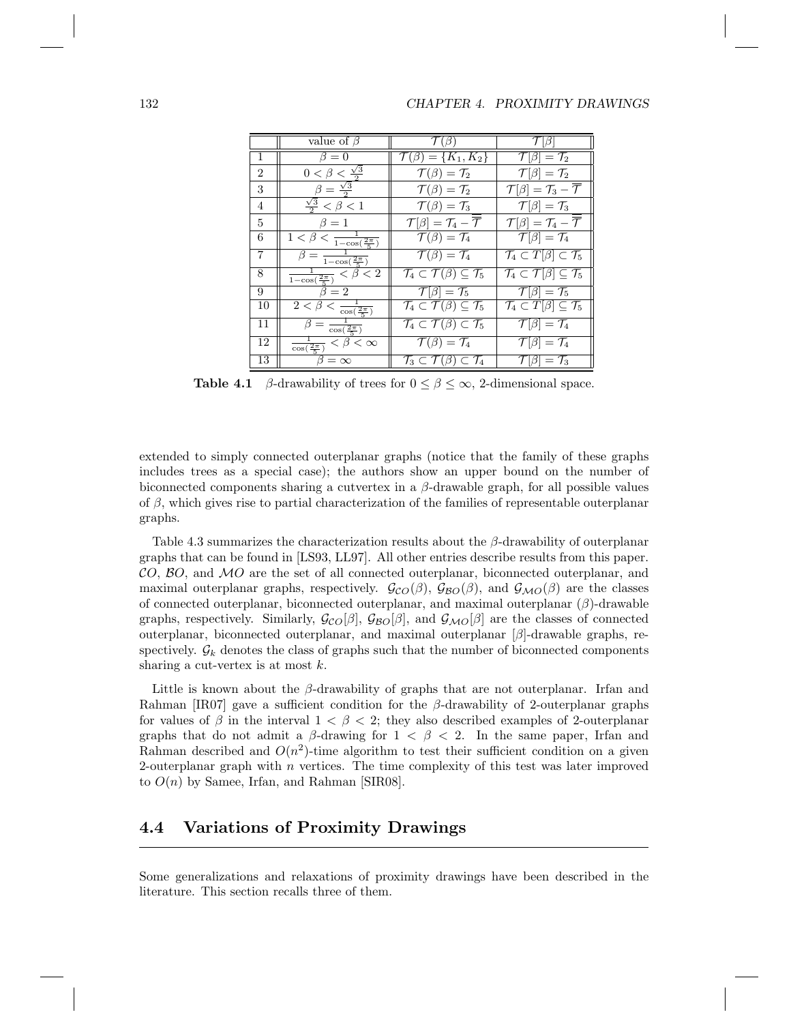|                | value of $\beta$                                  | $\mathcal{T}(\beta)$                                                        | $\mathcal{T}[\beta]$                                                        |
|----------------|---------------------------------------------------|-----------------------------------------------------------------------------|-----------------------------------------------------------------------------|
| $\mathbf{1}$   | $\beta = 0$                                       | $\mathcal{T}(\beta) = \{K_1, K_2\}$                                         | $\mathcal{T}[\beta]=\mathcal{T}_2$                                          |
| $\overline{2}$ | $0 < \beta < \frac{\sqrt{3}}{2}$                  | $\mathcal{T}(\beta)=\mathcal{T}_2$                                          | $\mathcal{T}[\beta]=\mathcal{T}_2$                                          |
| 3              | $\beta = \frac{\sqrt{3}}{2}$                      | $\mathcal{T}(\beta) = \mathcal{T}_2$                                        | $\mathcal{T}[\beta]=\mathcal{T}_3-\overline{\mathcal{T}}$                   |
| 4              | $\frac{\sqrt{3}}{2} < \beta < 1$                  | $\mathcal{T}(\beta) = \mathcal{T}_3$                                        | $\mathcal{T}[\beta]=\mathcal{T}_3$                                          |
| 5              | $\beta=1$                                         | $\mathcal{T}[\beta]=\mathcal{T}_4-\overline{\mathcal{T}}$                   | $\mathcal{T}[\beta]=\mathcal{T}_4-\overline{\mathcal{T}}$                   |
| 6              | $1 < \beta < \frac{1}{1-\cos(\frac{2\pi}{5})}$    | $\overline{\mathcal{T}(\beta)} = \mathcal{T}_4$                             | $\mathcal{T}[\beta]=\mathcal{T}_4$                                          |
| $\overline{7}$ | $\beta = \frac{1}{1-\cos(\frac{2\pi}{5})}$        | $\mathcal{T}(\beta) = \mathcal{T}_4$                                        | $\overline{\mathcal{T}_4 \subset T}[\beta] \subset \mathcal{T}_5$           |
| 8              | $\frac{1}{1-\cos(\frac{2\pi}{5})} < \beta < 2$    | $\overline{\mathcal{T}_4\subset \mathcal{T}(\beta)\subseteq \mathcal{T}_5}$ | $\overline{\mathcal{T}_4\subset \mathcal{T}[\beta]\subseteq \mathcal{T}_5}$ |
| 9              | $\beta = 2$                                       | $\mathcal{T}[\beta]=\mathcal{T}_5$                                          | $\mathcal{T}[\beta]=\mathcal{T}_5$                                          |
| 10             | $2 < \beta < \frac{1}{\cos(\frac{2\pi}{5})}$      | $\mathcal{T}_4 \subset \mathcal{T}(\beta) \subseteq \mathcal{T}_5$          | $\mathcal{T}_4 \subset T[\beta] \subseteq \mathcal{T}_5$                    |
| 11             | $\beta = \frac{1}{\cos(\frac{2\pi}{5})}$          | $\overline{\mathcal{T}_4\subset \mathcal{T}(\beta)\subset \mathcal{T}_5}$   | $\mathcal{T}[\beta]=\mathcal{T}_4$                                          |
| 12             | $\frac{1}{\cos(\frac{2\pi}{5})} < \beta < \infty$ | $\mathcal{T}(\beta) = \mathcal{T}_4$                                        | $\mathcal{T}[\beta]=\mathcal{T}_4$                                          |
| 13             | $\beta = \infty$                                  | $\overline{\mathcal{T}_3\subset \mathcal{T}(\beta)\subset \mathcal{T}_4}$   | $\mathcal{T}[\beta]=\mathcal{T}_3$                                          |

**Table 4.1** β-drawability of trees for  $0 \le \beta \le \infty$ , 2-dimensional space.

extended to simply connected outerplanar graphs (notice that the family of these graphs includes trees as a special case); the authors show an upper bound on the number of biconnected components sharing a cutvertex in a  $\beta$ -drawable graph, for all possible values of  $\beta$ , which gives rise to partial characterization of the families of representable outerplanar graphs.

Table 4.3 summarizes the characterization results about the  $\beta$ -drawability of outerplanar graphs that can be found in [LS93, LL97]. All other entries describe results from this paper. CO, BO, and MO are the set of all connected outerplanar, biconnected outerplanar, and maximal outerplanar graphs, respectively.  $\mathcal{G}_{CO}(\beta)$ ,  $\mathcal{G}_{BO}(\beta)$ , and  $\mathcal{G}_{MO}(\beta)$  are the classes of connected outerplanar, biconnected outerplanar, and maximal outerplanar  $(\beta)$ -drawable graphs, respectively. Similarly,  $\mathcal{G}_{CO}[\beta]$ ,  $\mathcal{G}_{BO}[\beta]$ , and  $\mathcal{G}_{MO}[\beta]$  are the classes of connected outerplanar, biconnected outerplanar, and maximal outerplanar [β]-drawable graphs, respectively.  $\mathcal{G}_k$  denotes the class of graphs such that the number of biconnected components sharing a cut-vertex is at most  $k$ .

Little is known about the  $\beta$ -drawability of graphs that are not outerplanar. Irfan and Rahman [IR07] gave a sufficient condition for the  $\beta$ -drawability of 2-outerplanar graphs for values of  $\beta$  in the interval  $1 < \beta < 2$ ; they also described examples of 2-outerplanar graphs that do not admit a  $\beta$ -drawing for  $1 < \beta < 2$ . In the same paper, Irfan and Rahman described and  $O(n^2)$ -time algorithm to test their sufficient condition on a given 2-outerplanar graph with  $n$  vertices. The time complexity of this test was later improved to  $O(n)$  by Samee, Irfan, and Rahman [SIR08].

#### 4.4 Variations of Proximity Drawings

Some generalizations and relaxations of proximity drawings have been described in the literature. This section recalls three of them.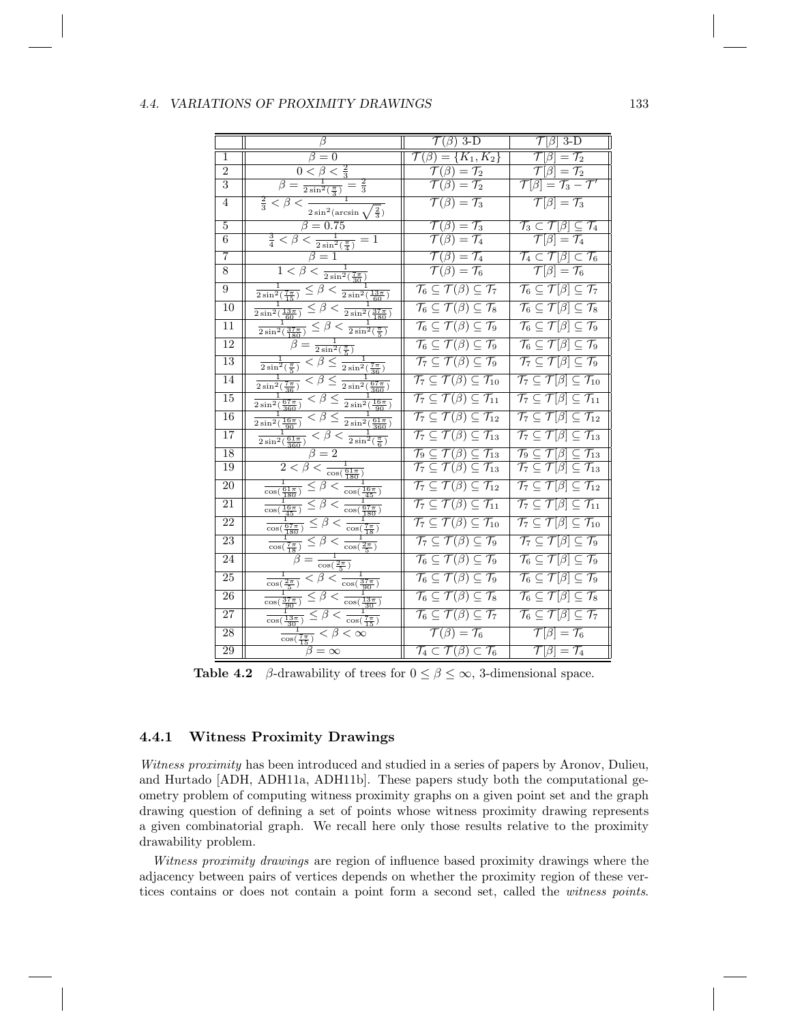#### 4.4. VARIATIONS OF PROXIMITY DRAWINGS 133

|                 | $\overline{\beta}$                                                                      | $\overline{\mathcal{T}(\beta)}$ 3-D                                                                   | $\mathcal{T}[\beta]$ 3-D                                                                              |
|-----------------|-----------------------------------------------------------------------------------------|-------------------------------------------------------------------------------------------------------|-------------------------------------------------------------------------------------------------------|
| ī               | $\overline{\beta} = 0$                                                                  | $\overline{\mathcal{T}(\beta)} = \{K_1, K_2\}$                                                        | $\overline{\mathcal{T}[\beta]} = \overline{\mathcal{T}_2}$                                            |
| $\overline{2}$  | $0 < \beta < \frac{2}{3}$                                                               | $\overline{\mathcal{T}(\beta)} = \mathcal{T}_2$                                                       | $\overline{\mathcal{T}[\beta]} = \overline{\mathcal{T}_2}$                                            |
| 3               | $\beta = \frac{1}{2 \sin^2(\frac{\pi}{3})} = \frac{2}{3}$                               | $\overline{\mathcal{T}(\beta)} = \mathcal{T}_2$                                                       | $\mathcal{T}[\beta]=\mathcal{T}_3-\mathcal{T}'$                                                       |
| 4               | $\frac{2}{3}<\beta<\frac{1}{2\sin^2(\arcsin\sqrt{\frac{2}{3}})}$                        | $\overline{\mathcal{T}(\beta)} = \mathcal{T}_3$                                                       | $\mathcal{T}[\beta]=\mathcal{T}_3$                                                                    |
| $\overline{5}$  | $\beta = 0.75$                                                                          | $\mathcal{T}(\beta) = \mathcal{T}_3$                                                                  | $\overline{\mathcal{T}_3} \subset \mathcal{T}[\beta] \subseteq \mathcal{T}_4$                         |
| $\,6$           | $\frac{3}{4} < \beta < \frac{1}{2\sin^2(\frac{\pi}{4})} = 1$                            | $\overline{\mathcal{T}(\beta)} = \overline{\mathcal{T}_4}$                                            | $\overline{\mathcal{T}}[\beta]=\mathcal{T}_4$                                                         |
| $\overline{7}$  | $\beta=1$                                                                               | $\mathcal{T}(\beta) = \mathcal{T}_4$                                                                  | $\overline{\mathcal{T}_4\subset \mathcal{T}[\beta]\subset \mathcal{T}_6}$                             |
| $\overline{8}$  | $\frac{\gamma}{1<\beta<\frac{1}{2\sin^2(\frac{7\pi}{30})}}$                             | $\overline{\mathcal{T}(\beta)} = \mathcal{T}_6$                                                       | $\overline{\mathcal{T}[\beta]} = \mathcal{T}_6$                                                       |
| 9               | $\frac{1}{2\sin^2(\frac{7\pi}{15})} \leq \beta < \frac{1}{2\sin^2(\frac{13\pi}{60})}$   | $\overline{\mathcal{T}_6} \subseteq \mathcal{T}(\beta) \subseteq \mathcal{T}_7$                       | $\overline{\mathcal{T}_6\subseteq \mathcal{T}[\beta]\subseteq \mathcal{T}_7}$                         |
| 10              | $\frac{1}{2\sin^2(\frac{13\pi}{60})} \leq \beta < \frac{1}{2\sin^2(\frac{37\pi}{180})}$ | $\overline{\mathcal{T}_6 \subseteq \mathcal{T}(\beta) \subseteq \mathcal{T}_8}$                       | $\overline{\mathcal{T}_6\subseteq \mathcal{T}[\beta]\subseteq \mathcal{T}_8}$                         |
| $\overline{11}$ | $\frac{1}{2\sin^2(\frac{37\pi}{180})} \leq \beta < \frac{1}{2\sin^2(\frac{\pi}{5})}$    | $\overline{\mathcal{T}_6 \subseteq \mathcal{T}(\beta) \subseteq \mathcal{T}_9}$                       | $\overline{\mathcal{T}_6\subseteq \mathcal{T}[\beta]\subseteq \mathcal{T}_9}$                         |
| $\overline{12}$ | $\beta = \frac{1}{2 \sin^2(\frac{\pi}{5})}$                                             | $\overline{\mathcal{T}_6\subseteq \mathcal{T}(\beta)\subseteq \mathcal{T}_9}$                         | $\overline{\mathcal{T}_6} \subseteq \mathcal{T}[\beta] \subseteq \mathcal{T}_9$                       |
| 13              | $\frac{1}{2\sin^2(\frac{\pi}{5})} < \beta \leq \frac{1}{2\sin^2(\frac{7\pi}{36})}$      | $\overline{\mathcal{T}_7 \subseteq \mathcal{T}(\beta) \subseteq \mathcal{T}_9}$                       | $\overline{\mathcal{T}_7 \subseteq \mathcal{T}[\beta] \subseteq \mathcal{T}_9}$                       |
| 14              | $\frac{1}{2\sin^2(\frac{7\pi}{36})} < \beta \leq \frac{1}{2\sin^2(\frac{67\pi}{360})}$  | $\overline{\mathcal{T}_7 \subseteq \mathcal{T}(\beta) \subseteq \mathcal{T}_{10}}$                    | $\overline{\mathcal{T}_7 \subseteq \mathcal{T}[\beta] \subseteq \mathcal{T}_{10}}$                    |
| 15              | $\frac{1}{2\sin^2(\frac{67\pi}{360})} < \beta \leq \frac{1}{2\sin^2(\frac{16\pi}{90})}$ | $\overline{\mathcal{T}_7 \subseteq \mathcal{T}(\beta) \subseteq \mathcal{T}_{11}}$                    | $\overline{\mathcal{T}_7 \subseteq \mathcal{T}[\beta] \subseteq \mathcal{T}_{11}}$                    |
| 16              | $\frac{1}{2\sin^2(\frac{16\pi}{90})} < \beta \leq \frac{1}{2\sin^2(\frac{61\pi}{360})}$ | $\overline{\mathcal{T}_7 \subseteq \mathcal{T}(\beta) \subseteq \mathcal{T}_{12}}$                    | $\overline{\mathcal{T}_7 \subseteq \mathcal{T}[\beta] \subseteq \mathcal{T}_{12}}$                    |
| 17              | $\frac{1}{2\sin^2(\frac{61\pi}{360})} < \beta < \frac{1}{2\sin^2(\frac{\pi}{6})}$       | $\overline{\mathcal{T}_7 \subseteq \mathcal{T}(\beta) \subseteq \mathcal{T}_{13}}$                    | $\overline{\mathcal{T}_7 \subseteq \mathcal{T}[\beta] \subseteq \mathcal{T}_{13}}$                    |
| 18              | $\beta = 2$                                                                             | $\overline{\mathcal{T}_9 \subseteq \mathcal{T}(\beta) \subseteq \mathcal{T}_{13}}$                    | $\overline{\mathcal{T}_9} \subseteq \mathcal{T}[\beta] \subseteq \overline{\mathcal{T}_{13}}$         |
| 19              | $2 < \beta < \frac{1}{\cos(\frac{61\pi}{180})}$                                         | $\overline{\mathcal{T}_7 \subseteq \mathcal{T}(\beta) \subseteq \mathcal{T}_{13}}$                    | $\overline{\mathcal{T}_7 \subseteq \mathcal{T}[\beta] \subseteq \mathcal{T}_{13}}$                    |
| 20              | $\frac{1}{\cos(\frac{61\pi}{180})} \leq \beta < \frac{1}{\cos(\frac{16\pi}{45})}$       | $\overline{\mathcal{T}_7 \subseteq \mathcal{T}(\beta) \subseteq \mathcal{T}_{12}}$                    | $\overline{\mathcal{T}_7 \subseteq \mathcal{T}[\beta] \subseteq \mathcal{T}_{12}}$                    |
| $\overline{21}$ | $\frac{1}{\cos(\frac{16\pi}{45})} \leq \beta < \frac{1}{\cos(\frac{67\pi}{180})}$       | $\overline{\mathcal{T}_7 \subseteq \mathcal{T}(\beta) \subseteq \mathcal{T}_{11}}$                    | $\overline{\mathcal{T}_7 \subseteq \mathcal{T}[\beta] \subseteq \mathcal{T}_{11}}$                    |
| 22              | $\frac{1}{\cos(\frac{67\pi}{180})} \leq \beta < \frac{1}{\cos(\frac{7\pi}{18})}$        | $\overline{\mathcal{T}_7 \subseteq \mathcal{T}(\beta) \subseteq \mathcal{T}_{10}}$                    | $\overline{\mathcal{T}_7 \subseteq \mathcal{T}[\beta] \subseteq \mathcal{T}_{10}}$                    |
| 23              | $\frac{1}{\cos(\frac{7\pi}{18})} \leq \beta < \frac{1}{\cos(\frac{2\pi}{5})}$           | $\overline{\mathcal{T}_7 \subseteq \mathcal{T}(\beta) \subseteq \mathcal{T}_9}$                       | $\overline{\mathcal{T}_7 \subseteq \mathcal{T}[\beta] \subseteq \mathcal{T}_9}$                       |
| 24              | $\overline{\hat{\beta}} = \frac{1}{\cos(\frac{2\pi}{5})}$                               | $\overline{\mathcal{T}_6} \subseteq \mathcal{T}(\beta) \subseteq \mathcal{T}_9$                       | $\overline{\mathcal{T}_6} \subseteq \overline{\mathcal{T}[\beta]} \subseteq \overline{\mathcal{T}_9}$ |
| 25              | $\frac{1}{\cos(\frac{2\pi}{5})} < \beta < \frac{1}{\cos(\frac{37\pi}{90})}$             | $\overline{\mathcal{T}_6\subseteq \mathcal{T}(\beta)\subseteq \mathcal{T}_9}$                         | $\overline{\mathcal{T}_6\subseteq \mathcal{T}[\beta]\subseteq \mathcal{T}_9}$                         |
| 26              | $\boxed{\leq \beta < \frac{1}{\cos(\frac{13\pi}{30})}}$<br>$\cos(\frac{37\pi}{90})$     | $\overline{\mathcal{T}_6} \subseteq \mathcal{T}(\beta) \subseteq \mathcal{T}_8$                       | $\overline{\mathcal{T}_6\subseteq \mathcal{T}[\beta]\subseteq \mathcal{T}_8}$                         |
| 27              | $\frac{1}{\cos(\frac{13\pi}{30})} \leq \bar{\beta} < \frac{1}{\cos(\frac{7\pi}{15})}$   | $\overline{\mathcal{T}_6} \subseteq \overline{\mathcal{T}(\beta)} \subseteq \overline{\mathcal{T}_7}$ | $\overline{\mathcal{T}_6\subseteq \mathcal{T}[\beta]\subseteq \mathcal{T}_7}$                         |
| $\overline{28}$ | $\frac{1}{\cos(\frac{7\pi}{15})} < \beta < \infty$                                      | $\overline{\mathcal{T}(\beta)} = \overline{\mathcal{T}_6}$                                            | $\overline{\mathcal{T}[\beta]} = \overline{\mathcal{T}_6}$                                            |
| 29              | $\beta = \infty$                                                                        | $\overline{\mathcal{T}_4\subset \mathcal{T}(\beta)\subset \mathcal{T}_6}$                             | $\mathcal{T}[\beta]=\mathcal{T}_4$                                                                    |

**Table 4.2** β-drawability of trees for  $0 \le \beta \le \infty$ , 3-dimensional space.

#### 4.4.1 Witness Proximity Drawings

*Witness proximity* has been introduced and studied in a series of papers by Aronov, Dulieu, and Hurtado [ADH, ADH11a, ADH11b]. These papers study both the computational geometry problem of computing witness proximity graphs on a given point set and the graph drawing question of defining a set of points whose witness proximity drawing represents a given combinatorial graph. We recall here only those results relative to the proximity drawability problem.

*Witness proximity drawings* are region of influence based proximity drawings where the adjacency between pairs of vertices depends on whether the proximity region of these vertices contains or does not contain a point form a second set, called the *witness points*.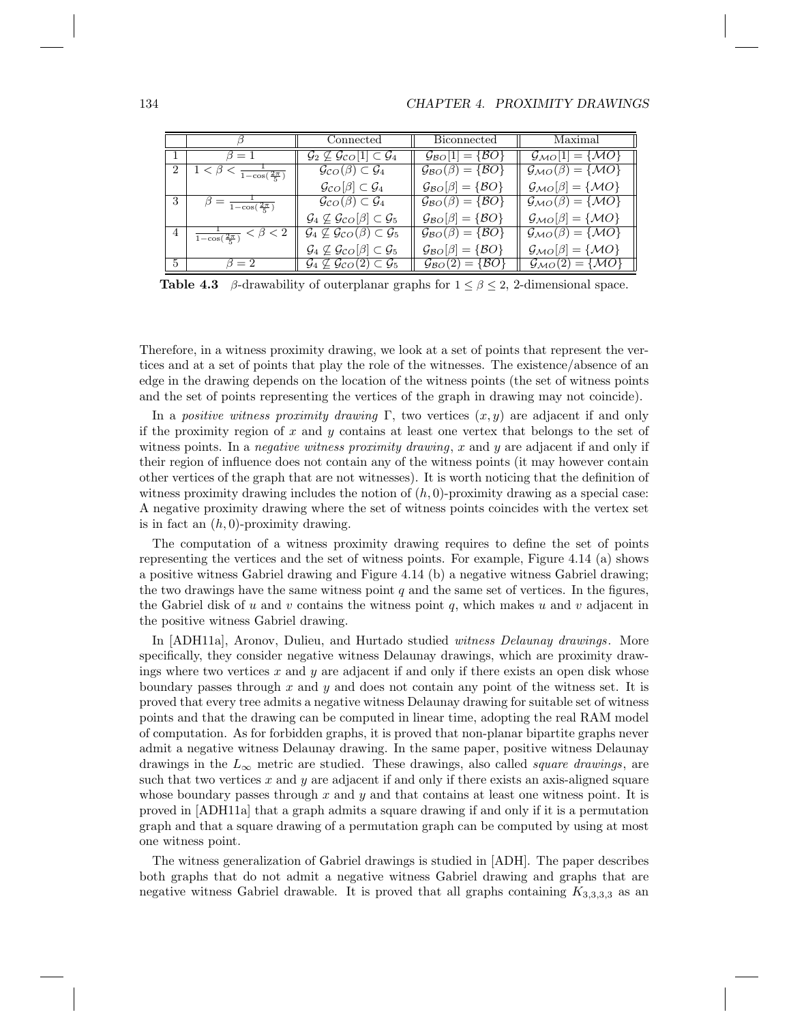|   |                                                  | Connected                                                                   | <b>Biconnected</b>                                                          | Maximal                                 |
|---|--------------------------------------------------|-----------------------------------------------------------------------------|-----------------------------------------------------------------------------|-----------------------------------------|
|   | $\beta=1$                                        | $\mathcal{G}_2 \not\subseteq \mathcal{G}_{CO}[1] \subset \mathcal{G}_4$     | $\mathcal{G}_{BO}[1] = \{BO\}$                                              | $\mathcal{G}_{MO}[1] = \{MO\}$          |
| 2 | $1 < \beta < \frac{1}{1 - \cos(\frac{2\pi}{5})}$ | $\mathcal{G}_{CO}(\beta) \subset \mathcal{G}_4$                             | $\mathcal{G}_{BO}(\beta) = \{\mathcal{B}O\}$                                | $\mathcal{G}_{MO}(\beta) = \{MO\}$      |
|   |                                                  | $\mathcal{G}_{CO}[\beta] \subset \mathcal{G}_4$                             | $\mathcal{G}_{BO}[\beta] = \{BO\}$                                          | $\mathcal{G}_{MO}[\beta] = \{MO\}$      |
| 3 | $\beta = \frac{1}{1-\cos(\frac{2\pi}{5})}$       | $\mathcal{G}_{CO}(\beta) \subset \mathcal{G}_4$                             | $\mathcal{G}_{\mathcal{B}\mathcal{O}}(\beta) = {\mathcal{B}\mathcal{O}}$    | $\mathcal{G}_{MO}(\beta) = \{MO\}$      |
|   |                                                  | $\mathcal{G}_4 \not\subseteq \mathcal{G}_{CO}[\beta] \subset \mathcal{G}_5$ | $\mathcal{G}_{BO}[\beta] = \{BO\}$                                          | $\mathcal{G}_{MO}[\beta] = \{MO\}$      |
| 4 | $\frac{1}{1-\cos(\frac{2\pi}{5})} < \beta < 2$   | $\mathcal{G}_4 \not\subseteq \mathcal{G}_{CO}(\beta) \subset \mathcal{G}_5$ | $\mathcal{G}_{\mathcal{B}\mathcal{O}}(\beta) = \{\mathcal{B}\mathcal{O}\}\$ | $\mathcal{G}_{MO}(\beta) = \{MO\}$      |
|   |                                                  | $\mathcal{G}_4 \not\subseteq \mathcal{G}_{CO}[\beta] \subset \mathcal{G}_5$ | $\mathcal{G}_{BO}[\beta] = \{\mathcal{B}O\}$                                | $\mathcal{G}_{MO}[\beta] = \{MO\}$      |
| 5 | $\beta=2$                                        | $\mathcal{G}_4 \not\subseteq \mathcal{G}_{CO}(2) \subset \mathcal{G}_5$     | $\mathcal{G}_{BO}(2) = \{BO\}$                                              | $\mathcal{G}_{MO}(2) = {\overline{MO}}$ |

Table 4.3 β-drawability of outerplanar graphs for  $1 \le \beta \le 2$ , 2-dimensional space.

Therefore, in a witness proximity drawing, we look at a set of points that represent the vertices and at a set of points that play the role of the witnesses. The existence/absence of an edge in the drawing depends on the location of the witness points (the set of witness points and the set of points representing the vertices of the graph in drawing may not coincide).

In a *positive witness proximity drawing*  $\Gamma$ , two vertices  $(x, y)$  are adjacent if and only if the proximity region of  $x$  and  $y$  contains at least one vertex that belongs to the set of witness points. In a *negative witness proximity drawing*, x and y are adjacent if and only if their region of influence does not contain any of the witness points (it may however contain other vertices of the graph that are not witnesses). It is worth noticing that the definition of witness proximity drawing includes the notion of  $(h, 0)$ -proximity drawing as a special case: A negative proximity drawing where the set of witness points coincides with the vertex set is in fact an  $(h, 0)$ -proximity drawing.

The computation of a witness proximity drawing requires to define the set of points representing the vertices and the set of witness points. For example, Figure 4.14 (a) shows a positive witness Gabriel drawing and Figure 4.14 (b) a negative witness Gabriel drawing; the two drawings have the same witness point  $q$  and the same set of vertices. In the figures, the Gabriel disk of u and v contains the witness point q, which makes u and v adjacent in the positive witness Gabriel drawing.

In [ADH11a], Aronov, Dulieu, and Hurtado studied *witness Delaunay drawings*. More specifically, they consider negative witness Delaunay drawings, which are proximity drawings where two vertices x and y are adjacent if and only if there exists an open disk whose boundary passes through x and y and does not contain any point of the witness set. It is proved that every tree admits a negative witness Delaunay drawing for suitable set of witness points and that the drawing can be computed in linear time, adopting the real RAM model of computation. As for forbidden graphs, it is proved that non-planar bipartite graphs never admit a negative witness Delaunay drawing. In the same paper, positive witness Delaunay drawings in the  $L_{\infty}$  metric are studied. These drawings, also called *square drawings*, are such that two vertices x and y are adjacent if and only if there exists an axis-aligned square whose boundary passes through  $x$  and  $y$  and that contains at least one witness point. It is proved in [ADH11a] that a graph admits a square drawing if and only if it is a permutation graph and that a square drawing of a permutation graph can be computed by using at most one witness point.

The witness generalization of Gabriel drawings is studied in [ADH]. The paper describes both graphs that do not admit a negative witness Gabriel drawing and graphs that are negative witness Gabriel drawable. It is proved that all graphs containing  $K_{3,3,3,3}$  as an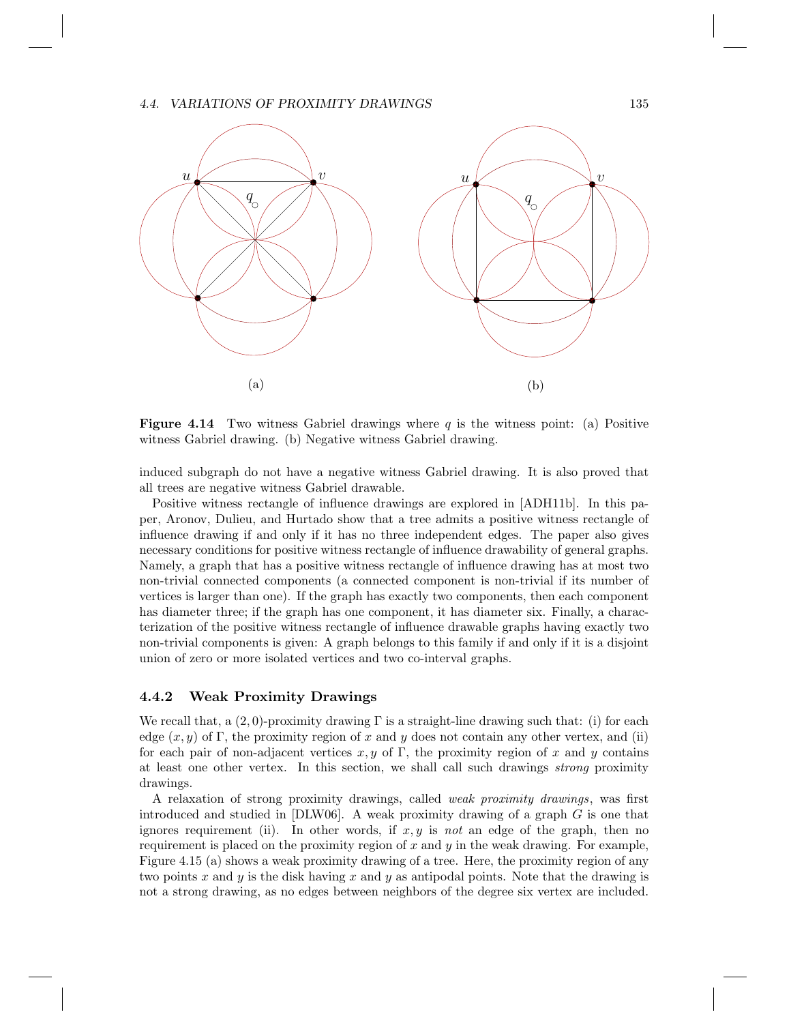

**Figure 4.14** Two witness Gabriel drawings where  $q$  is the witness point: (a) Positive witness Gabriel drawing. (b) Negative witness Gabriel drawing.

induced subgraph do not have a negative witness Gabriel drawing. It is also proved that all trees are negative witness Gabriel drawable.

Positive witness rectangle of influence drawings are explored in [ADH11b]. In this paper, Aronov, Dulieu, and Hurtado show that a tree admits a positive witness rectangle of influence drawing if and only if it has no three independent edges. The paper also gives necessary conditions for positive witness rectangle of influence drawability of general graphs. Namely, a graph that has a positive witness rectangle of influence drawing has at most two non-trivial connected components (a connected component is non-trivial if its number of vertices is larger than one). If the graph has exactly two components, then each component has diameter three; if the graph has one component, it has diameter six. Finally, a characterization of the positive witness rectangle of influence drawable graphs having exactly two non-trivial components is given: A graph belongs to this family if and only if it is a disjoint union of zero or more isolated vertices and two co-interval graphs.

#### 4.4.2 Weak Proximity Drawings

We recall that, a  $(2,0)$ -proximity drawing  $\Gamma$  is a straight-line drawing such that: (i) for each edge  $(x, y)$  of Γ, the proximity region of x and y does not contain any other vertex, and (ii) for each pair of non-adjacent vertices  $x, y$  of  $\Gamma$ , the proximity region of x and y contains at least one other vertex. In this section, we shall call such drawings *strong* proximity drawings.

A relaxation of strong proximity drawings, called *weak proximity drawings*, was first introduced and studied in  $[DLW06]$ . A weak proximity drawing of a graph G is one that ignores requirement (ii). In other words, if  $x, y$  is *not* an edge of the graph, then no requirement is placed on the proximity region of  $x$  and  $y$  in the weak drawing. For example, Figure 4.15 (a) shows a weak proximity drawing of a tree. Here, the proximity region of any two points x and y is the disk having x and y as antipodal points. Note that the drawing is not a strong drawing, as no edges between neighbors of the degree six vertex are included.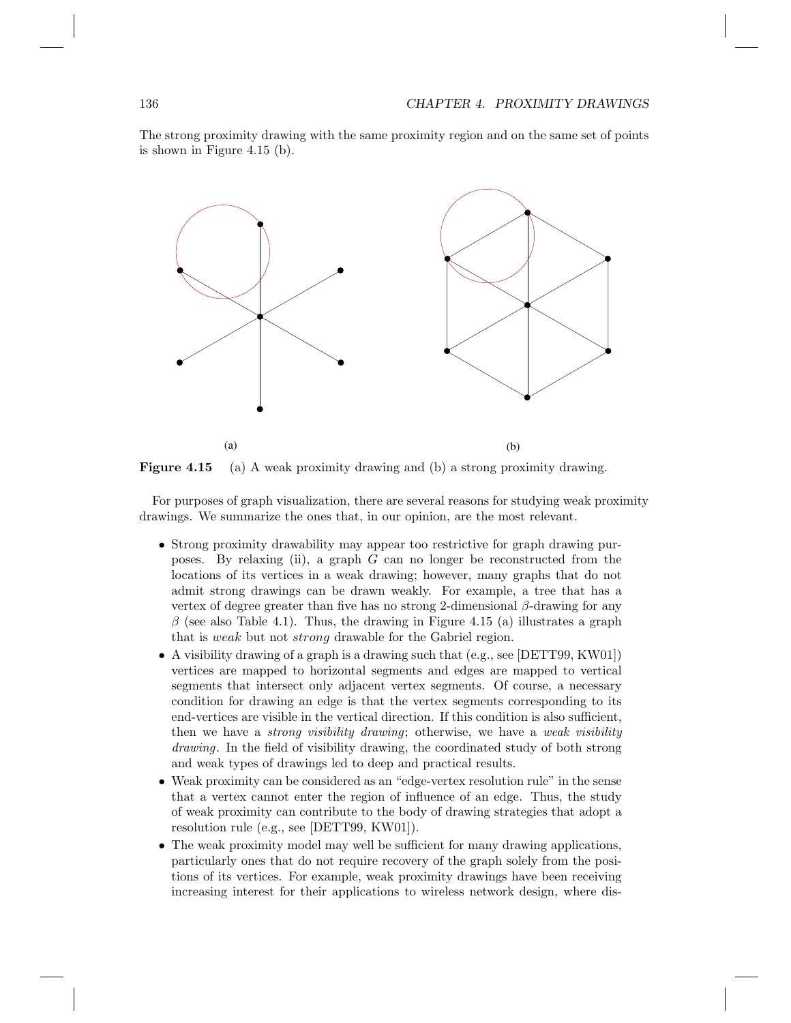The strong proximity drawing with the same proximity region and on the same set of points is shown in Figure 4.15 (b).



Figure 4.15 (a) A weak proximity drawing and (b) a strong proximity drawing.

For purposes of graph visualization, there are several reasons for studying weak proximity drawings. We summarize the ones that, in our opinion, are the most relevant.

- Strong proximity drawability may appear too restrictive for graph drawing purposes. By relaxing (ii), a graph  $G$  can no longer be reconstructed from the locations of its vertices in a weak drawing; however, many graphs that do not admit strong drawings can be drawn weakly. For example, a tree that has a vertex of degree greater than five has no strong 2-dimensional  $\beta$ -drawing for any  $\beta$  (see also Table 4.1). Thus, the drawing in Figure 4.15 (a) illustrates a graph that is weak but not strong drawable for the Gabriel region.
- A visibility drawing of a graph is a drawing such that (e.g., see [DETT99, KW01]) vertices are mapped to horizontal segments and edges are mapped to vertical segments that intersect only adjacent vertex segments. Of course, a necessary condition for drawing an edge is that the vertex segments corresponding to its end-vertices are visible in the vertical direction. If this condition is also sufficient, then we have a *strong visibility drawing*; otherwise, we have a *weak visibility drawing*. In the field of visibility drawing, the coordinated study of both strong and weak types of drawings led to deep and practical results.
- Weak proximity can be considered as an "edge-vertex resolution rule" in the sense that a vertex cannot enter the region of influence of an edge. Thus, the study of weak proximity can contribute to the body of drawing strategies that adopt a resolution rule (e.g., see [DETT99, KW01]).
- The weak proximity model may well be sufficient for many drawing applications, particularly ones that do not require recovery of the graph solely from the positions of its vertices. For example, weak proximity drawings have been receiving increasing interest for their applications to wireless network design, where dis-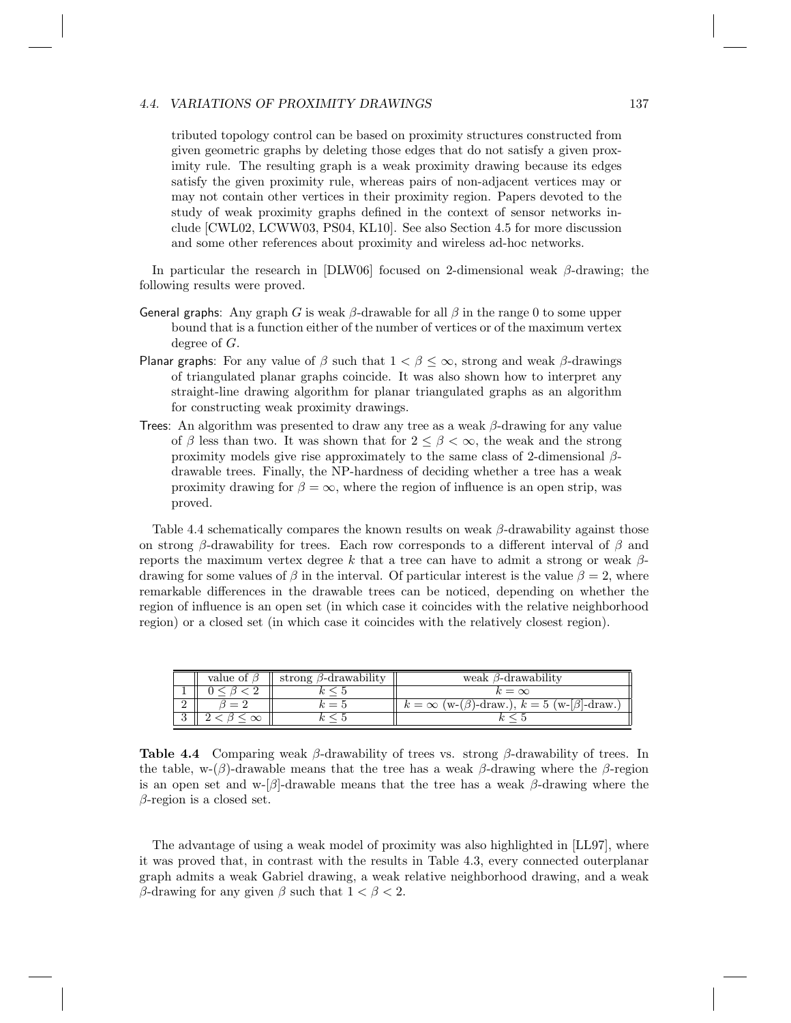#### 4.4. VARIATIONS OF PROXIMITY DRAWINGS 137

tributed topology control can be based on proximity structures constructed from given geometric graphs by deleting those edges that do not satisfy a given proximity rule. The resulting graph is a weak proximity drawing because its edges satisfy the given proximity rule, whereas pairs of non-adjacent vertices may or may not contain other vertices in their proximity region. Papers devoted to the study of weak proximity graphs defined in the context of sensor networks include [CWL02, LCWW03, PS04, KL10]. See also Section 4.5 for more discussion and some other references about proximity and wireless ad-hoc networks.

In particular the research in  $[DLW06]$  focused on 2-dimensional weak  $\beta$ -drawing; the following results were proved.

- General graphs: Any graph G is weak  $\beta$ -drawable for all  $\beta$  in the range 0 to some upper bound that is a function either of the number of vertices or of the maximum vertex degree of G.
- Planar graphs: For any value of  $\beta$  such that  $1 < \beta \leq \infty$ , strong and weak  $\beta$ -drawings of triangulated planar graphs coincide. It was also shown how to interpret any straight-line drawing algorithm for planar triangulated graphs as an algorithm for constructing weak proximity drawings.
- Trees: An algorithm was presented to draw any tree as a weak  $\beta$ -drawing for any value of  $\beta$  less than two. It was shown that for  $2 \leq \beta < \infty$ , the weak and the strong proximity models give rise approximately to the same class of 2-dimensional  $\beta$ drawable trees. Finally, the NP-hardness of deciding whether a tree has a weak proximity drawing for  $\beta = \infty$ , where the region of influence is an open strip, was proved.

Table 4.4 schematically compares the known results on weak  $\beta$ -drawability against those on strong β-drawability for trees. Each row corresponds to a different interval of  $\beta$  and reports the maximum vertex degree k that a tree can have to admit a strong or weak  $\beta$ drawing for some values of  $\beta$  in the interval. Of particular interest is the value  $\beta = 2$ , where remarkable differences in the drawable trees can be noticed, depending on whether the region of influence is an open set (in which case it coincides with the relative neighborhood region) or a closed set (in which case it coincides with the relatively closest region).

|          | value of l | strong $\beta$ -drawability | weak $\beta$ -drawability                                        |
|----------|------------|-----------------------------|------------------------------------------------------------------|
|          |            |                             | $k = \infty$                                                     |
|          | $ \cdot$   | $k=5$                       | $k = \infty$ (w-( $\beta$ )-draw.), $k = 5$ (w- $\beta$ )-draw.) |
| $\Omega$ |            |                             |                                                                  |

**Table 4.4** Comparing weak  $\beta$ -drawability of trees vs. strong  $\beta$ -drawability of trees. In the table, w- $(\beta)$ -drawable means that the tree has a weak  $\beta$ -drawing where the  $\beta$ -region is an open set and w- $\beta$ -drawable means that the tree has a weak  $\beta$ -drawing where the  $\beta$ -region is a closed set.

The advantage of using a weak model of proximity was also highlighted in [LL97], where it was proved that, in contrast with the results in Table 4.3, every connected outerplanar graph admits a weak Gabriel drawing, a weak relative neighborhood drawing, and a weak β-drawing for any given β such that  $1 < \beta < 2$ .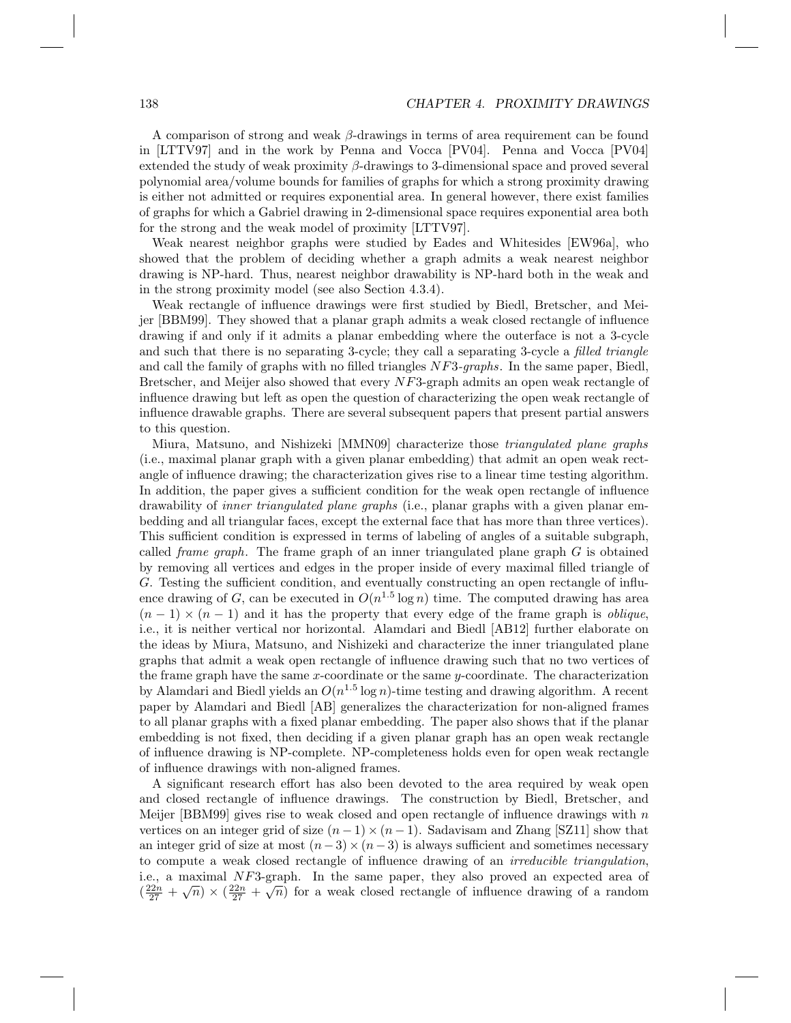A comparison of strong and weak  $\beta$ -drawings in terms of area requirement can be found in [LTTV97] and in the work by Penna and Vocca [PV04]. Penna and Vocca [PV04] extended the study of weak proximity  $\beta$ -drawings to 3-dimensional space and proved several polynomial area/volume bounds for families of graphs for which a strong proximity drawing is either not admitted or requires exponential area. In general however, there exist families of graphs for which a Gabriel drawing in 2-dimensional space requires exponential area both for the strong and the weak model of proximity [LTTV97].

Weak nearest neighbor graphs were studied by Eades and Whitesides [EW96a], who showed that the problem of deciding whether a graph admits a weak nearest neighbor drawing is NP-hard. Thus, nearest neighbor drawability is NP-hard both in the weak and in the strong proximity model (see also Section 4.3.4).

Weak rectangle of influence drawings were first studied by Biedl, Bretscher, and Meijer [BBM99]. They showed that a planar graph admits a weak closed rectangle of influence drawing if and only if it admits a planar embedding where the outerface is not a 3-cycle and such that there is no separating 3-cycle; they call a separating 3-cycle a *filled triangle* and call the family of graphs with no filled triangles NF3*-graphs*. In the same paper, Biedl, Bretscher, and Meijer also showed that every NF3-graph admits an open weak rectangle of influence drawing but left as open the question of characterizing the open weak rectangle of influence drawable graphs. There are several subsequent papers that present partial answers to this question.

Miura, Matsuno, and Nishizeki [MMN09] characterize those *triangulated plane graphs* (i.e., maximal planar graph with a given planar embedding) that admit an open weak rectangle of influence drawing; the characterization gives rise to a linear time testing algorithm. In addition, the paper gives a sufficient condition for the weak open rectangle of influence drawability of *inner triangulated plane graphs* (i.e., planar graphs with a given planar embedding and all triangular faces, except the external face that has more than three vertices). This sufficient condition is expressed in terms of labeling of angles of a suitable subgraph, called *frame graph*. The frame graph of an inner triangulated plane graph G is obtained by removing all vertices and edges in the proper inside of every maximal filled triangle of G. Testing the sufficient condition, and eventually constructing an open rectangle of influence drawing of G, can be executed in  $O(n^{1.5} \log n)$  time. The computed drawing has area  $(n-1) \times (n-1)$  and it has the property that every edge of the frame graph is *oblique*, i.e., it is neither vertical nor horizontal. Alamdari and Biedl [AB12] further elaborate on the ideas by Miura, Matsuno, and Nishizeki and characterize the inner triangulated plane graphs that admit a weak open rectangle of influence drawing such that no two vertices of the frame graph have the same  $x$ -coordinate or the same  $y$ -coordinate. The characterization by Alamdari and Biedl yields an  $O(n^{1.5} \log n)$ -time testing and drawing algorithm. A recent paper by Alamdari and Biedl [AB] generalizes the characterization for non-aligned frames to all planar graphs with a fixed planar embedding. The paper also shows that if the planar embedding is not fixed, then deciding if a given planar graph has an open weak rectangle of influence drawing is NP-complete. NP-completeness holds even for open weak rectangle of influence drawings with non-aligned frames.

A significant research effort has also been devoted to the area required by weak open and closed rectangle of influence drawings. The construction by Biedl, Bretscher, and Meijer [BBM99] gives rise to weak closed and open rectangle of influence drawings with  $n$ vertices on an integer grid of size  $(n - 1) \times (n - 1)$ . Sadavisam and Zhang [SZ11] show that an integer grid of size at most  $(n-3) \times (n-3)$  is always sufficient and sometimes necessary to compute a weak closed rectangle of influence drawing of an *irreducible triangulation*, i.e., a maximal NF3-graph. In the same paper, they also proved an expected area of  $\left(\frac{22n}{27} + \sqrt{n}\right) \times \left(\frac{22n}{27} + \sqrt{n}\right)$  for a weak closed rectangle of influence drawing of a random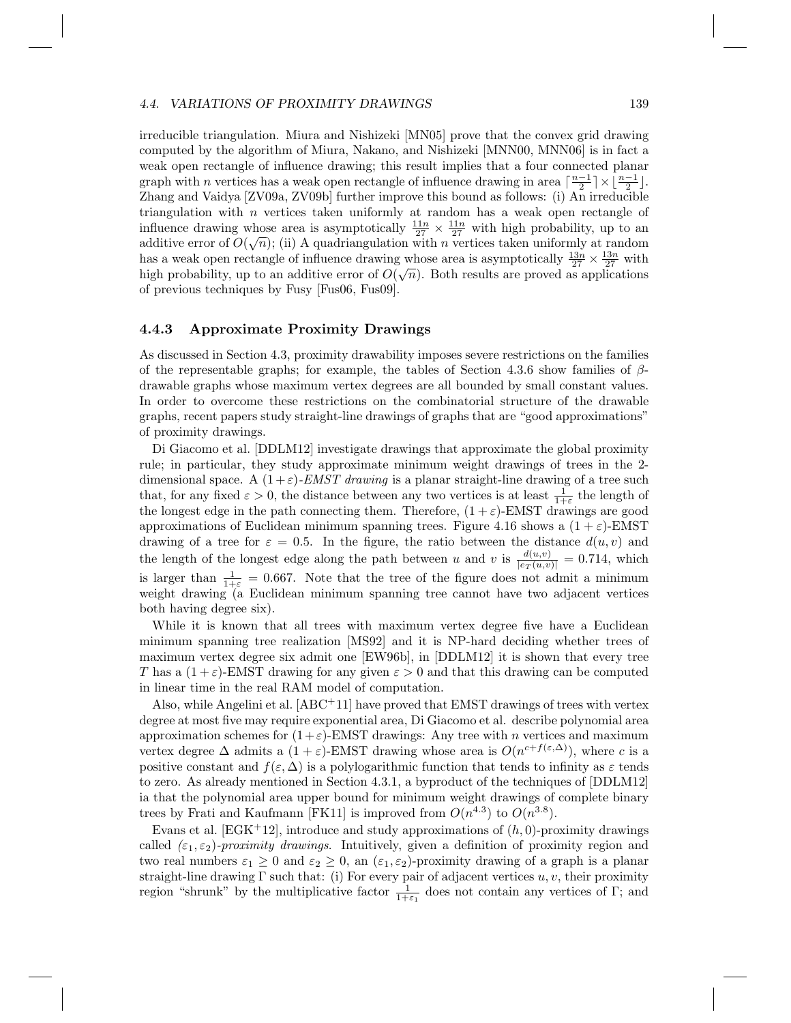#### 4.4. VARIATIONS OF PROXIMITY DRAWINGS 139

irreducible triangulation. Miura and Nishizeki [MN05] prove that the convex grid drawing computed by the algorithm of Miura, Nakano, and Nishizeki [MNN00, MNN06] is in fact a weak open rectangle of influence drawing; this result implies that a four connected planar graph with *n* vertices has a weak open rectangle of influence drawing in area  $\left\lceil \frac{n-1}{2} \right\rceil \times \left\lfloor \frac{n-1}{2} \right\rfloor$ . Zhang and Vaidya [ZV09a, ZV09b] further improve this bound as follows: (i) An irreducible triangulation with  $n$  vertices taken uniformly at random has a weak open rectangle of influence drawing whose area is asymptotically  $\frac{11n}{27} \times \frac{11n}{27}$  with high probability, up to an additive error of  $O(\sqrt{n})$ ; (ii) A quadriangulation with n vertices taken uniformly at random has a weak open rectangle of influence drawing whose area is asymptotically  $\frac{13n}{27} \times \frac{13n}{27}$  with high probability, up to an additive error of  $O(\sqrt{n})$ . Both results are proved as applications of previous techniques by Fusy [Fus06, Fus09].

#### 4.4.3 Approximate Proximity Drawings

As discussed in Section 4.3, proximity drawability imposes severe restrictions on the families of the representable graphs; for example, the tables of Section 4.3.6 show families of  $\beta$ drawable graphs whose maximum vertex degrees are all bounded by small constant values. In order to overcome these restrictions on the combinatorial structure of the drawable graphs, recent papers study straight-line drawings of graphs that are "good approximations" of proximity drawings.

Di Giacomo et al. [DDLM12] investigate drawings that approximate the global proximity rule; in particular, they study approximate minimum weight drawings of trees in the 2 dimensional space. A  $(1+\varepsilon)$ -*EMST drawing* is a planar straight-line drawing of a tree such that, for any fixed  $\varepsilon > 0$ , the distance between any two vertices is at least  $\frac{1}{1+\varepsilon}$  the length of the longest edge in the path connecting them. Therefore,  $(1 + \varepsilon)$ -EMST drawings are good approximations of Euclidean minimum spanning trees. Figure 4.16 shows a  $(1 + \varepsilon)$ -EMST drawing of a tree for  $\varepsilon = 0.5$ . In the figure, the ratio between the distance  $d(u, v)$  and the length of the longest edge along the path between u and v is  $\frac{d(u,v)}{|e_T(u,v)|} = 0.714$ , which is larger than  $\frac{1}{1+\varepsilon} = 0.667$ . Note that the tree of the figure does not admit a minimum weight drawing (a Euclidean minimum spanning tree cannot have two adjacent vertices both having degree six).

While it is known that all trees with maximum vertex degree five have a Euclidean minimum spanning tree realization [MS92] and it is NP-hard deciding whether trees of maximum vertex degree six admit one [EW96b], in [DDLM12] it is shown that every tree T has a  $(1+\varepsilon)$ -EMST drawing for any given  $\varepsilon > 0$  and that this drawing can be computed in linear time in the real RAM model of computation.

Also, while Angelini et al.  $[ABC^+11]$  have proved that EMST drawings of trees with vertex degree at most five may require exponential area, Di Giacomo et al. describe polynomial area approximation schemes for  $(1+\varepsilon)$ -EMST drawings: Any tree with n vertices and maximum vertex degree  $\Delta$  admits a  $(1+\varepsilon)$ -EMST drawing whose area is  $O(n^{c+f(\varepsilon,\Delta)})$ , where c is a positive constant and  $f(\varepsilon, \Delta)$  is a polylogarithmic function that tends to infinity as  $\varepsilon$  tends to zero. As already mentioned in Section 4.3.1, a byproduct of the techniques of [DDLM12] ia that the polynomial area upper bound for minimum weight drawings of complete binary trees by Frati and Kaufmann [FK11] is improved from  $O(n^{4.3})$  to  $O(n^{3.8})$ .

Evans et al. [EGK+12], introduce and study approximations of  $(h, 0)$ -proximity drawings called  $(\varepsilon_1, \varepsilon_2)$ *-proximity drawings*. Intuitively, given a definition of proximity region and two real numbers  $\varepsilon_1 \geq 0$  and  $\varepsilon_2 \geq 0$ , an  $(\varepsilon_1, \varepsilon_2)$ -proximity drawing of a graph is a planar straight-line drawing  $\Gamma$  such that: (i) For every pair of adjacent vertices  $u, v$ , their proximity region "shrunk" by the multiplicative factor  $\frac{1}{1+\epsilon_1}$  does not contain any vertices of  $\Gamma$ ; and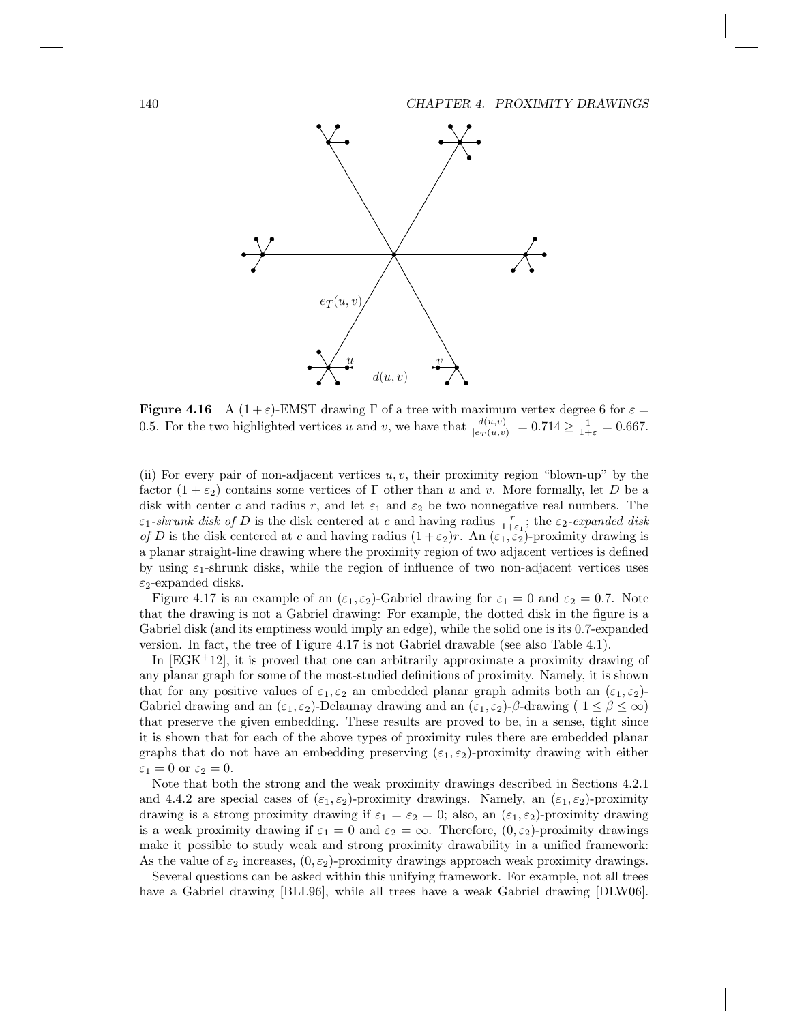

**Figure 4.16** A (1+ $\varepsilon$ )-EMST drawing Γ of a tree with maximum vertex degree 6 for  $\varepsilon =$ 0.5. For the two highlighted vertices u and v, we have that  $\frac{d(u,v)}{|e_T(u,v)|} = 0.714 \ge \frac{1}{1+\varepsilon} = 0.667$ .

(ii) For every pair of non-adjacent vertices  $u, v$ , their proximity region "blown-up" by the factor  $(1 + \varepsilon_2)$  contains some vertices of  $\Gamma$  other than u and v. More formally, let D be a disk with center c and radius r, and let  $\varepsilon_1$  and  $\varepsilon_2$  be two nonnegative real numbers. The  $\varepsilon_1$ -shrunk disk of D is the disk centered at c and having radius  $\frac{r}{1+\varepsilon_1}$ ; the  $\varepsilon_2$ -expanded disk *of* D is the disk centered at c and having radius  $(1 + \varepsilon_2)r$ . An  $(\varepsilon_1, \varepsilon_2)$ -proximity drawing is a planar straight-line drawing where the proximity region of two adjacent vertices is defined by using  $\varepsilon_1$ -shrunk disks, while the region of influence of two non-adjacent vertices uses  $\varepsilon_2$ -expanded disks.

Figure 4.17 is an example of an  $(\varepsilon_1, \varepsilon_2)$ -Gabriel drawing for  $\varepsilon_1 = 0$  and  $\varepsilon_2 = 0.7$ . Note that the drawing is not a Gabriel drawing: For example, the dotted disk in the figure is a Gabriel disk (and its emptiness would imply an edge), while the solid one is its 0.7-expanded version. In fact, the tree of Figure 4.17 is not Gabriel drawable (see also Table 4.1).

In [EGK<sup>+</sup>12], it is proved that one can arbitrarily approximate a proximity drawing of any planar graph for some of the most-studied definitions of proximity. Namely, it is shown that for any positive values of  $\varepsilon_1, \varepsilon_2$  an embedded planar graph admits both an  $(\varepsilon_1, \varepsilon_2)$ -Gabriel drawing and an  $(\varepsilon_1, \varepsilon_2)$ -Delaunay drawing and an  $(\varepsilon_1, \varepsilon_2)$ - $\beta$ -drawing  $(1 \leq \beta \leq \infty)$ that preserve the given embedding. These results are proved to be, in a sense, tight since it is shown that for each of the above types of proximity rules there are embedded planar graphs that do not have an embedding preserving  $(\varepsilon_1, \varepsilon_2)$ -proximity drawing with either  $\varepsilon_1 = 0$  or  $\varepsilon_2 = 0$ .

Note that both the strong and the weak proximity drawings described in Sections 4.2.1 and 4.4.2 are special cases of  $(\varepsilon_1, \varepsilon_2)$ -proximity drawings. Namely, an  $(\varepsilon_1, \varepsilon_2)$ -proximity drawing is a strong proximity drawing if  $\varepsilon_1 = \varepsilon_2 = 0$ ; also, an  $(\varepsilon_1, \varepsilon_2)$ -proximity drawing is a weak proximity drawing if  $\varepsilon_1 = 0$  and  $\varepsilon_2 = \infty$ . Therefore,  $(0, \varepsilon_2)$ -proximity drawings make it possible to study weak and strong proximity drawability in a unified framework: As the value of  $\varepsilon_2$  increases,  $(0, \varepsilon_2)$ -proximity drawings approach weak proximity drawings.

Several questions can be asked within this unifying framework. For example, not all trees have a Gabriel drawing [BLL96], while all trees have a weak Gabriel drawing [DLW06].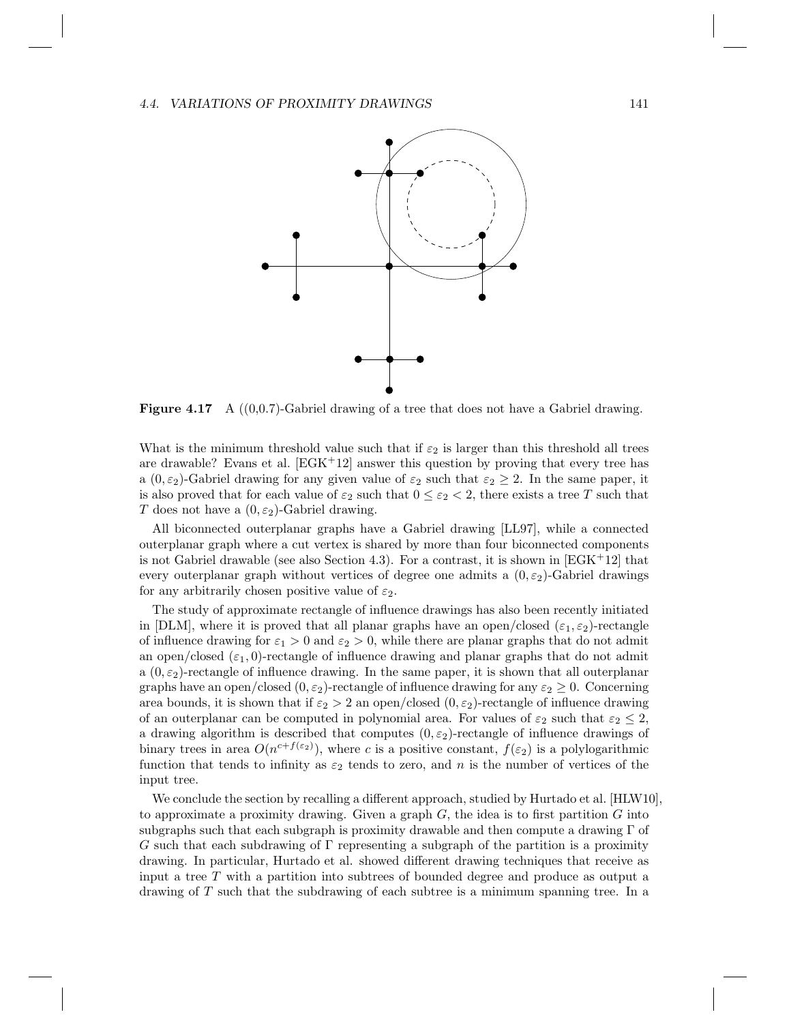

**Figure 4.17** A  $((0.0.7)$ -Gabriel drawing of a tree that does not have a Gabriel drawing.

What is the minimum threshold value such that if  $\varepsilon_2$  is larger than this threshold all trees are drawable? Evans et al.  $[EGK^+12]$  answer this question by proving that every tree has a  $(0, \varepsilon_2)$ -Gabriel drawing for any given value of  $\varepsilon_2$  such that  $\varepsilon_2 \geq 2$ . In the same paper, it is also proved that for each value of  $\varepsilon_2$  such that  $0 \leq \varepsilon_2 < 2$ , there exists a tree T such that T does not have a  $(0, \varepsilon_2)$ -Gabriel drawing.

All biconnected outerplanar graphs have a Gabriel drawing [LL97], while a connected outerplanar graph where a cut vertex is shared by more than four biconnected components is not Gabriel drawable (see also Section 4.3). For a contrast, it is shown in  $[EGK^+12]$  that every outerplanar graph without vertices of degree one admits a  $(0, \varepsilon_2)$ -Gabriel drawings for any arbitrarily chosen positive value of  $\varepsilon_2$ .

The study of approximate rectangle of influence drawings has also been recently initiated in [DLM], where it is proved that all planar graphs have an open/closed  $(\varepsilon_1, \varepsilon_2)$ -rectangle of influence drawing for  $\varepsilon_1 > 0$  and  $\varepsilon_2 > 0$ , while there are planar graphs that do not admit an open/closed  $(\varepsilon_1, 0)$ -rectangle of influence drawing and planar graphs that do not admit a  $(0, \varepsilon_2)$ -rectangle of influence drawing. In the same paper, it is shown that all outerplanar graphs have an open/closed  $(0, \varepsilon_2)$ -rectangle of influence drawing for any  $\varepsilon_2 \geq 0$ . Concerning area bounds, it is shown that if  $\varepsilon_2 > 2$  an open/closed  $(0, \varepsilon_2)$ -rectangle of influence drawing of an outerplanar can be computed in polynomial area. For values of  $\varepsilon_2$  such that  $\varepsilon_2 \leq 2$ , a drawing algorithm is described that computes  $(0, \varepsilon_2)$ -rectangle of influence drawings of binary trees in area  $O(n^{c+f(\epsilon_2)})$ , where c is a positive constant,  $f(\epsilon_2)$  is a polylogarithmic function that tends to infinity as  $\varepsilon_2$  tends to zero, and n is the number of vertices of the input tree.

We conclude the section by recalling a different approach, studied by Hurtado et al. [HLW10], to approximate a proximity drawing. Given a graph  $G$ , the idea is to first partition  $G$  into subgraphs such that each subgraph is proximity drawable and then compute a drawing  $\Gamma$  of G such that each subdrawing of  $\Gamma$  representing a subgraph of the partition is a proximity drawing. In particular, Hurtado et al. showed different drawing techniques that receive as input a tree  $T$  with a partition into subtrees of bounded degree and produce as output a drawing of T such that the subdrawing of each subtree is a minimum spanning tree. In a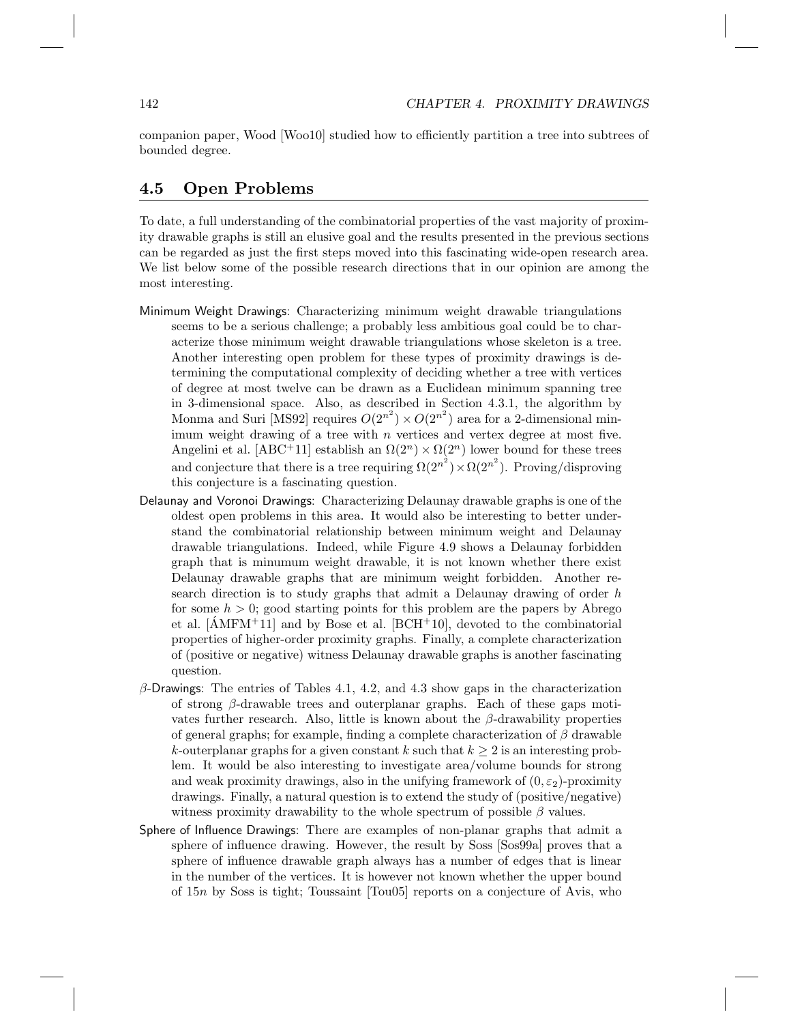companion paper, Wood [Woo10] studied how to efficiently partition a tree into subtrees of bounded degree.

#### 4.5 Open Problems

To date, a full understanding of the combinatorial properties of the vast majority of proximity drawable graphs is still an elusive goal and the results presented in the previous sections can be regarded as just the first steps moved into this fascinating wide-open research area. We list below some of the possible research directions that in our opinion are among the most interesting.

- Minimum Weight Drawings: Characterizing minimum weight drawable triangulations seems to be a serious challenge; a probably less ambitious goal could be to characterize those minimum weight drawable triangulations whose skeleton is a tree. Another interesting open problem for these types of proximity drawings is determining the computational complexity of deciding whether a tree with vertices of degree at most twelve can be drawn as a Euclidean minimum spanning tree in 3-dimensional space. Also, as described in Section 4.3.1, the algorithm by Monma and Suri [MS92] requires  $O(2^{n^2}) \times O(2^{n^2})$  area for a 2-dimensional minimum weight drawing of a tree with  $n$  vertices and vertex degree at most five. Angelini et al. [ABC<sup>+</sup>11] establish an  $\Omega(2^n) \times \Omega(2^n)$  lower bound for these trees and conjecture that there is a tree requiring  $\Omega(2^{n^2}) \times \Omega(2^{n^2})$ . Proving/disproving this conjecture is a fascinating question.
- Delaunay and Voronoi Drawings: Characterizing Delaunay drawable graphs is one of the oldest open problems in this area. It would also be interesting to better understand the combinatorial relationship between minimum weight and Delaunay drawable triangulations. Indeed, while Figure 4.9 shows a Delaunay forbidden graph that is minumum weight drawable, it is not known whether there exist Delaunay drawable graphs that are minimum weight forbidden. Another research direction is to study graphs that admit a Delaunay drawing of order  $h$ for some  $h > 0$ ; good starting points for this problem are the papers by Abrego et al.  $[AMFM<sup>+</sup>11]$  and by Bose et al.  $[BCH<sup>+</sup>10]$ , devoted to the combinatorial properties of higher-order proximity graphs. Finally, a complete characterization of (positive or negative) witness Delaunay drawable graphs is another fascinating question.
- $\beta$ -Drawings: The entries of Tables 4.1, 4.2, and 4.3 show gaps in the characterization of strong  $\beta$ -drawable trees and outerplanar graphs. Each of these gaps motivates further research. Also, little is known about the  $\beta$ -drawability properties of general graphs; for example, finding a complete characterization of  $\beta$  drawable k-outerplanar graphs for a given constant k such that  $k \geq 2$  is an interesting problem. It would be also interesting to investigate area/volume bounds for strong and weak proximity drawings, also in the unifying framework of  $(0, \varepsilon_2)$ -proximity drawings. Finally, a natural question is to extend the study of (positive/negative) witness proximity drawability to the whole spectrum of possible  $\beta$  values.
- Sphere of Influence Drawings: There are examples of non-planar graphs that admit a sphere of influence drawing. However, the result by Soss [Sos99a] proves that a sphere of influence drawable graph always has a number of edges that is linear in the number of the vertices. It is however not known whether the upper bound of 15n by Soss is tight; Toussaint [Tou05] reports on a conjecture of Avis, who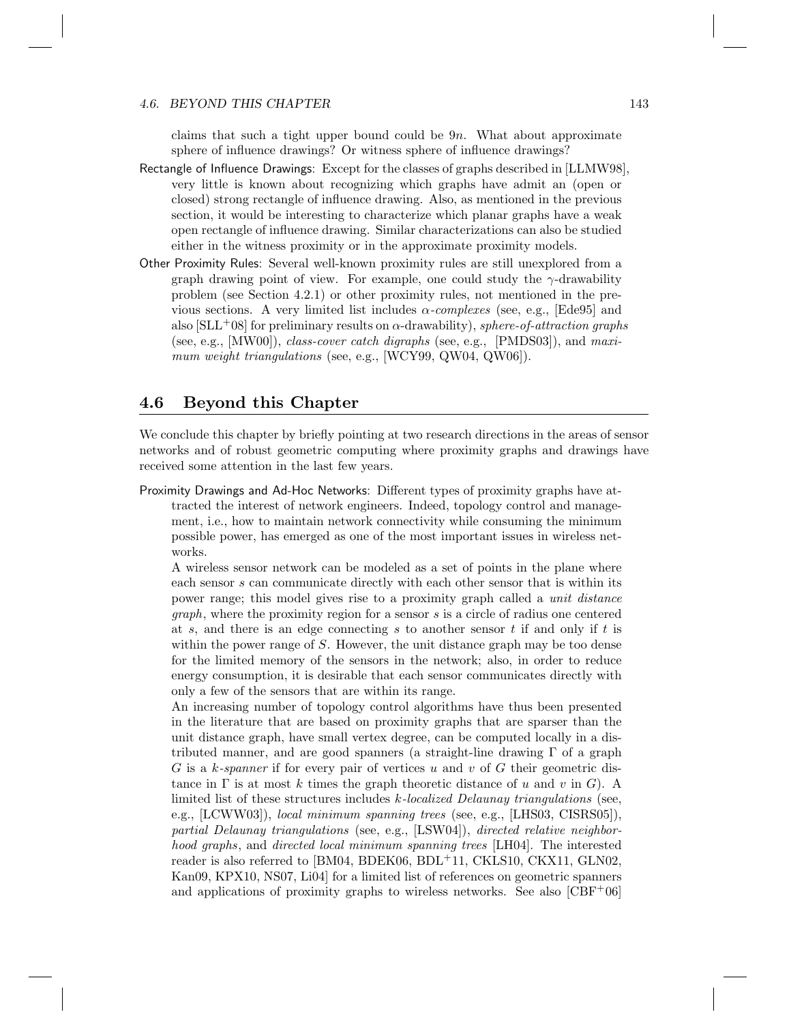#### 4.6. BEYOND THIS CHAPTER 143

claims that such a tight upper bound could be 9n. What about approximate sphere of influence drawings? Or witness sphere of influence drawings?

- Rectangle of Influence Drawings: Except for the classes of graphs described in [LLMW98], very little is known about recognizing which graphs have admit an (open or closed) strong rectangle of influence drawing. Also, as mentioned in the previous section, it would be interesting to characterize which planar graphs have a weak open rectangle of influence drawing. Similar characterizations can also be studied either in the witness proximity or in the approximate proximity models.
- Other Proximity Rules: Several well-known proximity rules are still unexplored from a graph drawing point of view. For example, one could study the  $\gamma$ -drawability problem (see Section 4.2.1) or other proximity rules, not mentioned in the previous sections. A very limited list includes α*-complexes* (see, e.g., [Ede95] and also [SLL<sup>+</sup>08] for preliminary results on  $\alpha$ -drawability), *sphere-of-attraction graphs* (see, e.g., [MW00]), *class-cover catch digraphs* (see, e.g., [PMDS03]), and *maximum weight triangulations* (see, e.g., [WCY99, QW04, QW06]).

#### 4.6 Beyond this Chapter

We conclude this chapter by briefly pointing at two research directions in the areas of sensor networks and of robust geometric computing where proximity graphs and drawings have received some attention in the last few years.

Proximity Drawings and Ad-Hoc Networks: Different types of proximity graphs have attracted the interest of network engineers. Indeed, topology control and management, i.e., how to maintain network connectivity while consuming the minimum possible power, has emerged as one of the most important issues in wireless networks.

A wireless sensor network can be modeled as a set of points in the plane where each sensor s can communicate directly with each other sensor that is within its power range; this model gives rise to a proximity graph called a *unit distance graph*, where the proximity region for a sensor s is a circle of radius one centered at s, and there is an edge connecting s to another sensor t if and only if t is within the power range of  $S$ . However, the unit distance graph may be too dense for the limited memory of the sensors in the network; also, in order to reduce energy consumption, it is desirable that each sensor communicates directly with only a few of the sensors that are within its range.

An increasing number of topology control algorithms have thus been presented in the literature that are based on proximity graphs that are sparser than the unit distance graph, have small vertex degree, can be computed locally in a distributed manner, and are good spanners (a straight-line drawing  $\Gamma$  of a graph G is a k*-spanner* if for every pair of vertices u and v of G their geometric distance in  $\Gamma$  is at most k times the graph theoretic distance of u and v in G). A limited list of these structures includes k*-localized Delaunay triangulations* (see, e.g., [LCWW03]), *local minimum spanning trees* (see, e.g., [LHS03, CISRS05]), *partial Delaunay triangulations* (see, e.g., [LSW04]), *directed relative neighborhood graphs*, and *directed local minimum spanning trees* [LH04]. The interested reader is also referred to [BM04, BDEK06, BDL<sup>+</sup>11, CKLS10, CKX11, GLN02, Kan09, KPX10, NS07, Li04] for a limited list of references on geometric spanners and applications of proximity graphs to wireless networks. See also  $[CBF^+06]$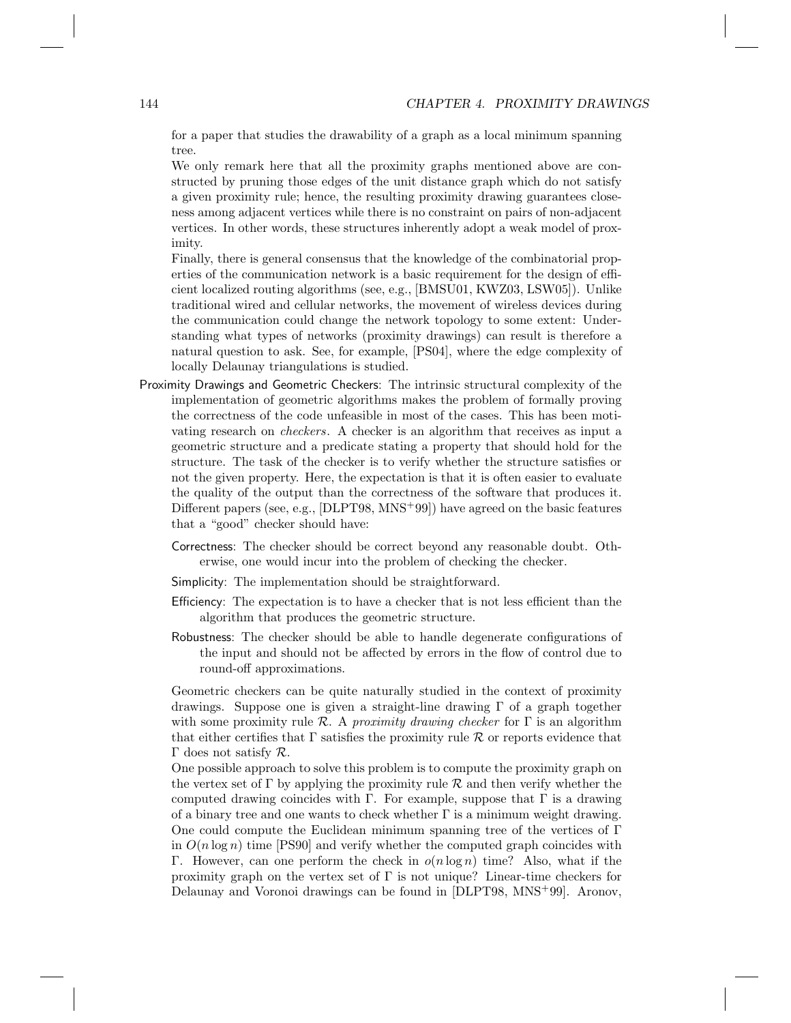for a paper that studies the drawability of a graph as a local minimum spanning tree.

We only remark here that all the proximity graphs mentioned above are constructed by pruning those edges of the unit distance graph which do not satisfy a given proximity rule; hence, the resulting proximity drawing guarantees closeness among adjacent vertices while there is no constraint on pairs of non-adjacent vertices. In other words, these structures inherently adopt a weak model of proximity.

Finally, there is general consensus that the knowledge of the combinatorial properties of the communication network is a basic requirement for the design of efficient localized routing algorithms (see, e.g., [BMSU01, KWZ03, LSW05]). Unlike traditional wired and cellular networks, the movement of wireless devices during the communication could change the network topology to some extent: Understanding what types of networks (proximity drawings) can result is therefore a natural question to ask. See, for example, [PS04], where the edge complexity of locally Delaunay triangulations is studied.

- Proximity Drawings and Geometric Checkers: The intrinsic structural complexity of the implementation of geometric algorithms makes the problem of formally proving the correctness of the code unfeasible in most of the cases. This has been motivating research on *checkers*. A checker is an algorithm that receives as input a geometric structure and a predicate stating a property that should hold for the structure. The task of the checker is to verify whether the structure satisfies or not the given property. Here, the expectation is that it is often easier to evaluate the quality of the output than the correctness of the software that produces it. Different papers (see, e.g., [DLPT98, MNS<sup>+</sup>99]) have agreed on the basic features that a "good" checker should have:
	- Correctness: The checker should be correct beyond any reasonable doubt. Otherwise, one would incur into the problem of checking the checker.
	- Simplicity: The implementation should be straightforward.
	- Efficiency: The expectation is to have a checker that is not less efficient than the algorithm that produces the geometric structure.
	- Robustness: The checker should be able to handle degenerate configurations of the input and should not be affected by errors in the flow of control due to round-off approximations.

Geometric checkers can be quite naturally studied in the context of proximity drawings. Suppose one is given a straight-line drawing  $\Gamma$  of a graph together with some proximity rule R. A *proximity drawing checker* for Γ is an algorithm that either certifies that  $\Gamma$  satisfies the proximity rule  $\mathcal R$  or reports evidence that Γ does not satisfy  $R$ .

One possible approach to solve this problem is to compute the proximity graph on the vertex set of  $\Gamma$  by applying the proximity rule  $\mathcal R$  and then verify whether the computed drawing coincides with  $\Gamma$ . For example, suppose that  $\Gamma$  is a drawing of a binary tree and one wants to check whether  $\Gamma$  is a minimum weight drawing. One could compute the Euclidean minimum spanning tree of the vertices of Γ in  $O(n \log n)$  time [PS90] and verify whether the computed graph coincides with Γ. However, can one perform the check in  $o(n \log n)$  time? Also, what if the proximity graph on the vertex set of  $\Gamma$  is not unique? Linear-time checkers for Delaunay and Voronoi drawings can be found in [DLPT98, MNS<sup>+99]</sup>. Aronov,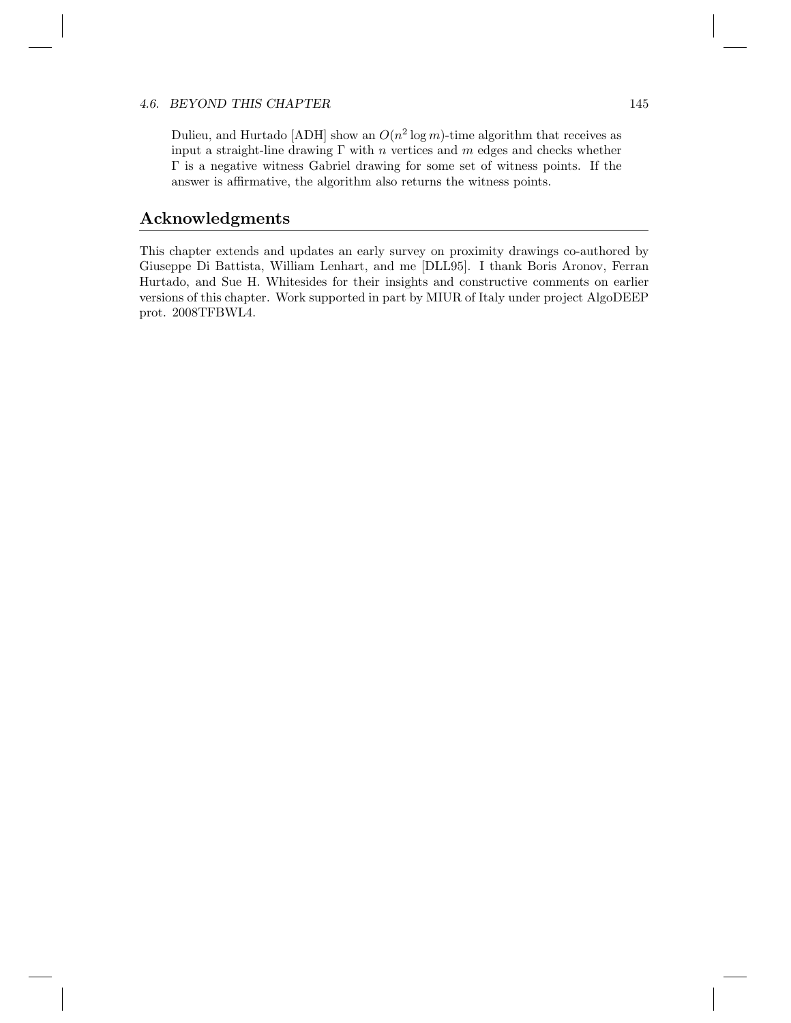#### 4.6. BEYOND THIS CHAPTER 145

Dulieu, and Hurtado [ADH] show an  $O(n^2 \log m)$ -time algorithm that receives as input a straight-line drawing  $\Gamma$  with n vertices and m edges and checks whether Γ is a negative witness Gabriel drawing for some set of witness points. If the answer is affirmative, the algorithm also returns the witness points.

#### Acknowledgments

This chapter extends and updates an early survey on proximity drawings co-authored by Giuseppe Di Battista, William Lenhart, and me [DLL95]. I thank Boris Aronov, Ferran Hurtado, and Sue H. Whitesides for their insights and constructive comments on earlier versions of this chapter. Work supported in part by MIUR of Italy under project AlgoDEEP prot. 2008TFBWL4.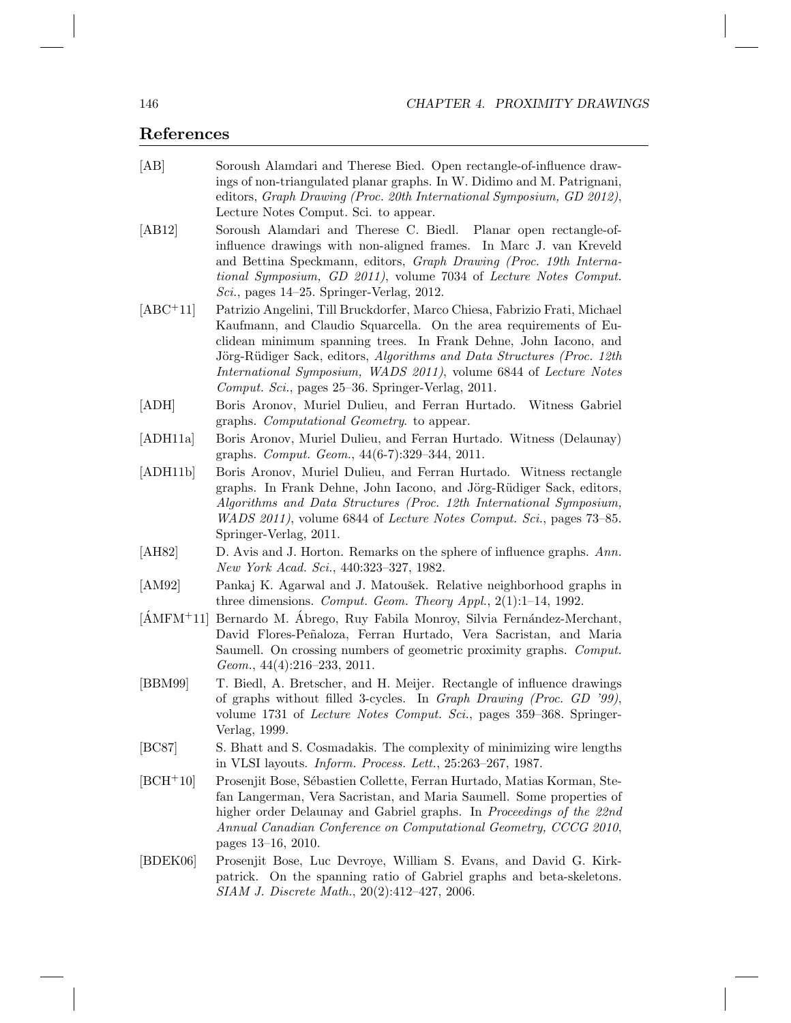## References

| $[\mathrm{AB}]$      | Soroush Alamdari and Therese Bied. Open rectangle-of-influence draw-<br>ings of non-triangulated planar graphs. In W. Didimo and M. Patrignani,<br>editors, Graph Drawing (Proc. 20th International Symposium, GD 2012),<br>Lecture Notes Comput. Sci. to appear.                                                                                                                                                       |
|----------------------|-------------------------------------------------------------------------------------------------------------------------------------------------------------------------------------------------------------------------------------------------------------------------------------------------------------------------------------------------------------------------------------------------------------------------|
| [AB12]               | Soroush Alamdari and Therese C. Biedl. Planar open rectangle-of-<br>influence drawings with non-aligned frames. In Marc J. van Kreveld<br>and Bettina Speckmann, editors, Graph Drawing (Proc. 19th Interna-<br>tional Symposium, GD 2011), volume 7034 of Lecture Notes Comput.<br>$Sci.$ , pages 14–25. Springer-Verlag, 2012.                                                                                        |
| $[ABC+11]$           | Patrizio Angelini, Till Bruckdorfer, Marco Chiesa, Fabrizio Frati, Michael<br>Kaufmann, and Claudio Squarcella. On the area requirements of Eu-<br>clidean minimum spanning trees. In Frank Dehne, John Iacono, and<br>Jörg-Rüdiger Sack, editors, Algorithms and Data Structures (Proc. 12th<br>International Symposium, WADS 2011), volume 6844 of Lecture Notes<br>Comput. Sci., pages 25–36. Springer-Verlag, 2011. |
| [ADH]                | Boris Aronov, Muriel Dulieu, and Ferran Hurtado. Witness Gabriel<br>graphs. <i>Computational Geometry</i> . to appear.                                                                                                                                                                                                                                                                                                  |
| [ADH11a]             | Boris Aronov, Muriel Dulieu, and Ferran Hurtado. Witness (Delaunay)<br>graphs. Comput. Geom., 44(6-7):329-344, 2011.                                                                                                                                                                                                                                                                                                    |
| [ADH11b]             | Boris Aronov, Muriel Dulieu, and Ferran Hurtado. Witness rectangle<br>graphs. In Frank Dehne, John Iacono, and Jörg-Rüdiger Sack, editors,<br>Algorithms and Data Structures (Proc. 12th International Symposium,<br>WADS 2011), volume 6844 of Lecture Notes Comput. Sci., pages 73–85.<br>Springer-Verlag, 2011.                                                                                                      |
| $[{\rm A}{\rm H}82]$ | D. Avis and J. Horton. Remarks on the sphere of influence graphs. Ann.<br>New York Acad. Sci., 440:323-327, 1982.                                                                                                                                                                                                                                                                                                       |
| [AM92]               | Pankaj K. Agarwal and J. Matoušek. Relative neighborhood graphs in<br>three dimensions. Comput. Geom. Theory Appl., $2(1):1-14$ , 1992.                                                                                                                                                                                                                                                                                 |
| $[AMFM+11]$          | Bernardo M. Ábrego, Ruy Fabila Monroy, Silvia Fernández-Merchant,<br>David Flores-Peñaloza, Ferran Hurtado, Vera Sacristan, and Maria<br>Saumell. On crossing numbers of geometric proximity graphs. Comput.<br>$Geom., 44(4):216-233, 2011.$                                                                                                                                                                           |
| [BBM99]              | T. Biedl, A. Bretscher, and H. Meijer. Rectangle of influence drawings<br>of graphs without filled 3-cycles. In Graph Drawing (Proc. GD '99),<br>volume 1731 of <i>Lecture Notes Comput. Sci.</i> , pages 359–368. Springer-<br>Verlag, 1999.                                                                                                                                                                           |
| [BC87]               | S. Bhatt and S. Cosmadakis. The complexity of minimizing wire lengths<br>in VLSI layouts. <i>Inform. Process. Lett.</i> , 25:263-267, 1987.                                                                                                                                                                                                                                                                             |
| $[BCH+10]$           | Prosenjit Bose, Sébastien Collette, Ferran Hurtado, Matias Korman, Ste-<br>fan Langerman, Vera Sacristan, and Maria Saumell. Some properties of<br>higher order Delaunay and Gabriel graphs. In Proceedings of the 22nd<br>Annual Canadian Conference on Computational Geometry, CCCG 2010,<br>pages 13-16, 2010.                                                                                                       |
| [BDEK06]             | Prosenjit Bose, Luc Devroye, William S. Evans, and David G. Kirk-<br>patrick. On the spanning ratio of Gabriel graphs and beta-skeletons.<br>SIAM J. Discrete Math., 20(2):412-427, 2006.                                                                                                                                                                                                                               |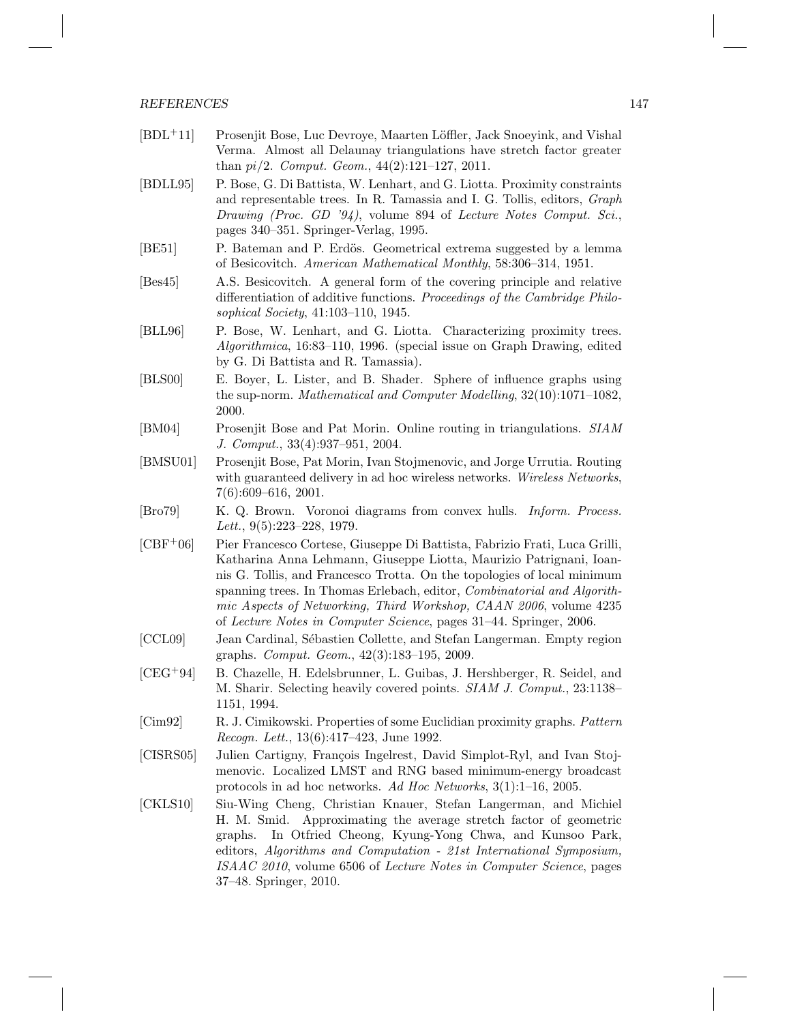#### REFERENCES 147

- [BDL<sup>+</sup>11] Prosenjit Bose, Luc Devroye, Maarten L¨offler, Jack Snoeyink, and Vishal Verma. Almost all Delaunay triangulations have stretch factor greater than pi/2. *Comput. Geom.*, 44(2):121–127, 2011.
- [BDLL95] P. Bose, G. Di Battista, W. Lenhart, and G. Liotta. Proximity constraints and representable trees. In R. Tamassia and I. G. Tollis, editors, *Graph Drawing (Proc. GD '94)*, volume 894 of *Lecture Notes Comput. Sci.*, pages 340–351. Springer-Verlag, 1995.
- [BE51] P. Bateman and P. Erdös. Geometrical extrema suggested by a lemma of Besicovitch. *American Mathematical Monthly*, 58:306–314, 1951.
- [Bes45] A.S. Besicovitch. A general form of the covering principle and relative differentiation of additive functions. *Proceedings of the Cambridge Philosophical Society*, 41:103–110, 1945.
- [BLL96] P. Bose, W. Lenhart, and G. Liotta. Characterizing proximity trees. *Algorithmica*, 16:83–110, 1996. (special issue on Graph Drawing, edited by G. Di Battista and R. Tamassia).
- [BLS00] E. Boyer, L. Lister, and B. Shader. Sphere of influence graphs using the sup-norm. *Mathematical and Computer Modelling*, 32(10):1071–1082, 2000.
- [BM04] Prosenjit Bose and Pat Morin. Online routing in triangulations. *SIAM J. Comput.*, 33(4):937–951, 2004.
- [BMSU01] Prosenjit Bose, Pat Morin, Ivan Stojmenovic, and Jorge Urrutia. Routing with guaranteed delivery in ad hoc wireless networks. *Wireless Networks*, 7(6):609–616, 2001.
- [Bro79] K. Q. Brown. Voronoi diagrams from convex hulls. *Inform. Process. Lett.*, 9(5):223–228, 1979.
- [CBF<sup>+</sup>06] Pier Francesco Cortese, Giuseppe Di Battista, Fabrizio Frati, Luca Grilli, Katharina Anna Lehmann, Giuseppe Liotta, Maurizio Patrignani, Ioannis G. Tollis, and Francesco Trotta. On the topologies of local minimum spanning trees. In Thomas Erlebach, editor, *Combinatorial and Algorithmic Aspects of Networking, Third Workshop, CAAN 2006*, volume 4235 of *Lecture Notes in Computer Science*, pages 31–44. Springer, 2006.
- [CCL09] Jean Cardinal, Sébastien Collette, and Stefan Langerman. Empty region graphs. *Comput. Geom.*, 42(3):183–195, 2009.
- [CEG<sup>+</sup>94] B. Chazelle, H. Edelsbrunner, L. Guibas, J. Hershberger, R. Seidel, and M. Sharir. Selecting heavily covered points. *SIAM J. Comput.*, 23:1138– 1151, 1994.
- [Cim92] R. J. Cimikowski. Properties of some Euclidian proximity graphs. *Pattern Recogn. Lett.*, 13(6):417–423, June 1992.
- [CISRS05] Julien Cartigny, François Ingelrest, David Simplot-Ryl, and Ivan Stojmenovic. Localized LMST and RNG based minimum-energy broadcast protocols in ad hoc networks. *Ad Hoc Networks*, 3(1):1–16, 2005.
- [CKLS10] Siu-Wing Cheng, Christian Knauer, Stefan Langerman, and Michiel H. M. Smid. Approximating the average stretch factor of geometric graphs. In Otfried Cheong, Kyung-Yong Chwa, and Kunsoo Park, editors, *Algorithms and Computation - 21st International Symposium, ISAAC 2010*, volume 6506 of *Lecture Notes in Computer Science*, pages 37–48. Springer, 2010.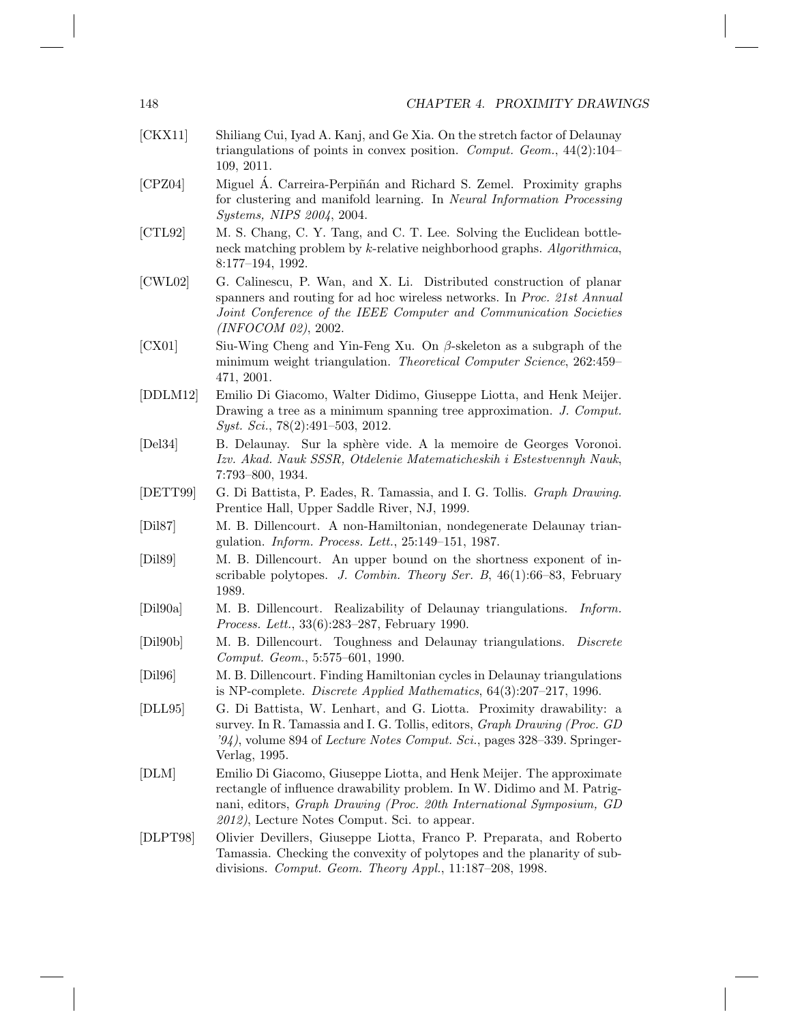| 148      | CHAPTER 4. PROXIMITY DRAWINGS                                                                                                                                                                                                                                           |
|----------|-------------------------------------------------------------------------------------------------------------------------------------------------------------------------------------------------------------------------------------------------------------------------|
| [CKX11]  | Shiliang Cui, Iyad A. Kanj, and Ge Xia. On the stretch factor of Delaunay<br>triangulations of points in convex position. Comput. Geom., $44(2):104-$<br>109, 2011.                                                                                                     |
| [CPZ04]  | Miguel A. Carreira-Perpiñán and Richard S. Zemel. Proximity graphs<br>for clustering and manifold learning. In Neural Information Processing<br>Systems, NIPS 2004, 2004.                                                                                               |
| [CTL92]  | M. S. Chang, C. Y. Tang, and C. T. Lee. Solving the Euclidean bottle-<br>neck matching problem by $k$ -relative neighborhood graphs. Algorithmica,<br>$8:177-194, 1992.$                                                                                                |
| [CWL02]  | G. Calinescu, P. Wan, and X. Li. Distributed construction of planar<br>spanners and routing for ad hoc wireless networks. In Proc. 21st Annual<br>Joint Conference of the IEEE Computer and Communication Societies<br>(INFOCOM 02), 2002.                              |
| [CX01]   | Siu-Wing Cheng and Yin-Feng Xu. On $\beta$ -skeleton as a subgraph of the<br>minimum weight triangulation. Theoretical Computer Science, 262:459-<br>471, 2001.                                                                                                         |
| [DDLM12] | Emilio Di Giacomo, Walter Didimo, Giuseppe Liotta, and Henk Meijer.<br>Drawing a tree as a minimum spanning tree approximation. J. Comput.<br><i>Syst. Sci.</i> , $78(2):491-503$ , 2012.                                                                               |
| [Del34]  | B. Delaunay. Sur la sphère vide. A la memoire de Georges Voronoi.<br>Izv. Akad. Nauk SSSR, Otdelenie Matematicheskih i Estestvennyh Nauk,<br>7:793-800, 1934.                                                                                                           |
| [DETT99] | G. Di Battista, P. Eades, R. Tamassia, and I. G. Tollis. Graph Drawing.<br>Prentice Hall, Upper Saddle River, NJ, 1999.                                                                                                                                                 |
| [Dil87]  | M. B. Dillencourt. A non-Hamiltonian, nondegenerate Delaunay trian-<br>gulation. <i>Inform. Process. Lett.</i> , 25:149-151, 1987.                                                                                                                                      |
| [Dil89]  | M. B. Dillencourt. An upper bound on the shortness exponent of in-<br>scribable polytopes. J. Combin. Theory Ser. B, $46(1):66-83$ , February<br>1989.                                                                                                                  |
| [Di190a] | M. B. Dillencourt. Realizability of Delaunay triangulations.<br>Inform.<br><i>Process. Lett.</i> , 33(6):283–287, February 1990.                                                                                                                                        |
| [Dil90b] | M. B. Dillencourt. Toughness and Delaunay triangulations.<br>Discrete<br>Comput. Geom., 5:575-601, 1990.                                                                                                                                                                |
| [Di196]  | M. B. Dillencourt. Finding Hamiltonian cycles in Delaunay triangulations<br>is NP-complete. Discrete Applied Mathematics, $64(3):207-217$ , 1996.                                                                                                                       |
| [DLL95]  | G. Di Battista, W. Lenhart, and G. Liotta. Proximity drawability: a<br>survey. In R. Tamassia and I. G. Tollis, editors, Graph Drawing (Proc. GD)<br>$294$ , volume 894 of <i>Lecture Notes Comput. Sci.</i> , pages 328-339. Springer-<br>Verlag, 1995.                |
| [DLM]    | Emilio Di Giacomo, Giuseppe Liotta, and Henk Meijer. The approximate<br>rectangle of influence drawability problem. In W. Didimo and M. Patrig-<br>nani, editors, Graph Drawing (Proc. 20th International Symposium, GD<br>2012), Lecture Notes Comput. Sci. to appear. |
| [DLPT98] | Olivier Devillers, Giuseppe Liotta, Franco P. Preparata, and Roberto<br>Tamassia. Checking the convexity of polytopes and the planarity of sub-<br>divisions. Comput. Geom. Theory Appl., 11:187-208, 1998.                                                             |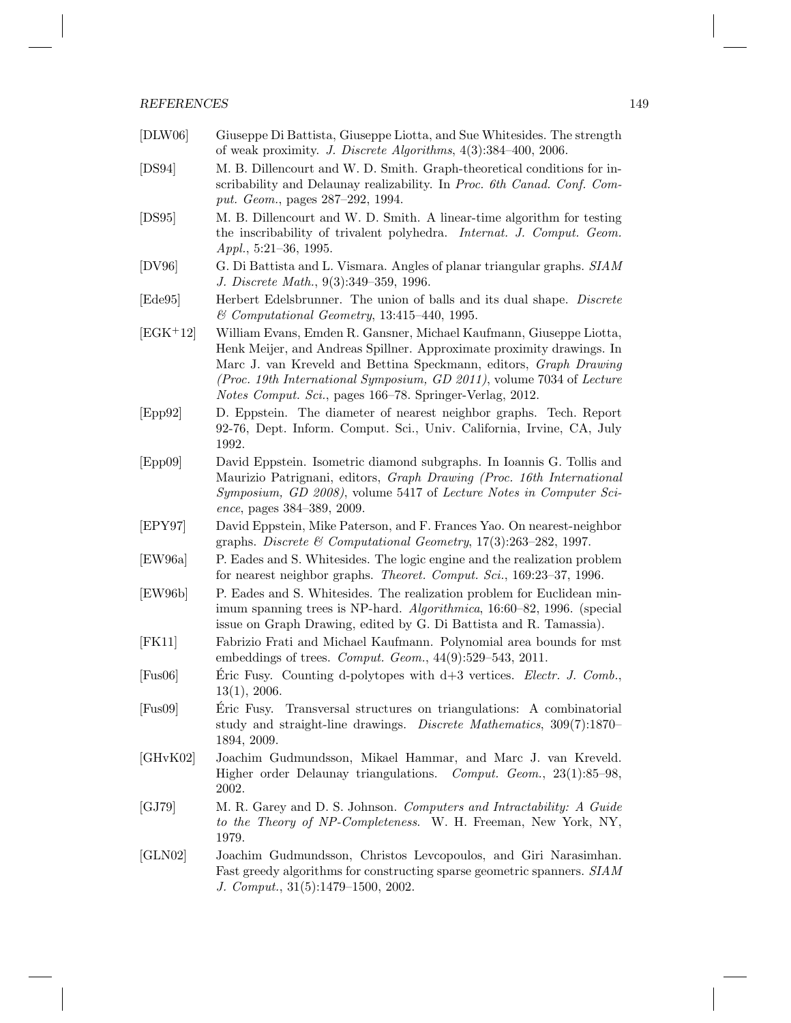#### REFERENCES 149

- [DLW06] Giuseppe Di Battista, Giuseppe Liotta, and Sue Whitesides. The strength of weak proximity. *J. Discrete Algorithms*, 4(3):384–400, 2006.
- [DS94] M. B. Dillencourt and W. D. Smith. Graph-theoretical conditions for inscribability and Delaunay realizability. In *Proc. 6th Canad. Conf. Comput. Geom.*, pages 287–292, 1994.
- [DS95] M. B. Dillencourt and W. D. Smith. A linear-time algorithm for testing the inscribability of trivalent polyhedra. *Internat. J. Comput. Geom. Appl.*, 5:21–36, 1995.
- [DV96] G. Di Battista and L. Vismara. Angles of planar triangular graphs. *SIAM J. Discrete Math.*, 9(3):349–359, 1996.
- [Ede95] Herbert Edelsbrunner. The union of balls and its dual shape. *Discrete & Computational Geometry*, 13:415–440, 1995.
- [EGK<sup>+</sup>12] William Evans, Emden R. Gansner, Michael Kaufmann, Giuseppe Liotta, Henk Meijer, and Andreas Spillner. Approximate proximity drawings. In Marc J. van Kreveld and Bettina Speckmann, editors, *Graph Drawing (Proc. 19th International Symposium, GD 2011)*, volume 7034 of *Lecture Notes Comput. Sci.*, pages 166–78. Springer-Verlag, 2012.
- [Epp92] D. Eppstein. The diameter of nearest neighbor graphs. Tech. Report 92-76, Dept. Inform. Comput. Sci., Univ. California, Irvine, CA, July 1992.
- [Epp09] David Eppstein. Isometric diamond subgraphs. In Ioannis G. Tollis and Maurizio Patrignani, editors, *Graph Drawing (Proc. 16th International Symposium, GD 2008)*, volume 5417 of *Lecture Notes in Computer Science*, pages 384–389, 2009.
- [EPY97] David Eppstein, Mike Paterson, and F. Frances Yao. On nearest-neighbor graphs. *Discrete & Computational Geometry*, 17(3):263–282, 1997.
- [EW96a] P. Eades and S. Whitesides. The logic engine and the realization problem for nearest neighbor graphs. *Theoret. Comput. Sci.*, 169:23–37, 1996.
- [EW96b] P. Eades and S. Whitesides. The realization problem for Euclidean minimum spanning trees is NP-hard. *Algorithmica*, 16:60–82, 1996. (special issue on Graph Drawing, edited by G. Di Battista and R. Tamassia).
- [FK11] Fabrizio Frati and Michael Kaufmann. Polynomial area bounds for mst embeddings of trees. *Comput. Geom.*, 44(9):529–543, 2011.
- [Fus06] Eric Fusy. Counting d-polytopes with d+3 vertices. *Electr. J. Comb.*, 13(1), 2006.
- [Fus09] Eric Fusy. Transversal structures on triangulations: A combinatorial study and straight-line drawings. *Discrete Mathematics*, 309(7):1870– 1894, 2009.
- [GHvK02] Joachim Gudmundsson, Mikael Hammar, and Marc J. van Kreveld. Higher order Delaunay triangulations. *Comput. Geom.*, 23(1):85–98, 2002.
- [GJ79] M. R. Garey and D. S. Johnson. *Computers and Intractability: A Guide to the Theory of NP-Completeness*. W. H. Freeman, New York, NY, 1979.
- [GLN02] Joachim Gudmundsson, Christos Levcopoulos, and Giri Narasimhan. Fast greedy algorithms for constructing sparse geometric spanners. *SIAM J. Comput.*, 31(5):1479–1500, 2002.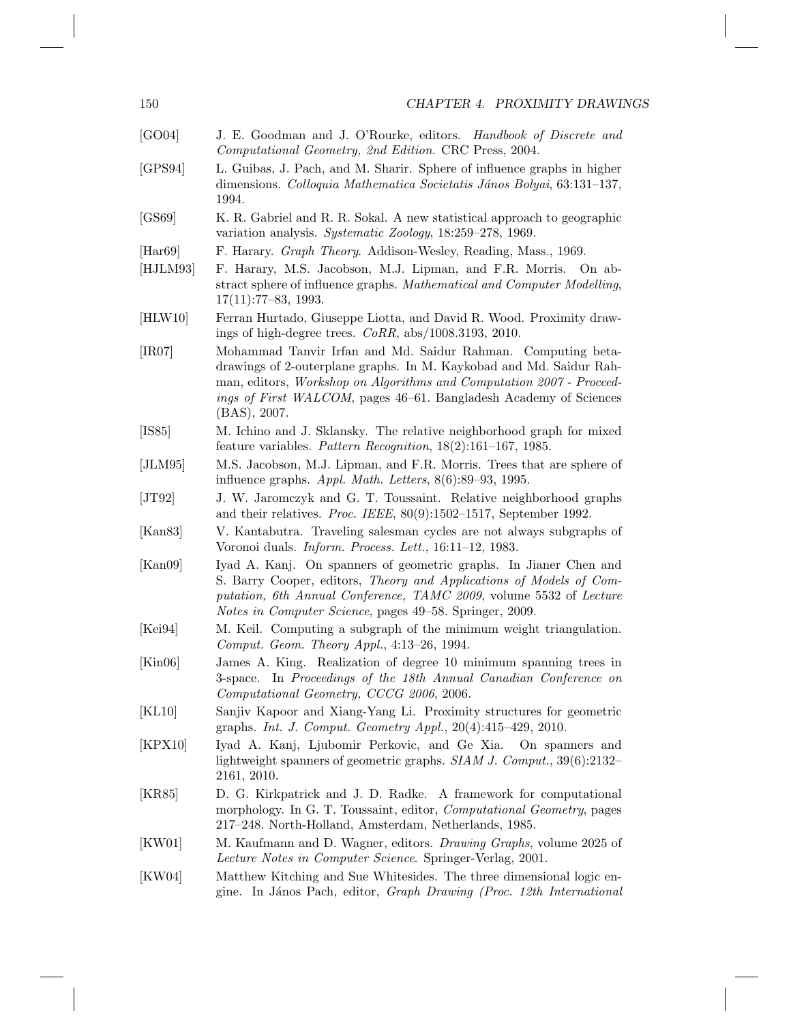| 150                  | CHAPTER 4. PROXIMITY DRAWINGS                                                                                                                                                                                                                                                                    |
|----------------------|--------------------------------------------------------------------------------------------------------------------------------------------------------------------------------------------------------------------------------------------------------------------------------------------------|
| [GO04]               | J. E. Goodman and J. O'Rourke, editors. Handbook of Discrete and<br>Computational Geometry, 2nd Edition. CRC Press, 2004.                                                                                                                                                                        |
| [GPS94]              | L. Guibas, J. Pach, and M. Sharir. Sphere of influence graphs in higher<br>dimensions. Colloquia Mathematica Societatis János Bolyai, 63:131-137,<br>1994.                                                                                                                                       |
| [GS69]               | K. R. Gabriel and R. R. Sokal. A new statistical approach to geographic<br>variation analysis. Systematic Zoology, 18:259-278, 1969.                                                                                                                                                             |
| [Har69]              | F. Harary. Graph Theory. Addison-Wesley, Reading, Mass., 1969.                                                                                                                                                                                                                                   |
| [HJLM93]             | F. Harary, M.S. Jacobson, M.J. Lipman, and F.R. Morris. On ab-<br>stract sphere of influence graphs. Mathematical and Computer Modelling,<br>$17(11):77-83, 1993.$                                                                                                                               |
| [HLW10]              | Ferran Hurtado, Giuseppe Liotta, and David R. Wood. Proximity draw-<br>ings of high-degree trees. $CoRR$ , abs/1008.3193, 2010.                                                                                                                                                                  |
| [IR07]               | Mohammad Tanvir Irfan and Md. Saidur Rahman. Computing beta-<br>drawings of 2-outerplane graphs. In M. Kaykobad and Md. Saidur Rah-<br>man, editors, Workshop on Algorithms and Computation 2007 - Proceed-<br>ings of First WALCOM, pages 46–61. Bangladesh Academy of Sciences<br>(BAS), 2007. |
| [ <sup>IS85</sup> ]  | M. Ichino and J. Sklansky. The relative neighborhood graph for mixed<br>feature variables. Pattern Recognition, $18(2):161-167$ , 1985.                                                                                                                                                          |
| [JLM95]              | M.S. Jacobson, M.J. Lipman, and F.R. Morris. Trees that are sphere of<br>influence graphs. Appl. Math. Letters, $8(6):89-93$ , 1995.                                                                                                                                                             |
| [JT92]               | J. W. Jaromczyk and G. T. Toussaint. Relative neighborhood graphs<br>and their relatives. <i>Proc. IEEE</i> , $80(9):1502-1517$ , September 1992.                                                                                                                                                |
| [Kan83]              | V. Kantabutra. Traveling salesman cycles are not always subgraphs of<br>Voronoi duals. <i>Inform. Process. Lett.</i> , 16:11-12, 1983.                                                                                                                                                           |
| [Kan09]              | Iyad A. Kanj. On spanners of geometric graphs. In Jianer Chen and<br>S. Barry Cooper, editors, Theory and Applications of Models of Com-<br>putation, 6th Annual Conference, TAMC 2009, volume 5532 of Lecture<br>Notes in Computer Science, pages 49–58. Springer, 2009.                        |
| [Kei94]              | M. Keil. Computing a subgraph of the minimum weight triangulation.<br>Comput. Geom. Theory Appl., 4:13-26, 1994.                                                                                                                                                                                 |
| [Kin06]              | James A. King. Realization of degree 10 minimum spanning trees in<br>3-space. In Proceedings of the 18th Annual Canadian Conference on<br>Computational Geometry, CCCG 2006, 2006.                                                                                                               |
| $\vert$ KL10 $\vert$ | Sanjiv Kapoor and Xiang-Yang Li. Proximity structures for geometric<br>graphs. Int. J. Comput. Geometry Appl., 20(4):415-429, 2010.                                                                                                                                                              |
| [KPX10]              | Iyad A. Kanj, Ljubomir Perkovic, and Ge Xia. On spanners and<br>lightweight spanners of geometric graphs. SIAM J. Comput., 39(6):2132-<br>2161, 2010.                                                                                                                                            |
| [KR85]               | D. G. Kirkpatrick and J. D. Radke. A framework for computational<br>morphology. In G. T. Toussaint, editor, <i>Computational Geometry</i> , pages<br>217-248. North-Holland, Amsterdam, Netherlands, 1985.                                                                                       |
| [KW01]               | M. Kaufmann and D. Wagner, editors. <i>Drawing Graphs</i> , volume 2025 of<br>Lecture Notes in Computer Science. Springer-Verlag, 2001.                                                                                                                                                          |
| [KW04]               | Matthew Kitching and Sue Whitesides. The three dimensional logic en-<br>gine. In János Pach, editor, Graph Drawing (Proc. 12th International                                                                                                                                                     |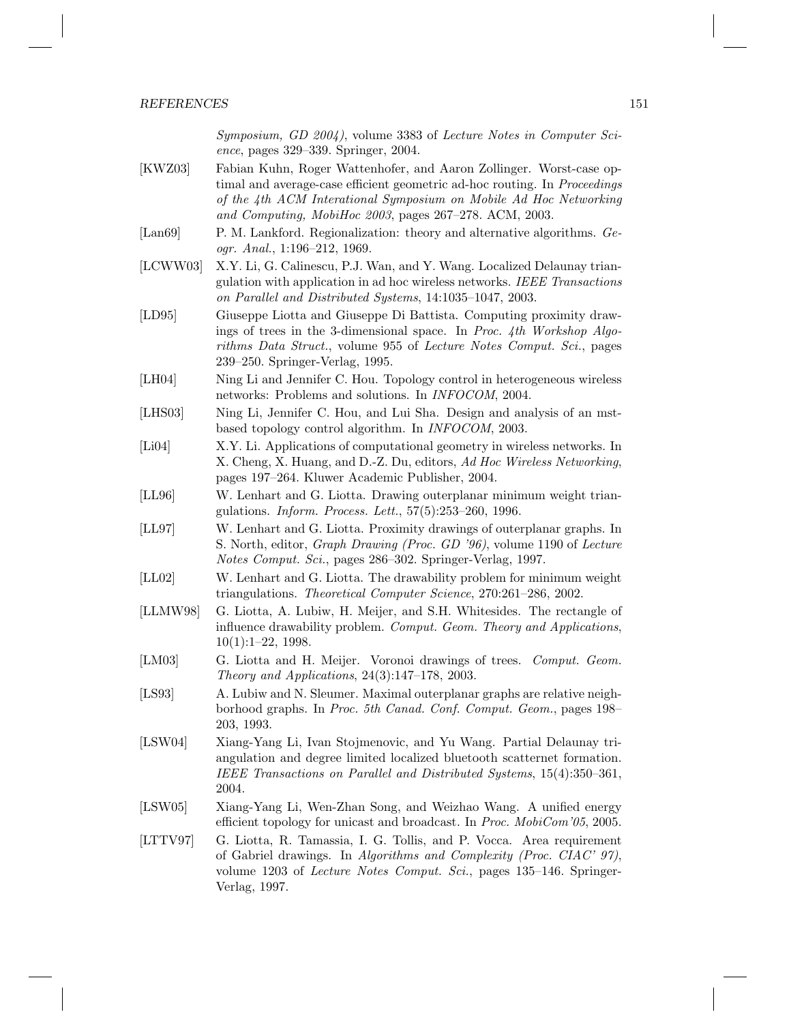*Symposium, GD 2004)*, volume 3383 of *Lecture Notes in Computer Science*, pages 329–339. Springer, 2004.

- [KWZ03] Fabian Kuhn, Roger Wattenhofer, and Aaron Zollinger. Worst-case optimal and average-case efficient geometric ad-hoc routing. In *Proceedings of the 4th ACM Interational Symposium on Mobile Ad Hoc Networking and Computing, MobiHoc 2003*, pages 267–278. ACM, 2003.
- [Lan69] P. M. Lankford. Regionalization: theory and alternative algorithms. *Geogr. Anal.*, 1:196–212, 1969.
- [LCWW03] X.Y. Li, G. Calinescu, P.J. Wan, and Y. Wang. Localized Delaunay triangulation with application in ad hoc wireless networks. *IEEE Transactions on Parallel and Distributed Systems*, 14:1035–1047, 2003.
- [LD95] Giuseppe Liotta and Giuseppe Di Battista. Computing proximity drawings of trees in the 3-dimensional space. In *Proc. 4th Workshop Algorithms Data Struct.*, volume 955 of *Lecture Notes Comput. Sci.*, pages 239–250. Springer-Verlag, 1995.
- [LH04] Ning Li and Jennifer C. Hou. Topology control in heterogeneous wireless networks: Problems and solutions. In *INFOCOM*, 2004.
- [LHS03] Ning Li, Jennifer C. Hou, and Lui Sha. Design and analysis of an mstbased topology control algorithm. In *INFOCOM*, 2003.
- [Li04] X.Y. Li. Applications of computational geometry in wireless networks. In X. Cheng, X. Huang, and D.-Z. Du, editors, *Ad Hoc Wireless Networking*, pages 197–264. Kluwer Academic Publisher, 2004.
- [LL96] W. Lenhart and G. Liotta. Drawing outerplanar minimum weight triangulations. *Inform. Process. Lett.*, 57(5):253–260, 1996.
- [LL97] W. Lenhart and G. Liotta. Proximity drawings of outerplanar graphs. In S. North, editor, *Graph Drawing (Proc. GD '96)*, volume 1190 of *Lecture Notes Comput. Sci.*, pages 286–302. Springer-Verlag, 1997.
- [LL02] W. Lenhart and G. Liotta. The drawability problem for minimum weight triangulations. *Theoretical Computer Science*, 270:261–286, 2002.
- [LLMW98] G. Liotta, A. Lubiw, H. Meijer, and S.H. Whitesides. The rectangle of influence drawability problem. *Comput. Geom. Theory and Applications*,  $10(1):1-22, 1998.$
- [LM03] G. Liotta and H. Meijer. Voronoi drawings of trees. *Comput. Geom. Theory and Applications*, 24(3):147–178, 2003.
- [LS93] A. Lubiw and N. Sleumer. Maximal outerplanar graphs are relative neighborhood graphs. In *Proc. 5th Canad. Conf. Comput. Geom.*, pages 198– 203, 1993.
- [LSW04] Xiang-Yang Li, Ivan Stojmenovic, and Yu Wang. Partial Delaunay triangulation and degree limited localized bluetooth scatternet formation. *IEEE Transactions on Parallel and Distributed Systems*, 15(4):350–361, 2004.
- [LSW05] Xiang-Yang Li, Wen-Zhan Song, and Weizhao Wang. A unified energy efficient topology for unicast and broadcast. In *Proc. MobiCom'05*, 2005.
- [LTTV97] G. Liotta, R. Tamassia, I. G. Tollis, and P. Vocca. Area requirement of Gabriel drawings. In *Algorithms and Complexity (Proc. CIAC' 97)*, volume 1203 of *Lecture Notes Comput. Sci.*, pages 135–146. Springer-Verlag, 1997.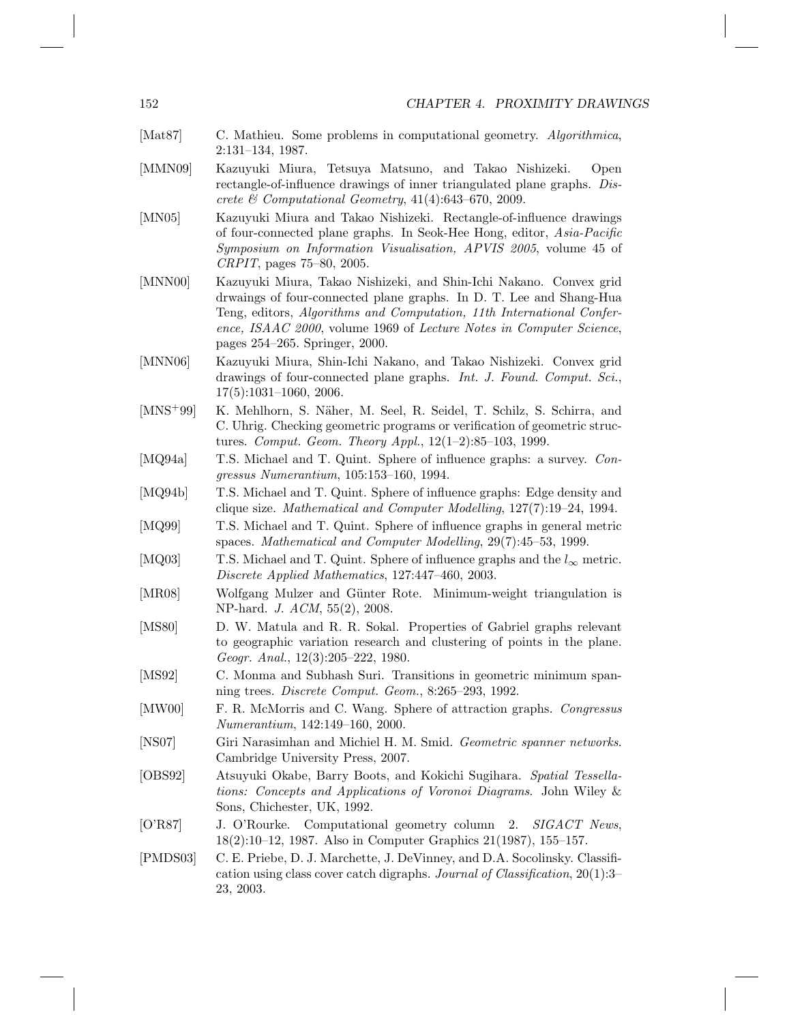- [Mat87] C. Mathieu. Some problems in computational geometry. *Algorithmica*, 2:131–134, 1987.
- [MMN09] Kazuyuki Miura, Tetsuya Matsuno, and Takao Nishizeki. Open rectangle-of-influence drawings of inner triangulated plane graphs. *Discrete & Computational Geometry*, 41(4):643–670, 2009.
- [MN05] Kazuyuki Miura and Takao Nishizeki. Rectangle-of-influence drawings of four-connected plane graphs. In Seok-Hee Hong, editor, *Asia-Pacific Symposium on Information Visualisation, APVIS 2005*, volume 45 of *CRPIT*, pages 75–80, 2005.
- [MNN00] Kazuyuki Miura, Takao Nishizeki, and Shin-Ichi Nakano. Convex grid drwaings of four-connected plane graphs. In D. T. Lee and Shang-Hua Teng, editors, *Algorithms and Computation, 11th International Conference, ISAAC 2000*, volume 1969 of *Lecture Notes in Computer Science*, pages 254–265. Springer, 2000.
- [MNN06] Kazuyuki Miura, Shin-Ichi Nakano, and Takao Nishizeki. Convex grid drawings of four-connected plane graphs. *Int. J. Found. Comput. Sci.*, 17(5):1031–1060, 2006.
- [MNS<sup>+</sup>99] K. Mehlhorn, S. Näher, M. Seel, R. Seidel, T. Schilz, S. Schirra, and C. Uhrig. Checking geometric programs or verification of geometric structures. *Comput. Geom. Theory Appl.*, 12(1–2):85–103, 1999.
- [MQ94a] T.S. Michael and T. Quint. Sphere of influence graphs: a survey. *Congressus Numerantium*, 105:153–160, 1994.
- [MQ94b] T.S. Michael and T. Quint. Sphere of influence graphs: Edge density and clique size. *Mathematical and Computer Modelling*, 127(7):19–24, 1994.
- [MQ99] T.S. Michael and T. Quint. Sphere of influence graphs in general metric spaces. *Mathematical and Computer Modelling*, 29(7):45–53, 1999.
- [MQ03] T.S. Michael and T. Quint. Sphere of influence graphs and the  $l_{\infty}$  metric. *Discrete Applied Mathematics*, 127:447–460, 2003.
- [MR08] Wolfgang Mulzer and Günter Rote. Minimum-weight triangulation is NP-hard. *J. ACM*, 55(2), 2008.
- [MS80] D. W. Matula and R. R. Sokal. Properties of Gabriel graphs relevant to geographic variation research and clustering of points in the plane. *Geogr. Anal.*, 12(3):205–222, 1980.
- [MS92] C. Monma and Subhash Suri. Transitions in geometric minimum spanning trees. *Discrete Comput. Geom.*, 8:265–293, 1992.
- [MW00] F. R. McMorris and C. Wang. Sphere of attraction graphs. *Congressus Numerantium*, 142:149–160, 2000.
- [NS07] Giri Narasimhan and Michiel H. M. Smid. *Geometric spanner networks*. Cambridge University Press, 2007.
- [OBS92] Atsuyuki Okabe, Barry Boots, and Kokichi Sugihara. *Spatial Tessellations: Concepts and Applications of Voronoi Diagrams*. John Wiley & Sons, Chichester, UK, 1992.
- [O'R87] J. O'Rourke. Computational geometry column 2. *SIGACT News*, 18(2):10–12, 1987. Also in Computer Graphics 21(1987), 155–157.
- [PMDS03] C. E. Priebe, D. J. Marchette, J. DeVinney, and D.A. Socolinsky. Classification using class cover catch digraphs. *Journal of Classification*, 20(1):3– 23, 2003.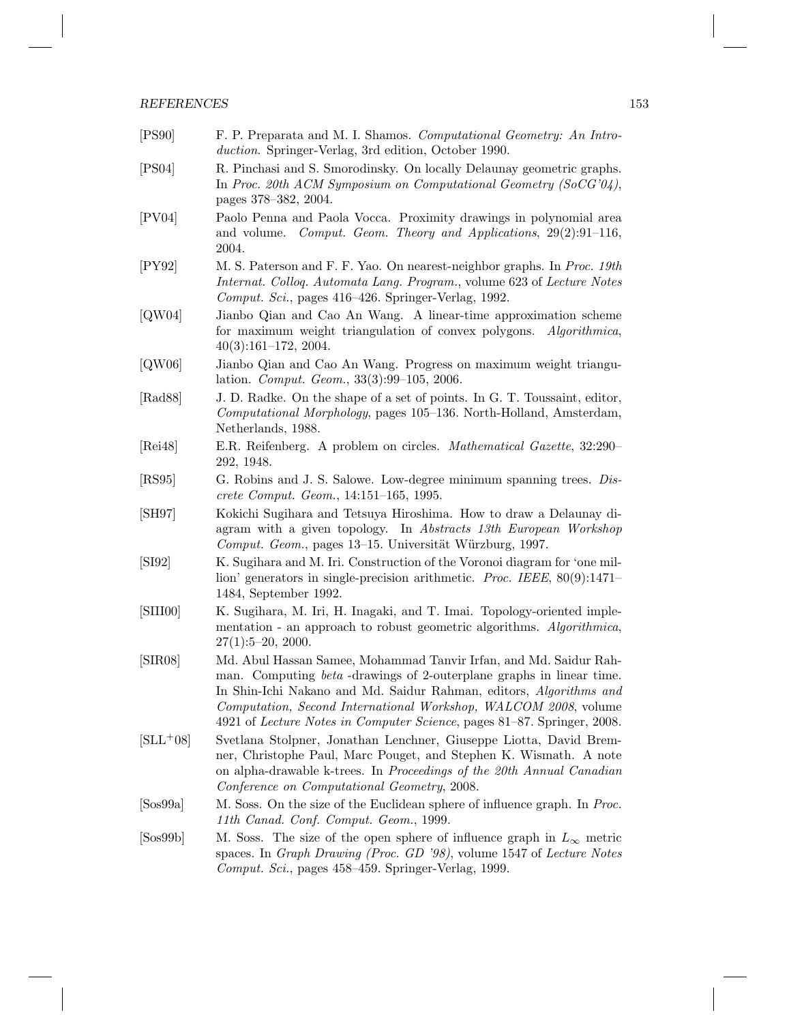### REFERENCES 153

| [PS90]     | F. P. Preparata and M. I. Shamos. Computational Geometry: An Intro-<br>duction. Springer-Verlag, 3rd edition, October 1990.                                                                                                                                                                                                                                          |
|------------|----------------------------------------------------------------------------------------------------------------------------------------------------------------------------------------------------------------------------------------------------------------------------------------------------------------------------------------------------------------------|
| [PS04]     | R. Pinchasi and S. Smorodinsky. On locally Delaunay geometric graphs.<br>In Proc. 20th ACM Symposium on Computational Geometry (SoCG'04),<br>pages 378-382, 2004.                                                                                                                                                                                                    |
| [PV04]     | Paolo Penna and Paola Vocca. Proximity drawings in polynomial area<br>Comput. Geom. Theory and Applications, $29(2):91-116$ ,<br>and volume.<br>2004.                                                                                                                                                                                                                |
| [PY92]     | M. S. Paterson and F. F. Yao. On nearest-neighbor graphs. In Proc. 19th<br>Internat. Colloq. Automata Lang. Program., volume 623 of Lecture Notes<br>Comput. Sci., pages 416–426. Springer-Verlag, 1992.                                                                                                                                                             |
| [QW04]     | Jianbo Qian and Cao An Wang. A linear-time approximation scheme<br>for maximum weight triangulation of convex polygons. Algorithmica,<br>$40(3):161-172, 2004.$                                                                                                                                                                                                      |
| [QW06]     | Jianbo Qian and Cao An Wang. Progress on maximum weight triangu-<br>lation. <i>Comput. Geom.</i> , $33(3):99-105$ , 2006.                                                                                                                                                                                                                                            |
| [Rad88]    | J. D. Radke. On the shape of a set of points. In G. T. Toussaint, editor,<br>Computational Morphology, pages 105–136. North-Holland, Amsterdam,<br>Netherlands, 1988.                                                                                                                                                                                                |
| [Rei48]    | E.R. Reifenberg. A problem on circles. Mathematical Gazette, 32:290-<br>292, 1948.                                                                                                                                                                                                                                                                                   |
| [RS95]     | G. Robins and J. S. Salowe. Low-degree minimum spanning trees. <i>Dis-</i><br>crete Comput. Geom., 14:151-165, 1995.                                                                                                                                                                                                                                                 |
| [SH97]     | Kokichi Sugihara and Tetsuya Hiroshima. How to draw a Delaunay di-<br>agram with a given topology. In Abstracts 13th European Workshop<br>Comput. Geom., pages 13–15. Universität Würzburg, 1997.                                                                                                                                                                    |
| [SI92]     | K. Sugihara and M. Iri. Construction of the Voronoi diagram for 'one mil-<br>lion' generators in single-precision arithmetic. Proc. IEEE, $80(9):1471-$<br>1484, September 1992.                                                                                                                                                                                     |
| [SIII00]   | K. Sugihara, M. Iri, H. Inagaki, and T. Imai. Topology-oriented imple-<br>mentation - an approach to robust geometric algorithms. Algorithmica,<br>$27(1):5-20, 2000.$                                                                                                                                                                                               |
| [SIR08]    | Md. Abul Hassan Samee, Mohammad Tanvir Irfan, and Md. Saidur Rah-<br>man. Computing <i>beta</i> -drawings of 2-outerplane graphs in linear time.<br>In Shin-Ichi Nakano and Md. Saidur Rahman, editors, Algorithms and<br>Computation, Second International Workshop, WALCOM 2008, volume<br>4921 of Lecture Notes in Computer Science, pages 81-87. Springer, 2008. |
| $[SLL+08]$ | Svetlana Stolpner, Jonathan Lenchner, Giuseppe Liotta, David Brem-<br>ner, Christophe Paul, Marc Pouget, and Stephen K. Wismath. A note<br>on alpha-drawable k-trees. In Proceedings of the 20th Annual Canadian<br>Conference on Computational Geometry, 2008.                                                                                                      |
| [Sos99a]   | M. Soss. On the size of the Euclidean sphere of influence graph. In Proc.<br>11th Canad. Conf. Comput. Geom., 1999.                                                                                                                                                                                                                                                  |
| [Sos99b]   | M. Soss. The size of the open sphere of influence graph in $L_{\infty}$ metric<br>spaces. In <i>Graph Drawing (Proc. GD '98)</i> , volume 1547 of <i>Lecture Notes</i>                                                                                                                                                                                               |

*Comput. Sci.*, pages 458–459. Springer-Verlag, 1999.